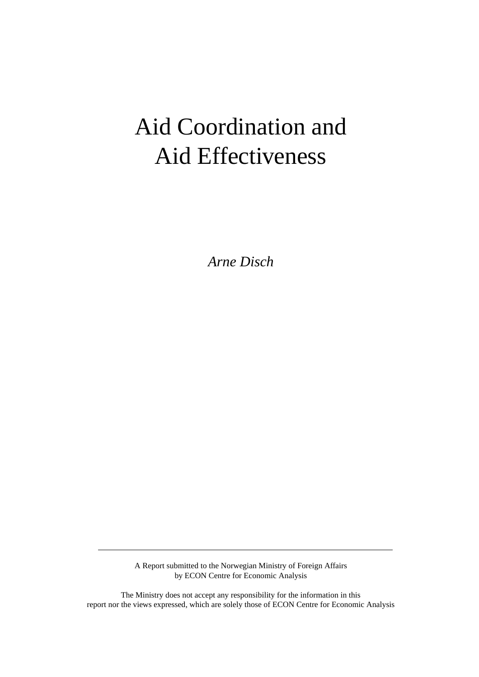# Aid Coordination and Aid Effectiveness

*Arne Disch*

A Report submitted to the Norwegian Ministry of Foreign Affairs by ECON Centre for Economic Analysis

The Ministry does not accept any responsibility for the information in this report nor the views expressed, which are solely those of ECON Centre for Economic Analysis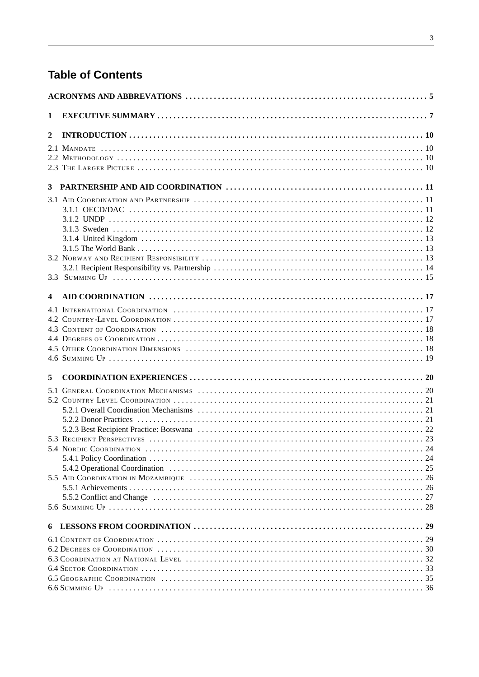## **Table of Contents**

| 1 |  |  |  |
|---|--|--|--|
| 2 |  |  |  |
|   |  |  |  |
|   |  |  |  |
|   |  |  |  |
|   |  |  |  |
|   |  |  |  |
|   |  |  |  |
|   |  |  |  |
|   |  |  |  |
|   |  |  |  |
|   |  |  |  |
|   |  |  |  |
|   |  |  |  |
|   |  |  |  |
|   |  |  |  |
| 4 |  |  |  |
|   |  |  |  |
|   |  |  |  |
|   |  |  |  |
|   |  |  |  |
|   |  |  |  |
|   |  |  |  |
| 5 |  |  |  |
|   |  |  |  |
|   |  |  |  |
|   |  |  |  |
|   |  |  |  |
|   |  |  |  |
|   |  |  |  |
|   |  |  |  |
|   |  |  |  |
|   |  |  |  |
|   |  |  |  |
|   |  |  |  |
|   |  |  |  |
|   |  |  |  |
|   |  |  |  |
|   |  |  |  |
|   |  |  |  |
|   |  |  |  |
|   |  |  |  |
|   |  |  |  |
|   |  |  |  |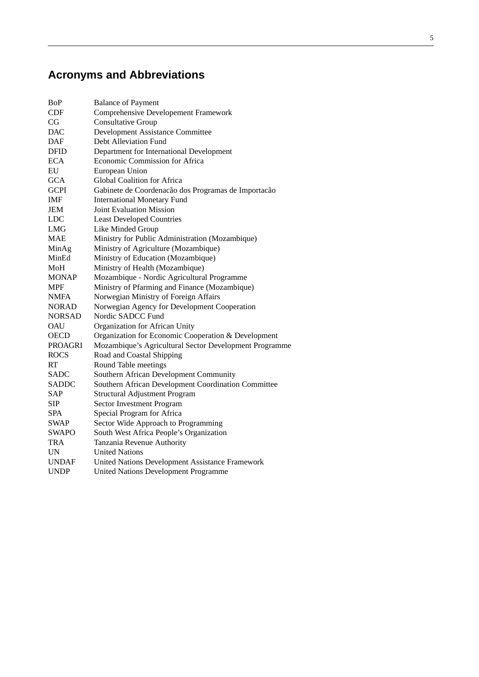## **Acronyms and Abbreviations**

| BoP            | <b>Balance of Payment</b>                              |
|----------------|--------------------------------------------------------|
| CDF            | <b>Comprehensive Developement Framework</b>            |
| CG             | <b>Consultative Group</b>                              |
| DAC            | <b>Development Assistance Committee</b>                |
| DAF            | Debt Alleviation Fund                                  |
| DFID           | Department for International Development               |
| <b>ECA</b>     | Economic Commission for Africa                         |
| EU             | European Union                                         |
| <b>GCA</b>     | Global Coalition for Africa                            |
| <b>GCPI</b>    | Gabinete de Coordenacão dos Programas de Importacão    |
| IMF            | <b>International Monetary Fund</b>                     |
| JEM            | <b>Joint Evaluation Mission</b>                        |
| <b>LDC</b>     | <b>Least Developed Countries</b>                       |
| <b>LMG</b>     | Like Minded Group                                      |
| <b>MAE</b>     | Ministry for Public Administration (Mozambique)        |
| MinAg          | Ministry of Agriculture (Mozambique)                   |
| MinEd          | Ministry of Education (Mozambique)                     |
| MoH            | Ministry of Health (Mozambique)                        |
| <b>MONAP</b>   | Mozambique - Nordic Agricultural Programme             |
| MPF            | Ministry of Pfarming and Finance (Mozambique)          |
| <b>NMFA</b>    | Norwegian Ministry of Foreign Affairs                  |
| NORAD          | Norwegian Agency for Development Cooperation           |
| <b>NORSAD</b>  | Nordic SADCC Fund                                      |
| OAU            | Organization for African Unity                         |
| <b>OECD</b>    | Organization for Economic Cooperation & Development    |
| <b>PROAGRI</b> | Mozambique's Agricultural Sector Development Programme |
| <b>ROCS</b>    | Road and Coastal Shipping                              |
| RT             | Round Table meetings                                   |
| <b>SADC</b>    | Southern African Development Community                 |
| SADDC          | Southern African Development Coordination Committee    |
| SAP            | <b>Structural Adjustment Program</b>                   |
| SIP            | <b>Sector Investment Program</b>                       |
| SPA            | Special Program for Africa                             |
| SWAP           | Sector Wide Approach to Programming                    |
| <b>SWAPO</b>   | South West Africa People's Organization                |
| TRA            | Tanzania Revenue Authority                             |
| UN             | <b>United Nations</b>                                  |
| UNDAF          | United Nations Development Assistance Framework        |
| <b>UNDP</b>    | United Nations Development Programme                   |
|                |                                                        |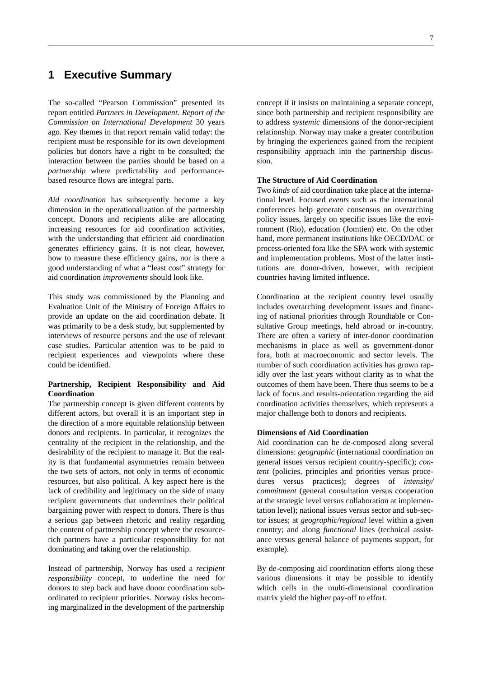## **1 Executive Summary**

The so-called "Pearson Commission" presented its report entitled *Partners in Development. Report of the Commission on International Development* 30 years ago. Key themes in that report remain valid today: the recipient must be responsible for its own development policies but donors have a right to be consulted; the interaction between the parties should be based on a *partnership* where predictability and performancebased resource flows are integral parts.

*Aid coordination* has subsequently become a key dimension in the operationalization of the partnership concept. Donors and recipients alike are allocating increasing resources for aid coordination activities, with the understanding that efficient aid coordination generates efficiency gains. It is not clear, however, how to measure these efficiency gains, nor is there a good understanding of what a "least cost" strategy for aid coordination *improvements* should look like.

This study was commissioned by the Planning and Evaluation Unit of the Ministry of Foreign Affairs to provide an update on the aid coordination debate. It was primarily to be a desk study, but supplemented by interviews of resource persons and the use of relevant case studies. Particular attention was to be paid to recipient experiences and viewpoints where these could be identified.

#### **Partnership, Recipient Responsibility and Aid Coordination**

The partnership concept is given different contents by different actors, but overall it is an important step in the direction of a more equitable relationship between donors and recipients. In particular, it recognizes the centrality of the recipient in the relationship, and the desirability of the recipient to manage it. But the reality is that fundamental asymmetries remain between the two sets of actors, not only in terms of economic resources, but also political. A key aspect here is the lack of credibility and legitimacy on the side of many recipient governments that undermines their political bargaining power with respect to donors. There is thus a serious gap between rhetoric and reality regarding the content of partnership concept where the resourcerich partners have a particular responsibility for not dominating and taking over the relationship.

Instead of partnership, Norway has used a *recipient responsibility* concept, to underline the need for donors to step back and have donor coordination subordinated to recipient priorities. Norway risks becoming marginalized in the development of the partnership

concept if it insists on maintaining a separate concept, since both partnership and recipient responsibility are to address *systemic* dimensions of the donor-recipient relationship. Norway may make a greater contribution by bringing the experiences gained from the recipient responsibility approach into the partnership discussion.

#### **The Structure of Aid Coordination**

Two *kinds* of aid coordination take place at the international level. Focused *events* such as the international conferences help generate consensus on overarching policy issues, largely on specific issues like the environment (Rio), education (Jomtien) etc. On the other hand, more permanent institutions like OECD/DAC or process-oriented fora like the SPA work with systemic and implementation problems. Most of the latter institutions are donor-driven, however, with recipient countries having limited influence.

Coordination at the recipient country level usually includes overarching development issues and financing of national priorities through Roundtable or Consultative Group meetings, held abroad or in-country. There are often a variety of inter-donor coordination mechanisms in place as well as government-donor fora, both at macroeconomic and sector levels. The number of such coordination activities has grown rapidly over the last years without clarity as to what the outcomes of them have been. There thus seems to be a lack of focus and results-orientation regarding the aid coordination activities themselves, which represents a major challenge both to donors and recipients.

#### **Dimensions of Aid Coordination**

Aid coordination can be de-composed along several dimensions: *geographic* (international coordination on general issues versus recipient country-specific); *content* (policies, principles and priorities versus procedures versus practices); degrees of *intensity/ commitment* (general consultation versus cooperation at the strategic level versus collaboration at implementation level); national issues versus sector and sub-sector issues; at *geographic/regional* level within a given country; and along *functional* lines (technical assistance versus general balance of payments support, for example).

By de-composing aid coordination efforts along these various dimensions it may be possible to identify which cells in the multi-dimensional coordination matrix yield the higher pay-off to effort.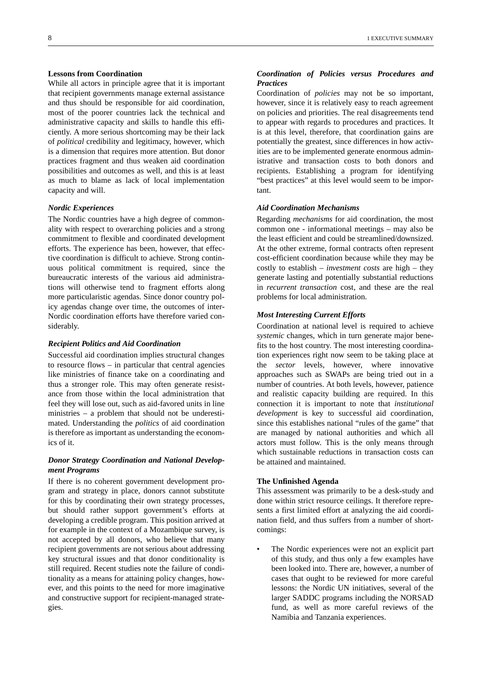#### **Lessons from Coordination**

While all actors in principle agree that it is important that recipient governments manage external assistance and thus should be responsible for aid coordination, most of the poorer countries lack the technical and administrative capacity and skills to handle this efficiently. A more serious shortcoming may be their lack of *political* credibility and legitimacy, however, which is a dimension that requires more attention. But donor practices fragment and thus weaken aid coordination possibilities and outcomes as well, and this is at least as much to blame as lack of local implementation capacity and will.

#### *Nordic Experiences*

The Nordic countries have a high degree of commonality with respect to overarching policies and a strong commitment to flexible and coordinated development efforts. The experience has been, however, that effective coordination is difficult to achieve. Strong continuous political commitment is required, since the bureaucratic interests of the various aid administrations will otherwise tend to fragment efforts along more particularistic agendas. Since donor country policy agendas change over time, the outcomes of inter-Nordic coordination efforts have therefore varied considerably.

#### *Recipient Politics and Aid Coordination*

Successful aid coordination implies structural changes to resource flows – in particular that central agencies like ministries of finance take on a coordinating and thus a stronger role. This may often generate resistance from those within the local administration that feel they will lose out, such as aid-favored units in line ministries – a problem that should not be underestimated. Understanding the *politics* of aid coordination is therefore as important as understanding the economics of it.

#### *Donor Strategy Coordination and National Development Programs*

If there is no coherent government development program and strategy in place, donors cannot substitute for this by coordinating their own strategy processes, but should rather support government's efforts at developing a credible program. This position arrived at for example in the context of a Mozambique survey, is not accepted by all donors, who believe that many recipient governments are not serious about addressing key structural issues and that donor conditionality is still required. Recent studies note the failure of conditionality as a means for attaining policy changes, however, and this points to the need for more imaginative and constructive support for recipient-managed strategies.

#### *Coordination of Policies versus Procedures and Practices*

Coordination of *policies* may not be so important, however, since it is relatively easy to reach agreement on policies and priorities. The real disagreements tend to appear with regards to procedures and practices. It is at this level, therefore, that coordination gains are potentially the greatest, since differences in how activities are to be implemented generate enormous administrative and transaction costs to both donors and recipients. Establishing a program for identifying "best practices" at this level would seem to be important.

#### *Aid Coordination Mechanisms*

Regarding *mechanisms* for aid coordination, the most common one - informational meetings – may also be the least efficient and could be streamlined/downsized. At the other extreme, formal contracts often represent cost-efficient coordination because while they may be costly to establish – *investment costs* are high – they generate lasting and potentially substantial reductions in *recurrent transaction* cost, and these are the real problems for local administration.

#### *Most Interesting Current Efforts*

Coordination at national level is required to achieve *systemic* changes, which in turn generate major benefits to the host country. The most interesting coordination experiences right now seem to be taking place at the *sector* levels, however, where innovative approaches such as SWAPs are being tried out in a number of countries. At both levels, however, patience and realistic capacity building are required. In this connection it is important to note that *institutional development* is key to successful aid coordination, since this establishes national "rules of the game" that are managed by national authorities and which all actors must follow. This is the only means through which sustainable reductions in transaction costs can be attained and maintained.

#### **The Unfinished Agenda**

This assessment was primarily to be a desk-study and done within strict resource ceilings. It therefore represents a first limited effort at analyzing the aid coordination field, and thus suffers from a number of shortcomings:

The Nordic experiences were not an explicit part of this study, and thus only a few examples have been looked into. There are, however, a number of cases that ought to be reviewed for more careful lessons: the Nordic UN initiatives, several of the larger SADDC programs including the NORSAD fund, as well as more careful reviews of the Namibia and Tanzania experiences.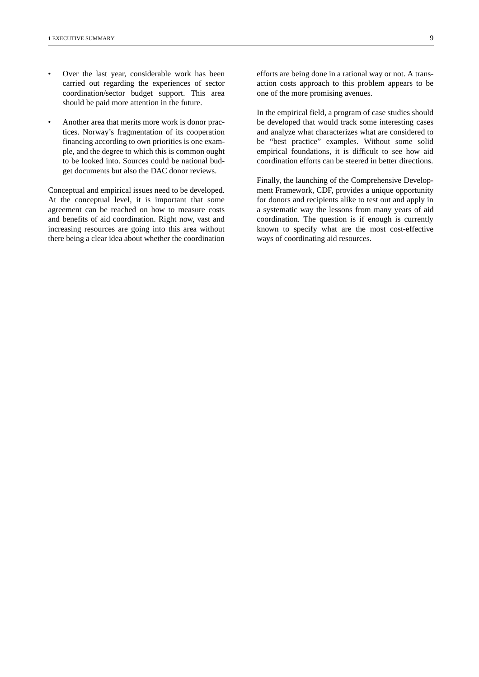- Over the last year, considerable work has been carried out regarding the experiences of sector coordination/sector budget support. This area should be paid more attention in the future.
- Another area that merits more work is donor practices. Norway's fragmentation of its cooperation financing according to own priorities is one example, and the degree to which this is common ought to be looked into. Sources could be national budget documents but also the DAC donor reviews.

Conceptual and empirical issues need to be developed. At the conceptual level, it is important that some agreement can be reached on how to measure costs and benefits of aid coordination. Right now, vast and increasing resources are going into this area without there being a clear idea about whether the coordination efforts are being done in a rational way or not. A transaction costs approach to this problem appears to be one of the more promising avenues.

In the empirical field, a program of case studies should be developed that would track some interesting cases and analyze what characterizes what are considered to be "best practice" examples. Without some solid empirical foundations, it is difficult to see how aid coordination efforts can be steered in better directions.

Finally, the launching of the Comprehensive Development Framework, CDF, provides a unique opportunity for donors and recipients alike to test out and apply in a systematic way the lessons from many years of aid coordination. The question is if enough is currently known to specify what are the most cost-effective ways of coordinating aid resources.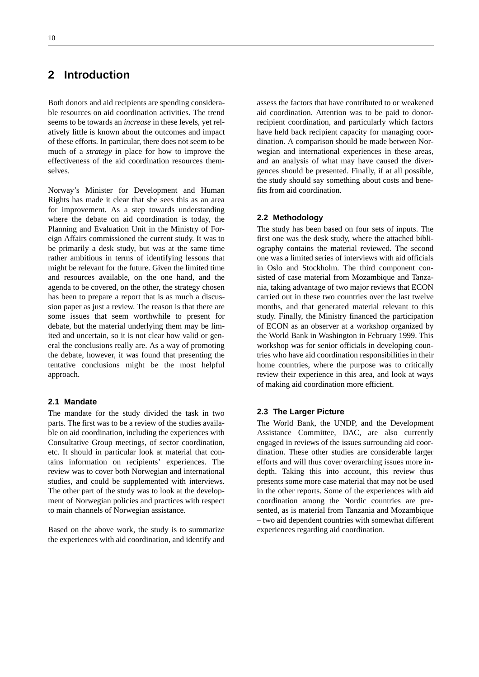## **2 Introduction**

Both donors and aid recipients are spending considerable resources on aid coordination activities. The trend seems to be towards an *increase* in these levels, yet relatively little is known about the outcomes and impact of these efforts. In particular, there does not seem to be much of a *strategy* in place for how to improve the effectiveness of the aid coordination resources themselves.

Norway's Minister for Development and Human Rights has made it clear that she sees this as an area for improvement. As a step towards understanding where the debate on aid coordination is today, the Planning and Evaluation Unit in the Ministry of Foreign Affairs commissioned the current study. It was to be primarily a desk study, but was at the same time rather ambitious in terms of identifying lessons that might be relevant for the future. Given the limited time and resources available, on the one hand, and the agenda to be covered, on the other, the strategy chosen has been to prepare a report that is as much a discussion paper as just a review. The reason is that there are some issues that seem worthwhile to present for debate, but the material underlying them may be limited and uncertain, so it is not clear how valid or general the conclusions really are. As a way of promoting the debate, however, it was found that presenting the tentative conclusions might be the most helpful approach.

#### **2.1 Mandate**

The mandate for the study divided the task in two parts. The first was to be a review of the studies available on aid coordination, including the experiences with Consultative Group meetings, of sector coordination, etc. It should in particular look at material that contains information on recipients' experiences. The review was to cover both Norwegian and international studies, and could be supplemented with interviews. The other part of the study was to look at the development of Norwegian policies and practices with respect to main channels of Norwegian assistance.

Based on the above work, the study is to summarize the experiences with aid coordination, and identify and assess the factors that have contributed to or weakened aid coordination. Attention was to be paid to donorrecipient coordination, and particularly which factors have held back recipient capacity for managing coordination. A comparison should be made between Norwegian and international experiences in these areas, and an analysis of what may have caused the divergences should be presented. Finally, if at all possible, the study should say something about costs and benefits from aid coordination.

#### **2.2 Methodology**

The study has been based on four sets of inputs. The first one was the desk study, where the attached bibliography contains the material reviewed. The second one was a limited series of interviews with aid officials in Oslo and Stockholm. The third component consisted of case material from Mozambique and Tanzania, taking advantage of two major reviews that ECON carried out in these two countries over the last twelve months, and that generated material relevant to this study. Finally, the Ministry financed the participation of ECON as an observer at a workshop organized by the World Bank in Washington in February 1999. This workshop was for senior officials in developing countries who have aid coordination responsibilities in their home countries, where the purpose was to critically review their experience in this area, and look at ways of making aid coordination more efficient.

#### **2.3 The Larger Picture**

The World Bank, the UNDP, and the Development Assistance Committee, DAC, are also currently engaged in reviews of the issues surrounding aid coordination. These other studies are considerable larger efforts and will thus cover overarching issues more indepth. Taking this into account, this review thus presents some more case material that may not be used in the other reports. Some of the experiences with aid coordination among the Nordic countries are presented, as is material from Tanzania and Mozambique – two aid dependent countries with somewhat different experiences regarding aid coordination.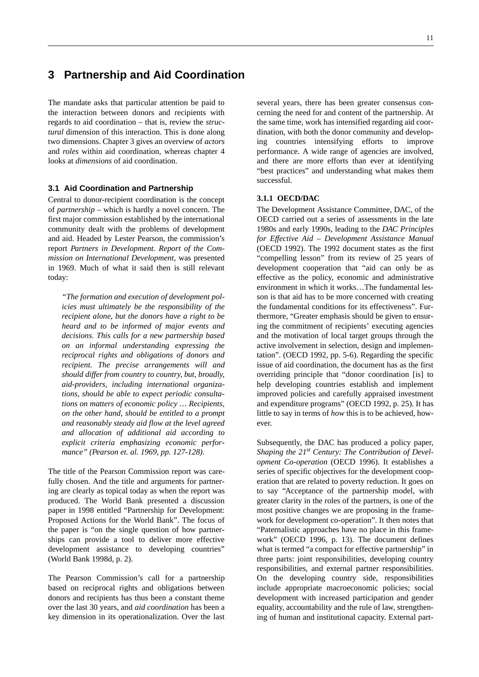## **3 Partnership and Aid Coordination**

The mandate asks that particular attention be paid to the interaction between donors and recipients with regards to aid coordination – that is, review the *structural* dimension of this interaction. This is done along two dimensions. Chapter 3 gives an overview of *actors* and *roles* within aid coordination, whereas chapter 4 looks at *dimensions* of aid coordination.

#### **3.1 Aid Coordination and Partnership**

Central to donor-recipient coordination is the concept of *partnership* – which is hardly a novel concern. The first major commission established by the international community dealt with the problems of development and aid. Headed by Lester Pearson, the commission's report *Partners in Development. Report of the Commission on International Development,* was presented in 1969. Much of what it said then is still relevant today:

*"The formation and execution of development policies must ultimately be the responsibility of the recipient alone, but the donors have a right to be heard and to be informed of major events and decisions. This calls for a new partnership based on an informal understanding expressing the reciprocal rights and obligations of donors and recipient. The precise arrangements will and should differ from country to country, but, broadly, aid-providers, including international organizations, should be able to expect periodic consultations on matters of economic policy … Recipients, on the other hand, should be entitled to a prompt and reasonably steady aid flow at the level agreed and allocation of additional aid according to explicit criteria emphasizing economic performance" (Pearson et. al. 1969, pp. 127-128).*

The title of the Pearson Commission report was carefully chosen. And the title and arguments for partnering are clearly as topical today as when the report was produced. The World Bank presented a discussion paper in 1998 entitled "Partnership for Development: Proposed Actions for the World Bank". The focus of the paper is "on the single question of how partnerships can provide a tool to deliver more effective development assistance to developing countries" (World Bank 1998d, p. 2).

The Pearson Commission's call for a partnership based on reciprocal rights and obligations between donors and recipients has thus been a constant theme over the last 30 years, and *aid coordination* has been a key dimension in its operationalization. Over the last

several years, there has been greater consensus concerning the need for and content of the partnership. At the same time, work has intensified regarding aid coordination, with both the donor community and developing countries intensifying efforts to improve performance. A wide range of agencies are involved, and there are more efforts than ever at identifying "best practices" and understanding what makes them successful.

#### **3.1.1 OECD/DAC**

The Development Assistance Committee, DAC, of the OECD carried out a series of assessments in the late 1980s and early 1990s, leading to the *DAC Principles for Effective Aid – Development Assistance Manual* (OECD 1992). The 1992 document states as the first "compelling lesson" from its review of 25 years of development cooperation that "aid can only be as effective as the policy, economic and administrative environment in which it works…The fundamental lesson is that aid has to be more concerned with creating the fundamental conditions for its effectiveness". Furthermore, "Greater emphasis should be given to ensuring the commitment of recipients' executing agencies and the motivation of local target groups through the active involvement in selection, design and implementation". (OECD 1992, pp. 5-6). Regarding the specific issue of aid coordination, the document has as the first overriding principle that "donor coordination [is] to help developing countries establish and implement improved policies and carefully appraised investment and expenditure programs" (OECD 1992, p. 25). It has little to say in terms of *how* this is to be achieved, however.

Subsequently, the DAC has produced a policy paper, Shaping the 21<sup>st</sup> Century: The Contribution of Devel*opment Co-operation* (OECD 1996). It establishes a series of specific objectives for the development cooperation that are related to poverty reduction. It goes on to say "Acceptance of the partnership model, with greater clarity in the roles of the partners, is one of the most positive changes we are proposing in the framework for development co-operation". It then notes that "Paternalistic approaches have no place in this framework" (OECD 1996, p. 13). The document defines what is termed "a compact for effective partnership" in three parts: joint responsibilities, developing country responsibilities, and external partner responsibilities. On the developing country side, responsibilities include appropriate macroeconomic policies; social development with increased participation and gender equality, accountability and the rule of law, strengthening of human and institutional capacity. External part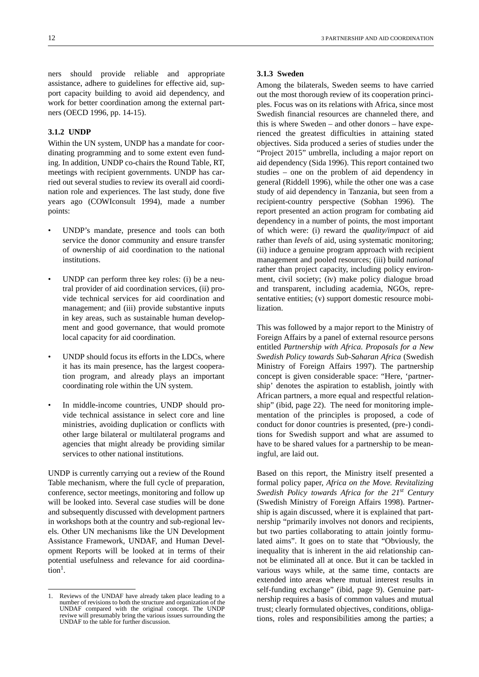ners should provide reliable and appropriate assistance, adhere to guidelines for effective aid, support capacity building to avoid aid dependency, and work for better coordination among the external partners (OECD 1996, pp. 14-15).

#### **3.1.2 UNDP**

Within the UN system, UNDP has a mandate for coordinating programming and to some extent even funding. In addition, UNDP co-chairs the Round Table, RT, meetings with recipient governments. UNDP has carried out several studies to review its overall aid coordination role and experiences. The last study, done five years ago (COWIconsult 1994), made a number points:

- UNDP's mandate, presence and tools can both service the donor community and ensure transfer of ownership of aid coordination to the national institutions.
- UNDP can perform three key roles: (i) be a neutral provider of aid coordination services, (ii) provide technical services for aid coordination and management; and (iii) provide substantive inputs in key areas, such as sustainable human development and good governance, that would promote local capacity for aid coordination.
- UNDP should focus its efforts in the LDCs, where it has its main presence, has the largest cooperation program, and already plays an important coordinating role within the UN system.
- In middle-income countries, UNDP should provide technical assistance in select core and line ministries, avoiding duplication or conflicts with other large bilateral or multilateral programs and agencies that might already be providing similar services to other national institutions.

UNDP is currently carrying out a review of the Round Table mechanism, where the full cycle of preparation, conference, sector meetings, monitoring and follow up will be looked into. Several case studies will be done and subsequently discussed with development partners in workshops both at the country and sub-regional levels. Other UN mechanisms like the UN Development Assistance Framework, UNDAF, and Human Development Reports will be looked at in terms of their potential usefulness and relevance for aid coordina- $\text{tion}^1$ .

#### **3.1.3 Sweden**

Among the bilaterals, Sweden seems to have carried out the most thorough review of its cooperation principles. Focus was on its relations with Africa, since most Swedish financial resources are channeled there, and this is where Sweden – and other donors – have experienced the greatest difficulties in attaining stated objectives. Sida produced a series of studies under the "Project 2015" umbrella, including a major report on aid dependency (Sida 1996). This report contained two studies – one on the problem of aid dependency in general (Riddell 1996), while the other one was a case study of aid dependency in Tanzania, but seen from a recipient-country perspective (Sobhan 1996). The report presented an action program for combating aid dependency in a number of points, the most important of which were: (i) reward the *quality/impact* of aid rather than *levels* of aid, using systematic monitoring; (ii) induce a genuine program approach with recipient management and pooled resources; (iii) build *national* rather than project capacity, including policy environment, civil society; (iv) make policy dialogue broad and transparent, including academia, NGOs, representative entities; (v) support domestic resource mobilization.

This was followed by a major report to the Ministry of Foreign Affairs by a panel of external resource persons entitled *Partnership with Africa. Proposals for a New Swedish Policy towards Sub-Saharan Africa* (Swedish Ministry of Foreign Affairs 1997). The partnership concept is given considerable space: "Here, 'partnership' denotes the aspiration to establish, jointly with African partners, a more equal and respectful relationship" (ibid, page 22). The need for monitoring implementation of the principles is proposed, a code of conduct for donor countries is presented, (pre-) conditions for Swedish support and what are assumed to have to be shared values for a partnership to be meaningful, are laid out.

Based on this report, the Ministry itself presented a formal policy paper, *Africa on the Move. Revitalizing Swedish Policy towards Africa for the 21st Century* (Swedish Ministry of Foreign Affairs 1998). Partnership is again discussed, where it is explained that partnership "primarily involves not donors and recipients, but two parties collaborating to attain jointly formulated aims". It goes on to state that "Obviously, the inequality that is inherent in the aid relationship cannot be eliminated all at once. But it can be tackled in various ways while, at the same time, contacts are extended into areas where mutual interest results in self-funding exchange" (ibid, page 9). Genuine partnership requires a basis of common values and mutual trust; clearly formulated objectives, conditions, obligations, roles and responsibilities among the parties; a

<sup>1.</sup> Reviews of the UNDAF have already taken place leading to a number of revisions to both the structure and organization of the UNDAF compared with the original concept. The UNDP reviwe will presumably bring the various issues surrounding the UNDAF to the table for further discussion.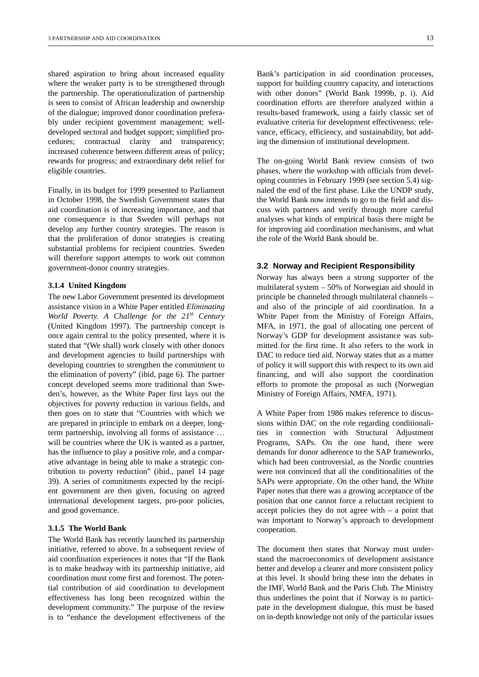shared aspiration to bring about increased equality where the weaker party is to be strengthened through the partnership. The operationalization of partnership is seen to consist of African leadership and ownership of the dialogue; improved donor coordination preferably under recipient government management; welldeveloped sectoral and budget support; simplified procedures; contractual clarity and transparency; increased coherence between different areas of policy; rewards for progress; and extraordinary debt relief for eligible countries.

Finally, in its budget for 1999 presented to Parliament in October 1998, the Swedish Government states that aid coordination is of increasing importance, and that one consequence is that Sweden will perhaps not develop any further country strategies. The reason is that the proliferation of donor strategies is creating substantial problems for recipient countries. Sweden will therefore support attempts to work out common government-donor country strategies.

#### **3.1.4 United Kingdom**

The new Labor Government presented its development assistance vision in a White Paper entitled *Eliminating World Poverty. A Challenge for the 21st Century* (United Kingdom 1997). The partnership concept is once again central to the policy presented, where it is stated that "(We shall) work closely with other donors and development agencies to build partnerships with developing countries to strengthen the commitment to the elimination of poverty" (ibid, page 6). The partner concept developed seems more traditional than Sweden's, however, as the White Paper first lays out the objectives for poverty reduction in various fields, and then goes on to state that "Countries with which we are prepared in principle to embark on a deeper, longterm partnership, involving all forms of assistance … will be countries where the UK is wanted as a partner, has the influence to play a positive role, and a comparative advantage in being able to make a strategic contribution to poverty reduction" (ibid., panel 14 page 39). A series of commitments expected by the recipient government are then given, focusing on agreed international development targets, pro-poor policies, and good governance.

#### **3.1.5 The World Bank**

The World Bank has recently launched its partnership initiative, referred to above. In a subsequent review of aid coordination experiences it notes that "If the Bank is to make headway with its partnership initiative, aid coordination must come first and foremost. The potential contribution of aid coordination to development effectiveness has long been recognized within the development community." The purpose of the review is to "enhance the development effectiveness of the

Bank's participation in aid coordination processes, support for building country capacity, and interactions with other donors" (World Bank 1999b, p. i). Aid coordination efforts are therefore analyzed within a results-based framework, using a fairly classic set of evaluative criteria for development effectiveness: relevance, efficacy, efficiency, and sustainability, but adding the dimension of institutional development.

The on-going World Bank review consists of two phases, where the workshop with officials from developing countries in February 1999 (see section 5.4) signaled the end of the first phase. Like the UNDP study, the World Bank now intends to go to the field and discuss with partners and verify through more careful analyses what kinds of empirical basis there might be for improving aid coordination mechanisms, and what the role of the World Bank should be.

#### **3.2 Norway and Recipient Responsibility**

Norway has always been a strong supporter of the multilateral system – 50% of Norwegian aid should in principle be channeled through multilateral channels – and also of the principle of aid coordination. In a White Paper from the Ministry of Foreign Affairs, MFA, in 1971, the goal of allocating one percent of Norway's GDP for development assistance was submitted for the first time. It also refers to the work in DAC to reduce tied aid. Norway states that as a matter of policy it will support this with respect to its own aid financing, and will also support the coordination efforts to promote the proposal as such (Norwegian Ministry of Foreign Affairs, NMFA, 1971).

A White Paper from 1986 makes reference to discussions within DAC on the role regarding conditionalities in connection with Structural Adjustment Programs, SAPs. On the one hand, there were demands for donor adherence to the SAP frameworks, which had been controversial, as the Nordic countries were not convinced that all the conditionalities of the SAPs were appropriate. On the other hand, the White Paper notes that there was a growing acceptance of the position that one cannot force a reluctant recipient to accept policies they do not agree with – a point that was important to Norway's approach to development cooperation.

The document then states that Norway must understand the macroeconomics of development assistance better and develop a clearer and more consistent policy at this level. It should bring these into the debates in the IMF, World Bank and the Paris Club. The Ministry thus underlines the point that if Norway is to participate in the development dialogue, this must be based on in-depth knowledge not only of the particular issues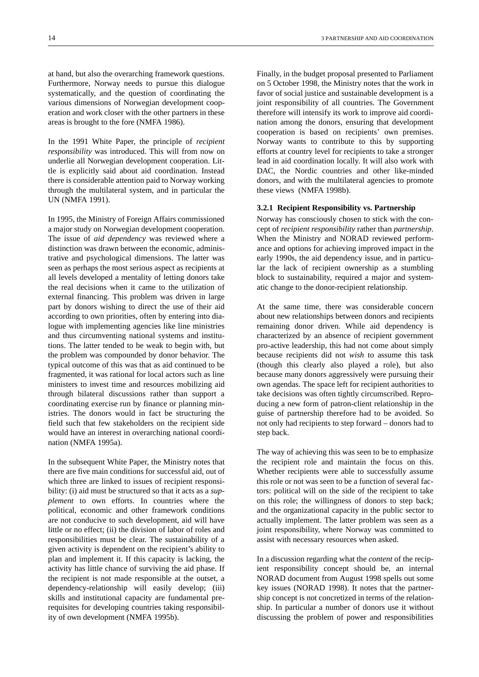at hand, but also the overarching framework questions. Furthermore, Norway needs to pursue this dialogue systematically, and the question of coordinating the various dimensions of Norwegian development cooperation and work closer with the other partners in these areas is brought to the fore (NMFA 1986).

In the 1991 White Paper, the principle of *recipient responsibility* was introduced. This will from now on underlie all Norwegian development cooperation. Little is explicitly said about aid coordination. Instead there is considerable attention paid to Norway working through the multilateral system, and in particular the UN (NMFA 1991).

In 1995, the Ministry of Foreign Affairs commissioned a major study on Norwegian development cooperation. The issue of *aid dependency* was reviewed where a distinction was drawn between the economic, administrative and psychological dimensions. The latter was seen as perhaps the most serious aspect as recipients at all levels developed a mentality of letting donors take the real decisions when it came to the utilization of external financing. This problem was driven in large part by donors wishing to direct the use of their aid according to own priorities, often by entering into dialogue with implementing agencies like line ministries and thus circumventing national systems and institutions. The latter tended to be weak to begin with, but the problem was compounded by donor behavior. The typical outcome of this was that as aid continued to be fragmented, it was rational for local actors such as line ministers to invest time and resources mobilizing aid through bilateral discussions rather than support a coordinating exercise run by finance or planning ministries. The donors would in fact be structuring the field such that few stakeholders on the recipient side would have an interest in overarching national coordination (NMFA 1995a).

In the subsequent White Paper, the Ministry notes that there are five main conditions for successful aid, out of which three are linked to issues of recipient responsibility: (i) aid must be structured so that it acts as a *supplement* to own efforts. In countries where the political, economic and other framework conditions are not conducive to such development, aid will have little or no effect; (ii) the division of labor of roles and responsibilities must be clear. The sustainability of a given activity is dependent on the recipient's ability to plan and implement it. If this capacity is lacking, the activity has little chance of surviving the aid phase. If the recipient is not made responsible at the outset, a dependency-relationship will easily develop; (iii) skills and institutional capacity are fundamental prerequisites for developing countries taking responsibility of own development (NMFA 1995b).

nation among the donors, ensuring that development cooperation is based on recipients' own premises. Norway wants to contribute to this by supporting efforts at country level for recipients to take a stronger lead in aid coordination locally. It will also work with DAC, the Nordic countries and other like-minded donors, and with the multilateral agencies to promote these views (NMFA 1998b).

#### **3.2.1 Recipient Responsibility vs. Partnership**

Norway has consciously chosen to stick with the concept of *recipient responsibility* rather than *partnership*. When the Ministry and NORAD reviewed performance and options for achieving improved impact in the early 1990s, the aid dependency issue, and in particular the lack of recipient ownership as a stumbling block to sustainability, required a major and systematic change to the donor-recipient relationship.

At the same time, there was considerable concern about new relationships between donors and recipients remaining donor driven. While aid dependency is characterized by an absence of recipient government pro-active leadership, this had not come about simply because recipients did not *wish* to assume this task (though this clearly also played a role), but also because many donors aggressively were pursuing their own agendas. The space left for recipient authorities to take decisions was often tightly circumscribed. Reproducing a new form of patron-client relationship in the guise of partnership therefore had to be avoided. So not only had recipients to step forward – donors had to step back.

The way of achieving this was seen to be to emphasize the recipient role and maintain the focus on this. Whether recipients were able to successfully assume this role or not was seen to be a function of several factors: political will on the side of the recipient to take on this role; the willingness of donors to step back; and the organizational capacity in the public sector to actually implement. The latter problem was seen as a joint responsibility, where Norway was committed to assist with necessary resources when asked.

In a discussion regarding what the *content* of the recipient responsibility concept should be, an internal NORAD document from August 1998 spells out some key issues (NORAD 1998). It notes that the partnership concept is not concretized in terms of the relationship. In particular a number of donors use it without discussing the problem of power and responsibilities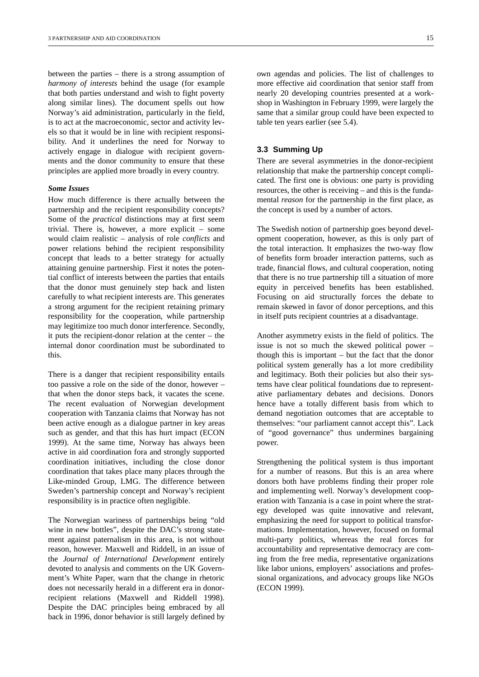between the parties – there is a strong assumption of *harmony of interests* behind the usage (for example that both parties understand and wish to fight poverty along similar lines). The document spells out how Norway's aid administration, particularly in the field, is to act at the macroeconomic, sector and activity levels so that it would be in line with recipient responsibility. And it underlines the need for Norway to actively engage in dialogue with recipient governments and the donor community to ensure that these principles are applied more broadly in every country.

#### *Some Issues*

How much difference is there actually between the partnership and the recipient responsibility concepts? Some of the *practical* distinctions may at first seem trivial. There is, however, a more explicit – some would claim realistic – analysis of role *conflicts* and power relations behind the recipient responsibility concept that leads to a better strategy for actually attaining genuine partnership. First it notes the potential conflict of interests between the parties that entails that the donor must genuinely step back and listen carefully to what recipient interests are. This generates a strong argument for the recipient retaining primary responsibility for the cooperation, while partnership may legitimize too much donor interference. Secondly, it puts the recipient-donor relation at the center – the internal donor coordination must be subordinated to this.

There is a danger that recipient responsibility entails too passive a role on the side of the donor, however – that when the donor steps back, it vacates the scene. The recent evaluation of Norwegian development cooperation with Tanzania claims that Norway has not been active enough as a dialogue partner in key areas such as gender, and that this has hurt impact (ECON 1999). At the same time, Norway has always been active in aid coordination fora and strongly supported coordination initiatives, including the close donor coordination that takes place many places through the Like-minded Group, LMG. The difference between Sweden's partnership concept and Norway's recipient responsibility is in practice often negligible.

The Norwegian wariness of partnerships being "old wine in new bottles", despite the DAC's strong statement against paternalism in this area, is not without reason, however. Maxwell and Riddell, in an issue of the *Journal of International Development* entirely devoted to analysis and comments on the UK Government's White Paper, warn that the change in rhetoric does not necessarily herald in a different era in donorrecipient relations (Maxwell and Riddell 1998). Despite the DAC principles being embraced by all back in 1996, donor behavior is still largely defined by

own agendas and policies. The list of challenges to more effective aid coordination that senior staff from nearly 20 developing countries presented at a workshop in Washington in February 1999, were largely the same that a similar group could have been expected to table ten years earlier (see 5.4).

#### **3.3 Summing Up**

There are several asymmetries in the donor-recipient relationship that make the partnership concept complicated. The first one is obvious: one party is providing resources, the other is receiving – and this is the fundamental *reason* for the partnership in the first place, as the concept is used by a number of actors.

The Swedish notion of partnership goes beyond development cooperation, however, as this is only part of the total interaction. It emphasizes the two-way flow of benefits form broader interaction patterns, such as trade, financial flows, and cultural cooperation, noting that there is no true partnership till a situation of more equity in perceived benefits has been established. Focusing on aid structurally forces the debate to remain skewed in favor of donor perceptions, and this in itself puts recipient countries at a disadvantage.

Another asymmetry exists in the field of politics. The issue is not so much the skewed political power – though this is important – but the fact that the donor political system generally has a lot more credibility and legitimacy. Both their policies but also their systems have clear political foundations due to representative parliamentary debates and decisions. Donors hence have a totally different basis from which to demand negotiation outcomes that are acceptable to themselves: "our parliament cannot accept this". Lack of "good governance" thus undermines bargaining power.

Strengthening the political system is thus important for a number of reasons. But this is an area where donors both have problems finding their proper role and implementing well. Norway's development cooperation with Tanzania is a case in point where the strategy developed was quite innovative and relevant, emphasizing the need for support to political transformations. Implementation, however, focused on formal multi-party politics, whereas the real forces for accountability and representative democracy are coming from the free media, representative organizations like labor unions, employers' associations and professional organizations, and advocacy groups like NGOs (ECON 1999).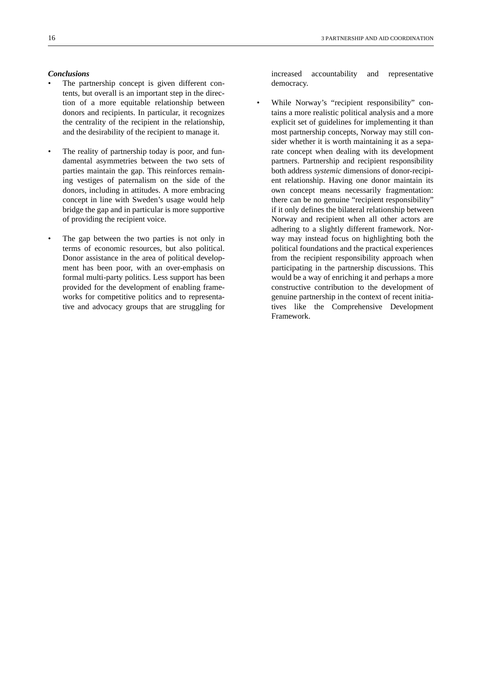#### *Conclusions*

- The partnership concept is given different contents, but overall is an important step in the direction of a more equitable relationship between donors and recipients. In particular, it recognizes the centrality of the recipient in the relationship, and the desirability of the recipient to manage it.
- The reality of partnership today is poor, and fundamental asymmetries between the two sets of parties maintain the gap. This reinforces remaining vestiges of paternalism on the side of the donors, including in attitudes. A more embracing concept in line with Sweden's usage would help bridge the gap and in particular is more supportive of providing the recipient voice.
- The gap between the two parties is not only in terms of economic resources, but also political. Donor assistance in the area of political development has been poor, with an over-emphasis on formal multi-party politics. Less support has been provided for the development of enabling frameworks for competitive politics and to representative and advocacy groups that are struggling for

increased accountability and representative democracy.

While Norway's "recipient responsibility" contains a more realistic political analysis and a more explicit set of guidelines for implementing it than most partnership concepts, Norway may still consider whether it is worth maintaining it as a separate concept when dealing with its development partners. Partnership and recipient responsibility both address *systemic* dimensions of donor-recipient relationship. Having one donor maintain its own concept means necessarily fragmentation: there can be no genuine "recipient responsibility" if it only defines the bilateral relationship between Norway and recipient when all other actors are adhering to a slightly different framework. Norway may instead focus on highlighting both the political foundations and the practical experiences from the recipient responsibility approach when participating in the partnership discussions. This would be a way of enriching it and perhaps a more constructive contribution to the development of genuine partnership in the context of recent initiatives like the Comprehensive Development Framework.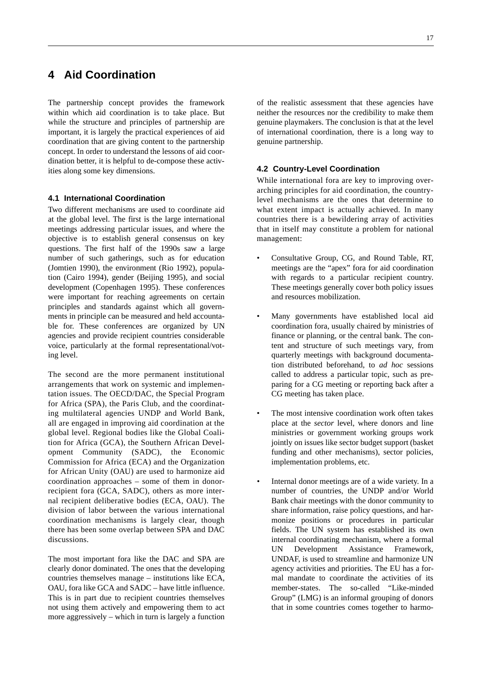## **4 Aid Coordination**

The partnership concept provides the framework within which aid coordination is to take place. But while the structure and principles of partnership are important, it is largely the practical experiences of aid coordination that are giving content to the partnership concept. In order to understand the lessons of aid coordination better, it is helpful to de-compose these activities along some key dimensions.

#### **4.1 International Coordination**

Two different mechanisms are used to coordinate aid at the global level. The first is the large international meetings addressing particular issues, and where the objective is to establish general consensus on key questions. The first half of the 1990s saw a large number of such gatherings, such as for education (Jomtien 1990), the environment (Rio 1992), population (Cairo 1994), gender (Beijing 1995), and social development (Copenhagen 1995). These conferences were important for reaching agreements on certain principles and standards against which all governments in principle can be measured and held accountable for. These conferences are organized by UN agencies and provide recipient countries considerable voice, particularly at the formal representational/voting level.

The second are the more permanent institutional arrangements that work on systemic and implementation issues. The OECD/DAC, the Special Program for Africa (SPA), the Paris Club, and the coordinating multilateral agencies UNDP and World Bank, all are engaged in improving aid coordination at the global level. Regional bodies like the Global Coalition for Africa (GCA), the Southern African Development Community (SADC), the Economic Commission for Africa (ECA) and the Organization for African Unity (OAU) are used to harmonize aid coordination approaches – some of them in donorrecipient fora (GCA, SADC), others as more internal recipient deliberative bodies (ECA, OAU). The division of labor between the various international coordination mechanisms is largely clear, though there has been some overlap between SPA and DAC discussions.

The most important fora like the DAC and SPA are clearly donor dominated. The ones that the developing countries themselves manage – institutions like ECA, OAU, fora like GCA and SADC – have little influence. This is in part due to recipient countries themselves not using them actively and empowering them to act more aggressively – which in turn is largely a function

of the realistic assessment that these agencies have neither the resources nor the credibility to make them genuine playmakers. The conclusion is that at the level of international coordination, there is a long way to genuine partnership.

#### **4.2 Country-Level Coordination**

While international fora are key to improving overarching principles for aid coordination, the countrylevel mechanisms are the ones that determine to what extent impact is actually achieved. In many countries there is a bewildering array of activities that in itself may constitute a problem for national management:

- Consultative Group, CG, and Round Table, RT, meetings are the "apex" fora for aid coordination with regards to a particular recipient country. These meetings generally cover both policy issues and resources mobilization.
- Many governments have established local aid coordination fora, usually chaired by ministries of finance or planning, or the central bank. The content and structure of such meetings vary, from quarterly meetings with background documentation distributed beforehand, to *ad hoc* sessions called to address a particular topic, such as preparing for a CG meeting or reporting back after a CG meeting has taken place.
- The most intensive coordination work often takes place at the *sector* level, where donors and line ministries or government working groups work jointly on issues like sector budget support (basket funding and other mechanisms), sector policies, implementation problems, etc.
- Internal donor meetings are of a wide variety. In a number of countries, the UNDP and/or World Bank chair meetings with the donor community to share information, raise policy questions, and harmonize positions or procedures in particular fields. The UN system has established its own internal coordinating mechanism, where a formal UN Development Assistance Framework, UNDAF, is used to streamline and harmonize UN agency activities and priorities. The EU has a formal mandate to coordinate the activities of its member-states. The so-called "Like-minded Group" (LMG) is an informal grouping of donors that in some countries comes together to harmo-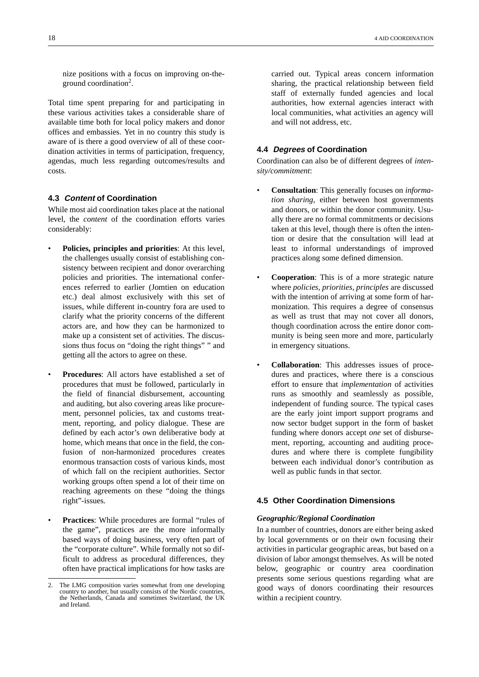nize positions with a focus on improving on-theground coordination<sup>2</sup>.

Total time spent preparing for and participating in these various activities takes a considerable share of available time both for local policy makers and donor offices and embassies. Yet in no country this study is aware of is there a good overview of all of these coordination activities in terms of participation, frequency, agendas, much less regarding outcomes/results and costs.

#### **4.3 Content of Coordination**

While most aid coordination takes place at the national level, the *content* of the coordination efforts varies considerably:

- **Policies, principles and priorities**: At this level, the challenges usually consist of establishing consistency between recipient and donor overarching policies and priorities. The international conferences referred to earlier (Jomtien on education etc.) deal almost exclusively with this set of issues, while different in-country fora are used to clarify what the priority concerns of the different actors are, and how they can be harmonized to make up a consistent set of activities. The discussions thus focus on "doing the right things" " and getting all the actors to agree on these.
- **Procedures**: All actors have established a set of procedures that must be followed, particularly in the field of financial disbursement, accounting and auditing, but also covering areas like procurement, personnel policies, tax and customs treatment, reporting, and policy dialogue. These are defined by each actor's own deliberative body at home, which means that once in the field, the confusion of non-harmonized procedures creates enormous transaction costs of various kinds, most of which fall on the recipient authorities. Sector working groups often spend a lot of their time on reaching agreements on these "doing the things right"-issues.
- **Practices**: While procedures are formal "rules of the game", practices are the more informally based ways of doing business, very often part of the "corporate culture". While formally not so difficult to address as procedural differences, they often have practical implications for how tasks are

carried out. Typical areas concern information sharing, the practical relationship between field staff of externally funded agencies and local authorities, how external agencies interact with local communities, what activities an agency will and will not address, etc.

#### **4.4 Degrees of Coordination**

Coordination can also be of different degrees of *intensity/commitment*:

- **Consultation**: This generally focuses on *information sharing*, either between host governments and donors, or within the donor community. Usually there are no formal commitments or decisions taken at this level, though there is often the intention or desire that the consultation will lead at least to informal understandings of improved practices along some defined dimension.
- **Cooperation**: This is of a more strategic nature where *policies, priorities, principles* are discussed with the intention of arriving at some form of harmonization. This requires a degree of consensus as well as trust that may not cover all donors, though coordination across the entire donor community is being seen more and more, particularly in emergency situations.
- **Collaboration**: This addresses issues of procedures and practices, where there is a conscious effort to ensure that *implementation* of activities runs as smoothly and seamlessly as possible, independent of funding source. The typical cases are the early joint import support programs and now sector budget support in the form of basket funding where donors accept *one* set of disbursement, reporting, accounting and auditing procedures and where there is complete fungibility between each individual donor's contribution as well as public funds in that sector.

#### **4.5 Other Coordination Dimensions**

#### *Geographic/Regional Coordination*

In a number of countries, donors are either being asked by local governments or on their own focusing their activities in particular geographic areas, but based on a division of labor amongst themselves. As will be noted below, geographic or country area coordination presents some serious questions regarding what are good ways of donors coordinating their resources within a recipient country.

<sup>2.</sup> The LMG composition varies somewhat from one developing country to another, but usually consists of the Nordic countries, the Netherlands, Canada and sometimes Switzerland, the UK and Ireland.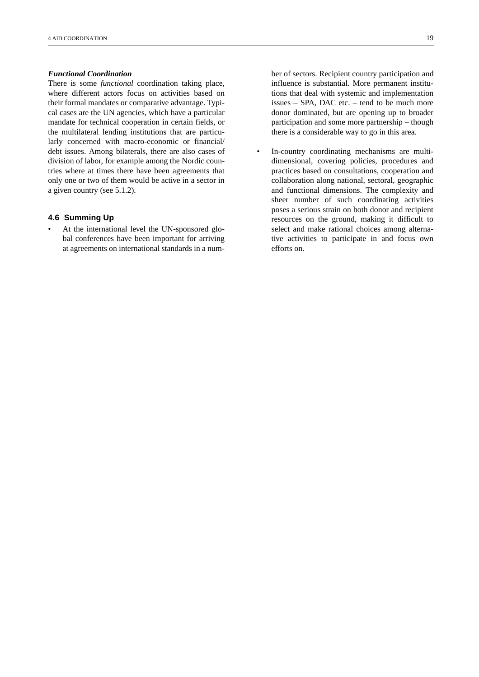#### *Functional Coordination*

There is some *functional* coordination taking place, where different actors focus on activities based on their formal mandates or comparative advantage. Typical cases are the UN agencies, which have a particular mandate for technical cooperation in certain fields, or the multilateral lending institutions that are particularly concerned with macro-economic or financial/ debt issues. Among bilaterals, there are also cases of division of labor, for example among the Nordic countries where at times there have been agreements that only one or two of them would be active in a sector in a given country (see 5.1.2).

#### **4.6 Summing Up**

At the international level the UN-sponsored global conferences have been important for arriving at agreements on international standards in a number of sectors. Recipient country participation and influence is substantial. More permanent institutions that deal with systemic and implementation issues – SPA, DAC etc. – tend to be much more donor dominated, but are opening up to broader participation and some more partnership – though there is a considerable way to go in this area.

• In-country coordinating mechanisms are multidimensional, covering policies, procedures and practices based on consultations, cooperation and collaboration along national, sectoral, geographic and functional dimensions. The complexity and sheer number of such coordinating activities poses a serious strain on both donor and recipient resources on the ground, making it difficult to select and make rational choices among alternative activities to participate in and focus own efforts on.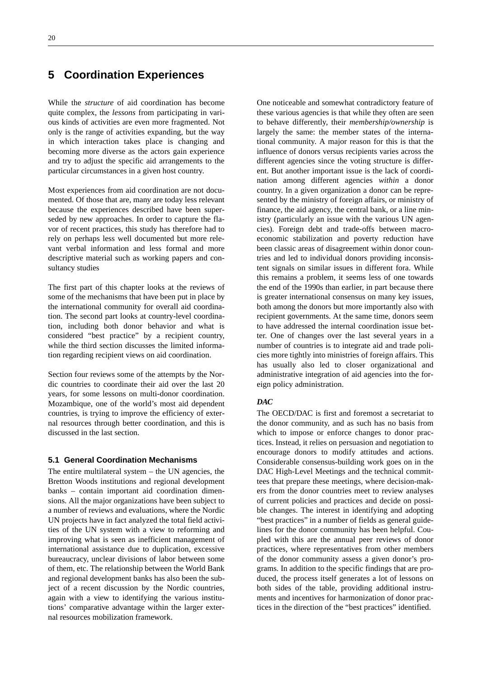## **5 Coordination Experiences**

While the *structure* of aid coordination has become quite complex, the *lessons* from participating in various kinds of activities are even more fragmented. Not only is the range of activities expanding, but the way in which interaction takes place is changing and becoming more diverse as the actors gain experience and try to adjust the specific aid arrangements to the particular circumstances in a given host country.

Most experiences from aid coordination are not documented. Of those that are, many are today less relevant because the experiences described have been superseded by new approaches. In order to capture the flavor of recent practices, this study has therefore had to rely on perhaps less well documented but more relevant verbal information and less formal and more descriptive material such as working papers and consultancy studies

The first part of this chapter looks at the reviews of some of the mechanisms that have been put in place by the international community for overall aid coordination. The second part looks at country-level coordination, including both donor behavior and what is considered "best practice" by a recipient country, while the third section discusses the limited information regarding recipient views on aid coordination.

Section four reviews some of the attempts by the Nordic countries to coordinate their aid over the last 20 years, for some lessons on multi-donor coordination. Mozambique, one of the world's most aid dependent countries, is trying to improve the efficiency of external resources through better coordination, and this is discussed in the last section.

#### **5.1 General Coordination Mechanisms**

The entire multilateral system  $-$  the UN agencies, the Bretton Woods institutions and regional development banks – contain important aid coordination dimensions. All the major organizations have been subject to a number of reviews and evaluations, where the Nordic UN projects have in fact analyzed the total field activities of the UN system with a view to reforming and improving what is seen as inefficient management of international assistance due to duplication, excessive bureaucracy, unclear divisions of labor between some of them, etc. The relationship between the World Bank and regional development banks has also been the subject of a recent discussion by the Nordic countries, again with a view to identifying the various institutions' comparative advantage within the larger external resources mobilization framework.

One noticeable and somewhat contradictory feature of these various agencies is that while they often are seen to behave differently, their *membership/ownership* is largely the same: the member states of the international community. A major reason for this is that the influence of donors versus recipients varies across the different agencies since the voting structure is different. But another important issue is the lack of coordination among different agencies *within* a donor country. In a given organization a donor can be represented by the ministry of foreign affairs, or ministry of finance, the aid agency, the central bank, or a line ministry (particularly an issue with the various UN agencies). Foreign debt and trade-offs between macroeconomic stabilization and poverty reduction have been classic areas of disagreement within donor countries and led to individual donors providing inconsistent signals on similar issues in different fora. While this remains a problem, it seems less of one towards the end of the 1990s than earlier, in part because there is greater international consensus on many key issues, both among the donors but more importantly also with recipient governments. At the same time, donors seem to have addressed the internal coordination issue better. One of changes over the last several years in a number of countries is to integrate aid and trade policies more tightly into ministries of foreign affairs. This has usually also led to closer organizational and administrative integration of aid agencies into the foreign policy administration.

#### *DAC*

The OECD/DAC is first and foremost a secretariat to the donor community, and as such has no basis from which to impose or enforce changes to donor practices. Instead, it relies on persuasion and negotiation to encourage donors to modify attitudes and actions. Considerable consensus-building work goes on in the DAC High-Level Meetings and the technical committees that prepare these meetings, where decision-makers from the donor countries meet to review analyses of current policies and practices and decide on possible changes. The interest in identifying and adopting "best practices" in a number of fields as general guidelines for the donor community has been helpful. Coupled with this are the annual peer reviews of donor practices, where representatives from other members of the donor community assess a given donor's programs. In addition to the specific findings that are produced, the process itself generates a lot of lessons on both sides of the table, providing additional instruments and incentives for harmonization of donor practices in the direction of the "best practices" identified.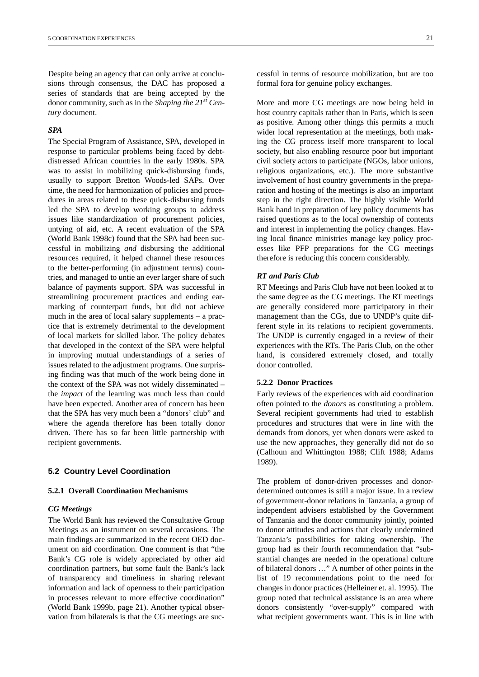Despite being an agency that can only arrive at conclusions through consensus, the DAC has proposed a series of standards that are being accepted by the donor community, such as in the *Shaping the 21st Century* document.

#### *SPA*

The Special Program of Assistance, SPA, developed in response to particular problems being faced by debtdistressed African countries in the early 1980s. SPA was to assist in mobilizing quick-disbursing funds, usually to support Bretton Woods-led SAPs. Over time, the need for harmonization of policies and procedures in areas related to these quick-disbursing funds led the SPA to develop working groups to address issues like standardization of procurement policies, untying of aid, etc. A recent evaluation of the SPA (World Bank 1998c) found that the SPA had been successful in mobilizing *and* disbursing the additional resources required, it helped channel these resources to the better-performing (in adjustment terms) countries, and managed to untie an ever larger share of such balance of payments support. SPA was successful in streamlining procurement practices and ending earmarking of counterpart funds, but did not achieve much in the area of local salary supplements – a practice that is extremely detrimental to the development of local markets for skilled labor. The policy debates that developed in the context of the SPA were helpful in improving mutual understandings of a series of issues related to the adjustment programs. One surprising finding was that much of the work being done in the context of the SPA was not widely disseminated – the *impact* of the learning was much less than could have been expected. Another area of concern has been that the SPA has very much been a "donors' club" and where the agenda therefore has been totally donor driven. There has so far been little partnership with recipient governments.

#### **5.2 Country Level Coordination**

#### **5.2.1 Overall Coordination Mechanisms**

#### *CG Meetings*

The World Bank has reviewed the Consultative Group Meetings as an instrument on several occasions. The main findings are summarized in the recent OED document on aid coordination. One comment is that "the Bank's CG role is widely appreciated by other aid coordination partners, but some fault the Bank's lack of transparency and timeliness in sharing relevant information and lack of openness to their participation in processes relevant to more effective coordination" (World Bank 1999b, page 21). Another typical observation from bilaterals is that the CG meetings are suc-

cessful in terms of resource mobilization, but are too formal fora for genuine policy exchanges.

More and more CG meetings are now being held in host country capitals rather than in Paris, which is seen as positive. Among other things this permits a much wider local representation at the meetings, both making the CG process itself more transparent to local society, but also enabling resource poor but important civil society actors to participate (NGOs, labor unions, religious organizations, etc.). The more substantive involvement of host country governments in the preparation and hosting of the meetings is also an important step in the right direction. The highly visible World Bank hand in preparation of key policy documents has raised questions as to the local ownership of contents and interest in implementing the policy changes. Having local finance ministries manage key policy processes like PFP preparations for the CG meetings therefore is reducing this concern considerably.

#### *RT and Paris Club*

RT Meetings and Paris Club have not been looked at to the same degree as the CG meetings. The RT meetings are generally considered more participatory in their management than the CGs, due to UNDP's quite different style in its relations to recipient governments. The UNDP is currently engaged in a review of their experiences with the RTs. The Paris Club, on the other hand, is considered extremely closed, and totally donor controlled.

#### **5.2.2 Donor Practices**

Early reviews of the experiences with aid coordination often pointed to the *donors* as constituting a problem. Several recipient governments had tried to establish procedures and structures that were in line with the demands from donors, yet when donors were asked to use the new approaches, they generally did not do so (Calhoun and Whittington 1988; Clift 1988; Adams 1989).

The problem of donor-driven processes and donordetermined outcomes is still a major issue. In a review of government-donor relations in Tanzania, a group of independent advisers established by the Government of Tanzania and the donor community jointly, pointed to donor attitudes and actions that clearly undermined Tanzania's possibilities for taking ownership. The group had as their fourth recommendation that "substantial changes are needed in the operational culture of bilateral donors …" A number of other points in the list of 19 recommendations point to the need for changes in donor practices (Helleiner et. al. 1995). The group noted that technical assistance is an area where donors consistently "over-supply" compared with what recipient governments want. This is in line with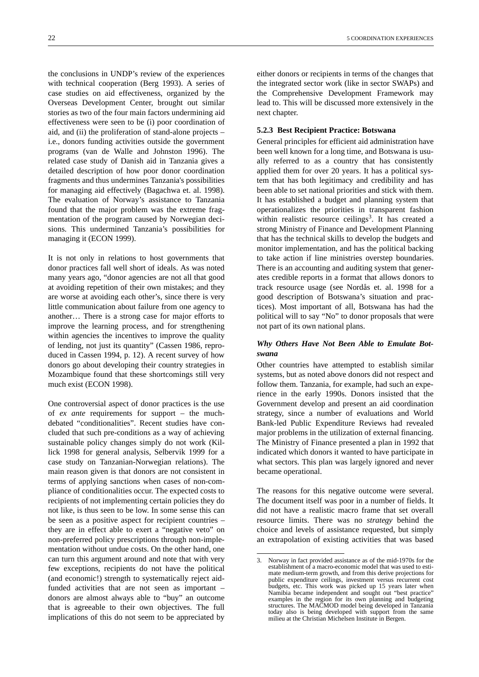the conclusions in UNDP's review of the experiences with technical cooperation (Berg 1993). A series of case studies on aid effectiveness, organized by the Overseas Development Center, brought out similar stories as two of the four main factors undermining aid effectiveness were seen to be (i) poor coordination of aid, and (ii) the proliferation of stand-alone projects – i.e., donors funding activities outside the government programs (van de Walle and Johnston 1996). The related case study of Danish aid in Tanzania gives a detailed description of how poor donor coordination fragments and thus undermines Tanzania's possibilities for managing aid effectively (Bagachwa et. al. 1998). The evaluation of Norway's assistance to Tanzania found that the major problem was the extreme fragmentation of the program caused by Norwegian decisions. This undermined Tanzania's possibilities for managing it (ECON 1999).

It is not only in relations to host governments that donor practices fall well short of ideals. As was noted many years ago, "donor agencies are not all that good at avoiding repetition of their own mistakes; and they are worse at avoiding each other's, since there is very little communication about failure from one agency to another… There is a strong case for major efforts to improve the learning process, and for strengthening within agencies the incentives to improve the quality of lending, not just its quantity" (Cassen 1986, reproduced in Cassen 1994, p. 12). A recent survey of how donors go about developing their country strategies in Mozambique found that these shortcomings still very much exist (ECON 1998).

One controversial aspect of donor practices is the use of *ex ante* requirements for support – the muchdebated "conditionalities". Recent studies have concluded that such pre-conditions as a way of achieving sustainable policy changes simply do not work (Killick 1998 for general analysis, Selbervik 1999 for a case study on Tanzanian-Norwegian relations). The main reason given is that donors are not consistent in terms of applying sanctions when cases of non-compliance of conditionalities occur. The expected costs to recipients of not implementing certain policies they do not like, is thus seen to be low. In some sense this can be seen as a positive aspect for recipient countries – they are in effect able to exert a "negative veto" on non-preferred policy prescriptions through non-implementation without undue costs. On the other hand, one can turn this argument around and note that with very few exceptions, recipients do not have the political (and economic!) strength to systematically reject aidfunded activities that are not seen as important – donors are almost always able to "buy" an outcome that is agreeable to their own objectives. The full implications of this do not seem to be appreciated by

either donors or recipients in terms of the changes that the integrated sector work (like in sector SWAPs) and the Comprehensive Development Framework may lead to. This will be discussed more extensively in the next chapter.

#### **5.2.3 Best Recipient Practice: Botswana**

General principles for efficient aid administration have been well known for a long time, and Botswana is usually referred to as a country that has consistently applied them for over 20 years. It has a political system that has both legitimacy and credibility and has been able to set national priorities and stick with them. It has established a budget and planning system that operationalizes the priorities in transparent fashion within realistic resource ceilings<sup>3</sup>. It has created a strong Ministry of Finance and Development Planning that has the technical skills to develop the budgets and monitor implementation, and has the political backing to take action if line ministries overstep boundaries. There is an accounting and auditing system that generates credible reports in a format that allows donors to track resource usage (see Nordås et. al. 1998 for a good description of Botswana's situation and practices). Most important of all, Botswana has had the political will to say "No" to donor proposals that were not part of its own national plans.

#### *Why Others Have Not Been Able to Emulate Botswana*

Other countries have attempted to establish similar systems, but as noted above donors did not respect and follow them. Tanzania, for example, had such an experience in the early 1990s. Donors insisted that the Government develop and present an aid coordination strategy, since a number of evaluations and World Bank-led Public Expenditure Reviews had revealed major problems in the utilization of external financing. The Ministry of Finance presented a plan in 1992 that indicated which donors it wanted to have participate in what sectors. This plan was largely ignored and never became operational.

The reasons for this negative outcome were several. The document itself was poor in a number of fields. It did not have a realistic macro frame that set overall resource limits. There was no *strategy* behind the choice and levels of assistance requested, but simply an extrapolation of existing activities that was based

<sup>3.</sup> Norway in fact provided assistance as of the mid-1970s for the establishment of a macro-economic model that was used to estimate medium-term growth, and from this derive projections for public expenditure ceilings, investment versus recurrent cost budgets, etc. This work was picked up 15 years later when Namibia became independent and sought out "best practice" examples in the region for its own planning and budgeting structures. The MACMOD model being developed in Tanzania today also is being developed with support from the same milieu at the Christian Michelsen Institute in Bergen.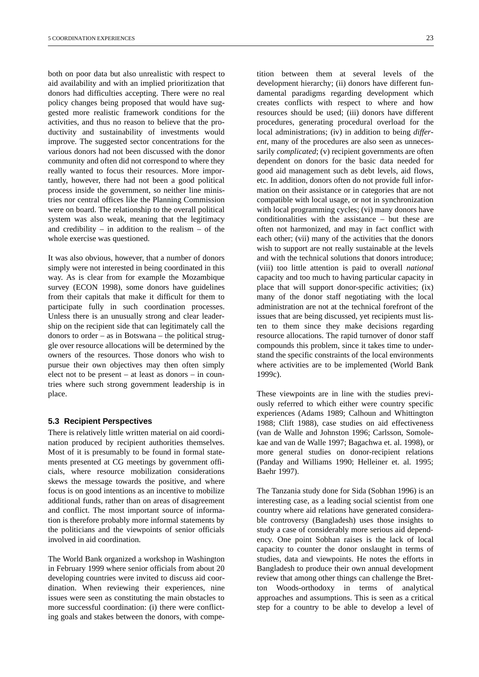both on poor data but also unrealistic with respect to aid availability and with an implied prioritization that donors had difficulties accepting. There were no real policy changes being proposed that would have suggested more realistic framework conditions for the activities, and thus no reason to believe that the productivity and sustainability of investments would improve. The suggested sector concentrations for the various donors had not been discussed with the donor community and often did not correspond to where they really wanted to focus their resources. More importantly, however, there had not been a good political process inside the government, so neither line ministries nor central offices like the Planning Commission were on board. The relationship to the overall political system was also weak, meaning that the legitimacy and credibility – in addition to the realism – of the whole exercise was questioned.

It was also obvious, however, that a number of donors simply were not interested in being coordinated in this way. As is clear from for example the Mozambique survey (ECON 1998), some donors have guidelines from their capitals that make it difficult for them to participate fully in such coordination processes. Unless there is an unusually strong and clear leadership on the recipient side that can legitimately call the donors to order – as in Botswana – the political struggle over resource allocations will be determined by the owners of the resources. Those donors who wish to pursue their own objectives may then often simply elect not to be present – at least as donors – in countries where such strong government leadership is in place.

#### **5.3 Recipient Perspectives**

There is relatively little written material on aid coordination produced by recipient authorities themselves. Most of it is presumably to be found in formal statements presented at CG meetings by government officials, where resource mobilization considerations skews the message towards the positive, and where focus is on good intentions as an incentive to mobilize additional funds, rather than on areas of disagreement and conflict. The most important source of information is therefore probably more informal statements by the politicians and the viewpoints of senior officials involved in aid coordination.

The World Bank organized a workshop in Washington in February 1999 where senior officials from about 20 developing countries were invited to discuss aid coordination. When reviewing their experiences, nine issues were seen as constituting the main obstacles to more successful coordination: (i) there were conflicting goals and stakes between the donors, with compe-

tition between them at several levels of the development hierarchy; (ii) donors have different fundamental paradigms regarding development which creates conflicts with respect to where and how resources should be used; (iii) donors have different procedures, generating procedural overload for the local administrations; (iv) in addition to being *different*, many of the procedures are also seen as unnecessarily *complicated*; (v) recipient governments are often dependent on donors for the basic data needed for good aid management such as debt levels, aid flows, etc. In addition, donors often do not provide full information on their assistance or in categories that are not compatible with local usage, or not in synchronization with local programming cycles; (vi) many donors have conditionalities with the assistance – but these are often not harmonized, and may in fact conflict with each other; (vii) many of the activities that the donors wish to support are not really sustainable at the levels and with the technical solutions that donors introduce; (viii) too little attention is paid to overall *national* capacity and too much to having particular capacity in place that will support donor-specific activities; (ix) many of the donor staff negotiating with the local administration are not at the technical forefront of the issues that are being discussed, yet recipients must listen to them since they make decisions regarding resource allocations. The rapid turnover of donor staff compounds this problem, since it takes time to understand the specific constraints of the local environments where activities are to be implemented (World Bank 1999c).

These viewpoints are in line with the studies previously referred to which either were country specific experiences (Adams 1989; Calhoun and Whittington 1988; Clift 1988), case studies on aid effectiveness (van de Walle and Johnston 1996; Carlsson, Somolekae and van de Walle 1997; Bagachwa et. al. 1998), or more general studies on donor-recipient relations (Panday and Williams 1990; Helleiner et. al. 1995; Baehr 1997).

The Tanzania study done for Sida (Sobhan 1996) is an interesting case, as a leading social scientist from one country where aid relations have generated considerable controversy (Bangladesh) uses those insights to study a case of considerably more serious aid dependency. One point Sobhan raises is the lack of local capacity to counter the donor onslaught in terms of studies, data and viewpoints. He notes the efforts in Bangladesh to produce their own annual development review that among other things can challenge the Bretton Woods-orthodoxy in terms of analytical approaches and assumptions. This is seen as a critical step for a country to be able to develop a level of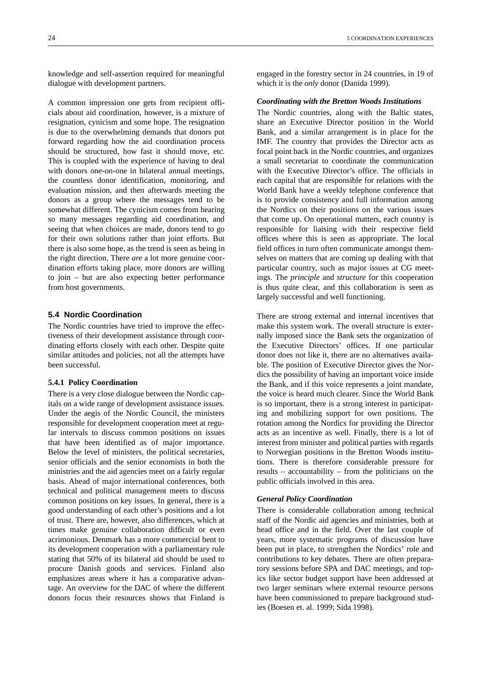knowledge and self-assertion required for meaningful dialogue with development partners.

A common impression one gets from recipient officials about aid coordination, however, is a mixture of resignation, cynicism and some hope. The resignation is due to the overwhelming demands that donors put forward regarding how the aid coordination process should be structured, how fast it should move, etc. This is coupled with the experience of having to deal with donors one-on-one in bilateral annual meetings, the countless donor identification, monitoring, and evaluation mission, and then afterwards meeting the donors as a group where the messages tend to be somewhat different. The cynicism comes from hearing so many messages regarding aid coordination, and seeing that when choices are made, donors tend to go for their own solutions rather than joint efforts. But there is also some hope, as the trend is seen as being in the right direction. There *are* a lot more genuine coordination efforts taking place, more donors are willing to join – but are also expecting better performance from host governments.

#### **5.4 Nordic Coordination**

The Nordic countries have tried to improve the effectiveness of their development assistance through coordinating efforts closely with each other. Despite quite similar attitudes and policies, not all the attempts have been successful.

#### **5.4.1 Policy Coordination**

There is a very close dialogue between the Nordic capitals on a wide range of development assistance issues. Under the aegis of the Nordic Council, the ministers responsible for development cooperation meet at regular intervals to discuss common positions on issues that have been identified as of major importance. Below the level of ministers, the political secretaries, senior officials and the senior economists in both the ministries and the aid agencies meet on a fairly regular basis. Ahead of major international conferences, both technical and political management meets to discuss common positions on key issues. In general, there is a good understanding of each other's positions and a lot of trust. There are, however, also differences, which at times make genuine collaboration difficult or even acrimonious. Denmark has a more commercial bent to its development cooperation with a parliamentary rule stating that 50% of its bilateral aid should be used to procure Danish goods and services. Finland also emphasizes areas where it has a comparative advantage. An overview for the DAC of where the different donors focus their resources shows that Finland is

engaged in the forestry sector in 24 countries, in 19 of which it is the *only* donor (Danida 1999).

#### *Coordinating with the Bretton Woods Institutions*

The Nordic countries, along with the Baltic states, share an Executive Director position in the World Bank, and a similar arrangement is in place for the IMF. The country that provides the Director acts as focal point back in the Nordic countries, and organizes a small secretariat to coordinate the communication with the Executive Director's office. The officials in each capital that are responsible for relations with the World Bank have a weekly telephone conference that is to provide consistency and full information among the Nordics on their positions on the various issues that come up. On operational matters, each country is responsible for liaising with their respective field offices where this is seen as appropriate. The local field offices in turn often communicate amongst themselves on matters that are coming up dealing with that particular country, such as major issues at CG meetings. The *principle* and *structure* for this cooperation is thus quite clear, and this collaboration is seen as largely successful and well functioning.

There are strong external and internal incentives that make this system work. The overall structure is externally imposed since the Bank sets the organization of the Executive Directors' offices. If one particular donor does not like it, there are no alternatives available. The position of Executive Director gives the Nordics the possibility of having an important voice inside the Bank, and if this voice represents a joint mandate, the voice is heard much clearer. Since the World Bank is so important, there is a strong interest in participating and mobilizing support for own positions. The rotation among the Nordics for providing the Director acts as an incentive as well. Finally, there is a lot of interest from minister and political parties with regards to Norwegian positions in the Bretton Woods institutions. There is therefore considerable pressure for results – accountability – from the politicians on the public officials involved in this area.

#### *General Policy Coordination*

There is considerable collaboration among technical staff of the Nordic aid agencies and ministries, both at head office and in the field. Over the last couple of years, more systematic programs of discussion have been put in place, to strengthen the Nordics' role and contributions to key debates. There are often preparatory sessions before SPA and DAC meetings, and topics like sector budget support have been addressed at two larger seminars where external resource persons have been commissioned to prepare background studies (Boesen et. al. 1999; Sida 1998).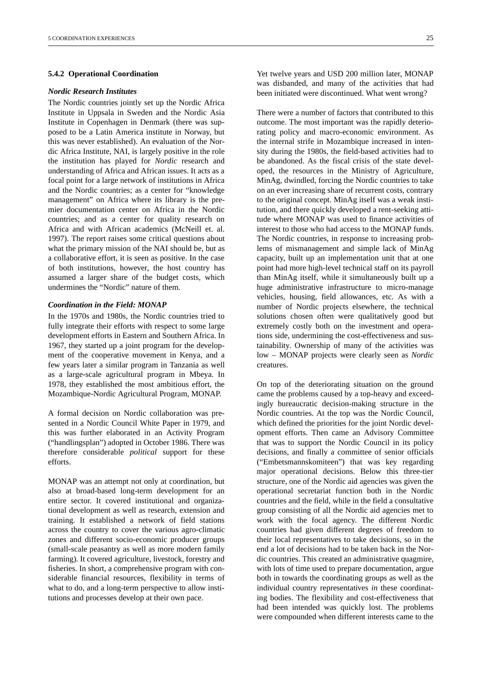#### **5.4.2 Operational Coordination**

#### *Nordic Research Institutes*

The Nordic countries jointly set up the Nordic Africa Institute in Uppsala in Sweden and the Nordic Asia Institute in Copenhagen in Denmark (there was supposed to be a Latin America institute in Norway, but this was never established). An evaluation of the Nordic Africa Institute, NAI, is largely positive in the role the institution has played for *Nordic* research and understanding of Africa and African issues. It acts as a focal point for a large network of institutions in Africa and the Nordic countries; as a center for "knowledge management" on Africa where its library is the premier documentation center on Africa in the Nordic countries; and as a center for quality research on Africa and with African academics (McNeill et. al. 1997). The report raises some critical questions about what the primary mission of the NAI should be, but as a collaborative effort, it is seen as positive. In the case of both institutions, however, the host country has assumed a larger share of the budget costs, which undermines the "Nordic" nature of them.

#### *Coordination in the Field: MONAP*

In the 1970s and 1980s, the Nordic countries tried to fully integrate their efforts with respect to some large development efforts in Eastern and Southern Africa. In 1967, they started up a joint program for the development of the cooperative movement in Kenya, and a few years later a similar program in Tanzania as well as a large-scale agricultural program in Mbeya. In 1978, they established the most ambitious effort, the Mozambique-Nordic Agricultural Program, MONAP.

A formal decision on Nordic collaboration was presented in a Nordic Council White Paper in 1979, and this was further elaborated in an Activity Program ("handlingsplan") adopted in October 1986. There was therefore considerable *political* support for these efforts.

MONAP was an attempt not only at coordination, but also at broad-based long-term development for an entire sector. It covered institutional and organizational development as well as research, extension and training. It established a network of field stations across the country to cover the various agro-climatic zones and different socio-economic producer groups (small-scale peasantry as well as more modern family farming). It covered agriculture, livestock, forestry and fisheries. In short, a comprehensive program with considerable financial resources, flexibility in terms of what to do, and a long-term perspective to allow institutions and processes develop at their own pace.

Yet twelve years and USD 200 million later, MONAP was disbanded, and many of the activities that had been initiated were discontinued. What went wrong?

There were a number of factors that contributed to this outcome. The most important was the rapidly deteriorating policy and macro-economic environment. As the internal strife in Mozambique increased in intensity during the 1980s, the field-based activities had to be abandoned. As the fiscal crisis of the state developed, the resources in the Ministry of Agriculture, MinAg, dwindled, forcing the Nordic countries to take on an ever increasing share of recurrent costs, contrary to the original concept. MinAg itself was a weak institution, and there quickly developed a rent-seeking attitude where MONAP was used to finance activities of interest to those who had access to the MONAP funds. The Nordic countries, in response to increasing problems of mismanagement and simple lack of MinAg capacity, built up an implementation unit that at one point had more high-level technical staff on its payroll than MinAg itself, while it simultaneously built up a huge administrative infrastructure to micro-manage vehicles, housing, field allowances, etc. As with a number of Nordic projects elsewhere, the technical solutions chosen often were qualitatively good but extremely costly both on the investment and operations side, undermining the cost-effectiveness and sustainability. Ownership of many of the activities was low – MONAP projects were clearly seen as *Nordic* creatures.

On top of the deteriorating situation on the ground came the problems caused by a top-heavy and exceedingly bureaucratic decision-making structure in the Nordic countries. At the top was the Nordic Council, which defined the priorities for the joint Nordic development efforts. Then came an Advisory Committee that was to support the Nordic Council in its policy decisions, and finally a committee of senior officials ("Embetsmannskomiteen") that was key regarding major operational decisions. Below this three-tier structure, one of the Nordic aid agencies was given the operational secretariat function both in the Nordic countries and the field, while in the field a consultative group consisting of all the Nordic aid agencies met to work with the focal agency. The different Nordic countries had given different degrees of freedom to their local representatives to take decisions, so in the end a lot of decisions had to be taken back in the Nordic countries. This created an administrative quagmire, with lots of time used to prepare documentation, argue both in towards the coordinating groups as well as the individual country representatives *in* these coordinating bodies. The flexibility and cost-effectiveness that had been intended was quickly lost. The problems were compounded when different interests came to the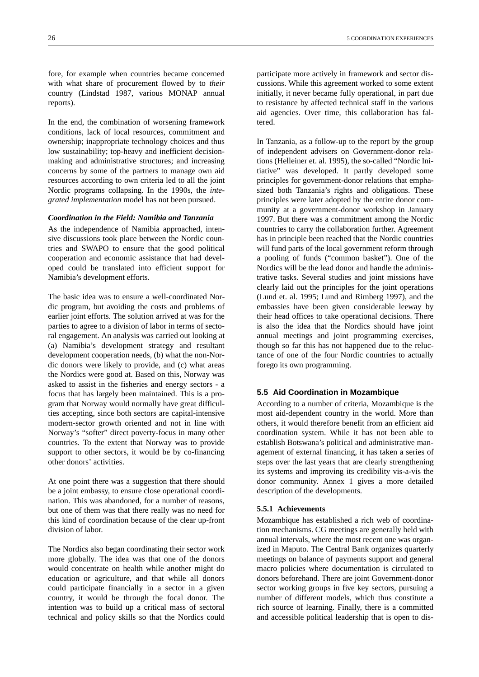fore, for example when countries became concerned with what share of procurement flowed by to *their* country (Lindstad 1987, various MONAP annual reports).

In the end, the combination of worsening framework conditions, lack of local resources, commitment and ownership; inappropriate technology choices and thus low sustainability; top-heavy and inefficient decisionmaking and administrative structures; and increasing concerns by some of the partners to manage own aid resources according to own criteria led to all the joint Nordic programs collapsing. In the 1990s, the *integrated implementation* model has not been pursued.

#### *Coordination in the Field: Namibia and Tanzania*

As the independence of Namibia approached, intensive discussions took place between the Nordic countries and SWAPO to ensure that the good political cooperation and economic assistance that had developed could be translated into efficient support for Namibia's development efforts.

The basic idea was to ensure a well-coordinated Nordic program, but avoiding the costs and problems of earlier joint efforts. The solution arrived at was for the parties to agree to a division of labor in terms of sectoral engagement. An analysis was carried out looking at (a) Namibia's development strategy and resultant development cooperation needs, (b) what the non-Nordic donors were likely to provide, and (c) what areas the Nordics were good at. Based on this, Norway was asked to assist in the fisheries and energy sectors - a focus that has largely been maintained. This is a program that Norway would normally have great difficulties accepting, since both sectors are capital-intensive modern-sector growth oriented and not in line with Norway's "softer" direct poverty-focus in many other countries. To the extent that Norway was to provide support to other sectors, it would be by co-financing other donors' activities.

At one point there was a suggestion that there should be a joint embassy, to ensure close operational coordination. This was abandoned, for a number of reasons, but one of them was that there really was no need for this kind of coordination because of the clear up-front division of labor.

The Nordics also began coordinating their sector work more globally. The idea was that one of the donors would concentrate on health while another might do education or agriculture, and that while all donors could participate financially in a sector in a given country, it would be through the focal donor. The intention was to build up a critical mass of sectoral technical and policy skills so that the Nordics could participate more actively in framework and sector discussions. While this agreement worked to some extent initially, it never became fully operational, in part due to resistance by affected technical staff in the various aid agencies. Over time, this collaboration has faltered.

In Tanzania, as a follow-up to the report by the group of independent advisers on Government-donor relations (Helleiner et. al. 1995), the so-called "Nordic Initiative" was developed. It partly developed some principles for government-donor relations that emphasized both Tanzania's rights and obligations. These principles were later adopted by the entire donor community at a government-donor workshop in January 1997. But there was a commitment among the Nordic countries to carry the collaboration further. Agreement has in principle been reached that the Nordic countries will fund parts of the local government reform through a pooling of funds ("common basket"). One of the Nordics will be the lead donor and handle the administrative tasks. Several studies and joint missions have clearly laid out the principles for the joint operations (Lund et. al. 1995; Lund and Rimberg 1997), and the embassies have been given considerable leeway by their head offices to take operational decisions. There is also the idea that the Nordics should have joint annual meetings and joint programming exercises, though so far this has not happened due to the reluctance of one of the four Nordic countries to actually forego its own programming.

#### **5.5 Aid Coordination in Mozambique**

According to a number of criteria, Mozambique is the most aid-dependent country in the world. More than others, it would therefore benefit from an efficient aid coordination system. While it has not been able to establish Botswana's political and administrative management of external financing, it has taken a series of steps over the last years that are clearly strengthening its systems and improving its credibility vis-a-vis the donor community. Annex 1 gives a more detailed description of the developments.

#### **5.5.1 Achievements**

Mozambique has established a rich web of coordination mechanisms. CG meetings are generally held with annual intervals, where the most recent one was organized in Maputo. The Central Bank organizes quarterly meetings on balance of payments support and general macro policies where documentation is circulated to donors beforehand. There are joint Government-donor sector working groups in five key sectors, pursuing a number of different models, which thus constitute a rich source of learning. Finally, there is a committed and accessible political leadership that is open to dis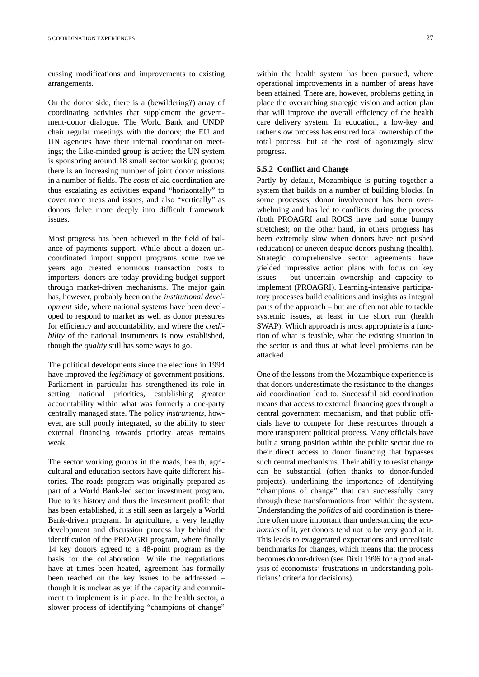cussing modifications and improvements to existing arrangements.

On the donor side, there is a (bewildering?) array of coordinating activities that supplement the government-donor dialogue. The World Bank and UNDP chair regular meetings with the donors; the EU and UN agencies have their internal coordination meetings; the Like-minded group is active; the UN system is sponsoring around 18 small sector working groups; there is an increasing number of joint donor missions in a number of fields. The *costs* of aid coordination are thus escalating as activities expand "horizontally" to cover more areas and issues, and also "vertically" as donors delve more deeply into difficult framework issues.

Most progress has been achieved in the field of balance of payments support. While about a dozen uncoordinated import support programs some twelve years ago created enormous transaction costs to importers, donors are today providing budget support through market-driven mechanisms. The major gain has, however, probably been on the *institutional development* side, where national systems have been developed to respond to market as well as donor pressures for efficiency and accountability, and where the *credibility* of the national instruments is now established, though the *quality* still has some ways to go.

The political developments since the elections in 1994 have improved the *legitimacy* of government positions. Parliament in particular has strengthened its role in setting national priorities, establishing greater accountability within what was formerly a one-party centrally managed state. The policy *instruments,* however, are still poorly integrated, so the ability to steer external financing towards priority areas remains weak.

The sector working groups in the roads, health, agricultural and education sectors have quite different histories. The roads program was originally prepared as part of a World Bank-led sector investment program. Due to its history and thus the investment profile that has been established, it is still seen as largely a World Bank-driven program. In agriculture, a very lengthy development and discussion process lay behind the identification of the PROAGRI program, where finally 14 key donors agreed to a 48-point program as the basis for the collaboration. While the negotiations have at times been heated, agreement has formally been reached on the key issues to be addressed – though it is unclear as yet if the capacity and commitment to implement is in place. In the health sector, a slower process of identifying "champions of change"

within the health system has been pursued, where operational improvements in a number of areas have been attained. There are, however, problems getting in place the overarching strategic vision and action plan that will improve the overall efficiency of the health care delivery system. In education, a low-key and rather slow process has ensured local ownership of the total process, but at the cost of agonizingly slow progress.

#### **5.5.2 Conflict and Change**

Partly by default, Mozambique is putting together a system that builds on a number of building blocks. In some processes, donor involvement has been overwhelming and has led to conflicts during the process (both PROAGRI and ROCS have had some bumpy stretches); on the other hand, in others progress has been extremely slow when donors have not pushed (education) or uneven despite donors pushing (health). Strategic comprehensive sector agreements have yielded impressive action plans with focus on key issues – but uncertain ownership and capacity to implement (PROAGRI). Learning-intensive participatory processes build coalitions and insights as integral parts of the approach – but are often not able to tackle systemic issues, at least in the short run (health SWAP). Which approach is most appropriate is a function of what is feasible, what the existing situation in the sector is and thus at what level problems can be attacked.

One of the lessons from the Mozambique experience is that donors underestimate the resistance to the changes aid coordination lead to. Successful aid coordination means that access to external financing goes through a central government mechanism, and that public officials have to compete for these resources through a more transparent political process. Many officials have built a strong position within the public sector due to their direct access to donor financing that bypasses such central mechanisms. Their ability to resist change can be substantial (often thanks to donor-funded projects), underlining the importance of identifying "champions of change" that can successfully carry through these transformations from within the system. Understanding the *politics* of aid coordination is therefore often more important than understanding the *economics* of it, yet donors tend not to be very good at it. This leads to exaggerated expectations and unrealistic benchmarks for changes, which means that the process becomes donor-driven (see Dixit 1996 for a good analysis of economists' frustrations in understanding politicians' criteria for decisions).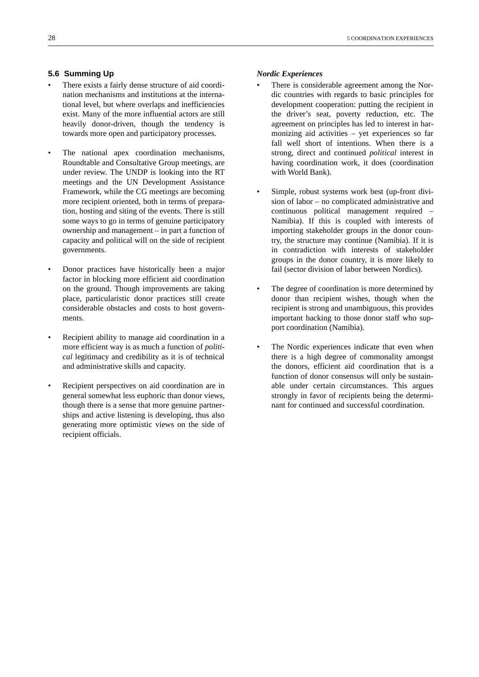#### **5.6 Summing Up**

- There exists a fairly dense structure of aid coordination mechanisms and institutions at the international level, but where overlaps and inefficiencies exist. Many of the more influential actors are still heavily donor-driven, though the tendency is towards more open and participatory processes.
- The national apex coordination mechanisms, Roundtable and Consultative Group meetings, are under review. The UNDP is looking into the RT meetings and the UN Development Assistance Framework, while the CG meetings are becoming more recipient oriented, both in terms of preparation, hosting and siting of the events. There is still some ways to go in terms of genuine participatory ownership and management – in part a function of capacity and political will on the side of recipient governments.
- Donor practices have historically been a major factor in blocking more efficient aid coordination on the ground. Though improvements are taking place, particularistic donor practices still create considerable obstacles and costs to host governments.
- Recipient ability to manage aid coordination in a more efficient way is as much a function of *political* legitimacy and credibility as it is of technical and administrative skills and capacity.
- Recipient perspectives on aid coordination are in general somewhat less euphoric than donor views, though there is a sense that more genuine partnerships and active listening is developing, thus also generating more optimistic views on the side of recipient officials.

#### *Nordic Experiences*

- There is considerable agreement among the Nordic countries with regards to basic principles for development cooperation: putting the recipient in the driver's seat, poverty reduction, etc. The agreement on principles has led to interest in harmonizing aid activities – yet experiences so far fall well short of intentions. When there is a strong, direct and continued *political* interest in having coordination work, it does (coordination with World Bank).
- Simple, robust systems work best (up-front division of labor – no complicated administrative and continuous political management required – Namibia). If this is coupled with interests of importing stakeholder groups in the donor country, the structure may continue (Namibia). If it is in contradiction with interests of stakeholder groups in the donor country, it is more likely to fail (sector division of labor between Nordics).
- The degree of coordination is more determined by donor than recipient wishes, though when the recipient is strong and unambiguous, this provides important backing to those donor staff who support coordination (Namibia).
- The Nordic experiences indicate that even when there is a high degree of commonality amongst the donors, efficient aid coordination that is a function of donor consensus will only be sustainable under certain circumstances. This argues strongly in favor of recipients being the determinant for continued and successful coordination.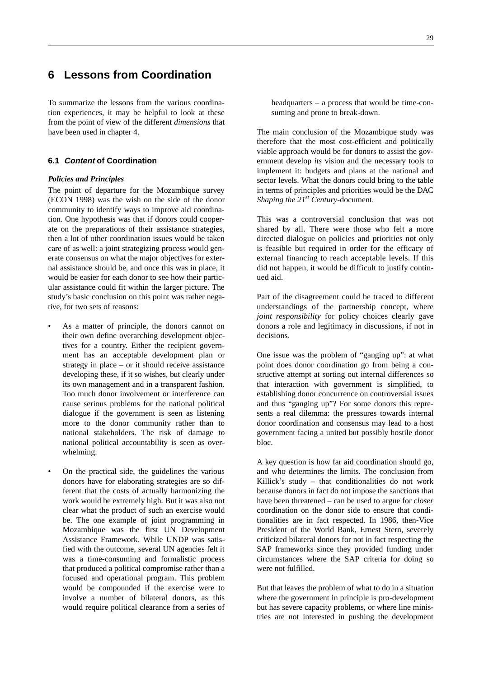## **6 Lessons from Coordination**

To summarize the lessons from the various coordination experiences, it may be helpful to look at these from the point of view of the different *dimensions* that have been used in chapter 4.

#### **6.1 Content of Coordination**

#### *Policies and Principles*

The point of departure for the Mozambique survey (ECON 1998) was the wish on the side of the donor community to identify ways to improve aid coordination. One hypothesis was that if donors could cooperate on the preparations of their assistance strategies, then a lot of other coordination issues would be taken care of as well: a joint strategizing process would generate consensus on what the major objectives for external assistance should be, and once this was in place, it would be easier for each donor to see how their particular assistance could fit within the larger picture. The study's basic conclusion on this point was rather negative, for two sets of reasons:

- As a matter of principle, the donors cannot on their own define overarching development objectives for a country. Either the recipient government has an acceptable development plan or strategy in place – or it should receive assistance developing these, if it so wishes, but clearly under its own management and in a transparent fashion. Too much donor involvement or interference can cause serious problems for the national political dialogue if the government is seen as listening more to the donor community rather than to national stakeholders. The risk of damage to national political accountability is seen as overwhelming.
- On the practical side, the guidelines the various donors have for elaborating strategies are so different that the costs of actually harmonizing the work would be extremely high. But it was also not clear what the product of such an exercise would be. The one example of joint programming in Mozambique was the first UN Development Assistance Framework. While UNDP was satisfied with the outcome, several UN agencies felt it was a time-consuming and formalistic process that produced a political compromise rather than a focused and operational program. This problem would be compounded if the exercise were to involve a number of bilateral donors, as this would require political clearance from a series of

headquarters – a process that would be time-consuming and prone to break-down.

The main conclusion of the Mozambique study was therefore that the most cost-efficient and politically viable approach would be for donors to assist the government develop *its* vision and the necessary tools to implement it: budgets and plans at the national and sector levels. What the donors could bring to the table in terms of principles and priorities would be the DAC *Shaping the 21<sup>st</sup> Century-document.* 

This was a controversial conclusion that was not shared by all. There were those who felt a more directed dialogue on policies and priorities not only is feasible but required in order for the efficacy of external financing to reach acceptable levels. If this did not happen, it would be difficult to justify continued aid.

Part of the disagreement could be traced to different understandings of the partnership concept, where *joint responsibility* for policy choices clearly gave donors a role and legitimacy in discussions, if not in decisions.

One issue was the problem of "ganging up": at what point does donor coordination go from being a constructive attempt at sorting out internal differences so that interaction with government is simplified, to establishing donor concurrence on controversial issues and thus "ganging up"? For some donors this represents a real dilemma: the pressures towards internal donor coordination and consensus may lead to a host government facing a united but possibly hostile donor bloc.

A key question is how far aid coordination should go, and who determines the limits. The conclusion from Killick's study – that conditionalities do not work because donors in fact do not impose the sanctions that have been threatened – can be used to argue for *closer* coordination on the donor side to ensure that conditionalities are in fact respected. In 1986, then-Vice President of the World Bank, Ernest Stern, severely criticized bilateral donors for not in fact respecting the SAP frameworks since they provided funding under circumstances where the SAP criteria for doing so were not fulfilled.

But that leaves the problem of what to do in a situation where the government in principle is pro-development but has severe capacity problems, or where line ministries are not interested in pushing the development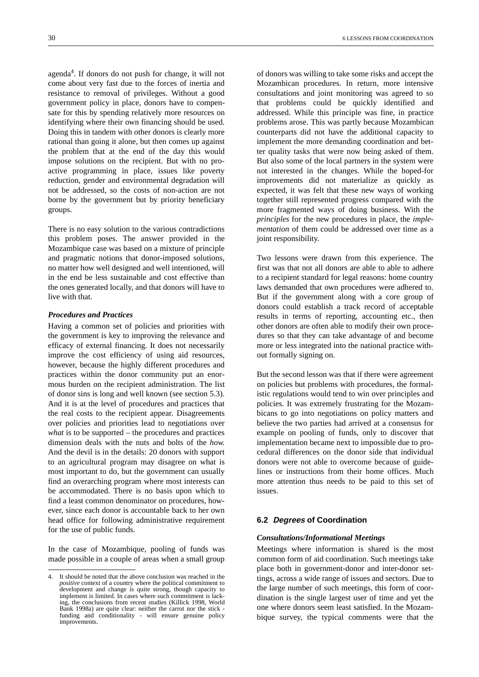agenda4 . If donors do not push for change, it will not come about very fast due to the forces of inertia and resistance to removal of privileges. Without a good government policy in place, donors have to compensate for this by spending relatively more resources on identifying where their own financing should be used. Doing this in tandem with other donors is clearly more rational than going it alone, but then comes up against the problem that at the end of the day this would impose solutions on the recipient. But with no proactive programming in place, issues like poverty reduction, gender and environmental degradation will not be addressed, so the costs of non-action are not borne by the government but by priority beneficiary groups.

There is no easy solution to the various contradictions this problem poses. The answer provided in the Mozambique case was based on a mixture of principle and pragmatic notions that donor-imposed solutions, no matter how well designed and well intentioned, will in the end be less sustainable and cost effective than the ones generated locally, and that donors will have to live with that.

#### *Procedures and Practices*

Having a common set of policies and priorities with the government is key to improving the relevance and efficacy of external financing. It does not necessarily improve the cost efficiency of using aid resources, however, because the highly different procedures and practices within the donor community put an enormous burden on the recipient administration. The list of donor sins is long and well known (see section 5.3). And it is at the level of procedures and practices that the real costs to the recipient appear. Disagreements over policies and priorities lead to negotiations over *what* is to be supported – the procedures and practices dimension deals with the nuts and bolts of the *how.* And the devil is in the details: 20 donors with support to an agricultural program may disagree on what is most important to do, but the government can usually find an overarching program where most interests can be accommodated. There is no basis upon which to find a least common denominator on procedures, however, since each donor is accountable back to her own head office for following administrative requirement for the use of public funds.

In the case of Mozambique, pooling of funds was made possible in a couple of areas when a small group

of donors was willing to take some risks and accept the Mozambican procedures. In return, more intensive consultations and joint monitoring was agreed to so that problems could be quickly identified and addressed. While this principle was fine, in practice problems arose. This was partly because Mozambican counterparts did not have the additional capacity to implement the more demanding coordination and better quality tasks that were now being asked of them. But also some of the local partners in the system were not interested in the changes. While the hoped-for improvements did not materialize as quickly as expected, it was felt that these new ways of working together still represented progress compared with the more fragmented ways of doing business. With the *principles* for the new procedures in place, the *implementation* of them could be addressed over time as a joint responsibility.

Two lessons were drawn from this experience. The first was that not all donors are able to able to adhere to a recipient standard for legal reasons: home country laws demanded that own procedures were adhered to. But if the government along with a core group of donors could establish a track record of acceptable results in terms of reporting, accounting etc., then other donors are often able to modify their own procedures so that they can take advantage of and become more or less integrated into the national practice without formally signing on.

But the second lesson was that if there were agreement on policies but problems with procedures, the formalistic regulations would tend to win over principles and policies. It was extremely frustrating for the Mozambicans to go into negotiations on policy matters and believe the two parties had arrived at a consensus for example on pooling of funds, only to discover that implementation became next to impossible due to procedural differences on the donor side that individual donors were not able to overcome because of guidelines or instructions from their home offices. Much more attention thus needs to be paid to this set of issues.

#### **6.2 Degrees of Coordination**

#### *Consultations/Informational Meetings*

Meetings where information is shared is the most common form of aid coordination. Such meetings take place both in government-donor and inter-donor settings, across a wide range of issues and sectors. Due to the large number of such meetings, this form of coordination is the single largest user of time and yet the one where donors seem least satisfied. In the Mozambique survey, the typical comments were that the

<sup>4.</sup> It should be noted that the above conclusion was reached in the *positive* context of a country where the political commitment to development and change is quite strong, though capacity to implement is limited. In cases where such commitment is lacking, the conclusions from recent studies (Killick 1998, World Bank 1998a) are quite clear: neither the carrot nor the stick funding and conditionality - will ensure genuine policy improvements.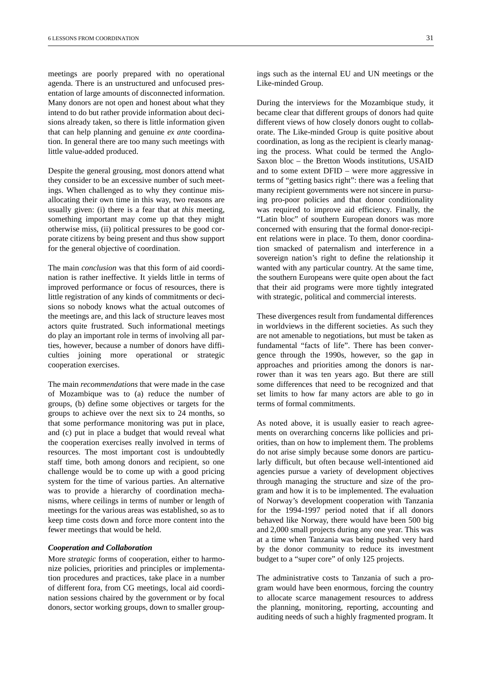meetings are poorly prepared with no operational agenda. There is an unstructured and unfocused presentation of large amounts of disconnected information. Many donors are not open and honest about what they intend to do but rather provide information about decisions already taken, so there is little information given that can help planning and genuine *ex ante* coordination. In general there are too many such meetings with little value-added produced.

Despite the general grousing, most donors attend what they consider to be an excessive number of such meetings. When challenged as to why they continue misallocating their own time in this way, two reasons are usually given: (i) there is a fear that at *this* meeting, something important may come up that they might otherwise miss, (ii) political pressures to be good corporate citizens by being present and thus show support for the general objective of coordination.

The main *conclusion* was that this form of aid coordination is rather ineffective. It yields little in terms of improved performance or focus of resources, there is little registration of any kinds of commitments or decisions so nobody knows what the actual outcomes of the meetings are, and this lack of structure leaves most actors quite frustrated. Such informational meetings do play an important role in terms of involving all parties, however, because a number of donors have difficulties joining more operational or strategic cooperation exercises.

The main *recommendations* that were made in the case of Mozambique was to (a) reduce the number of groups, (b) define some objectives or targets for the groups to achieve over the next six to 24 months, so that some performance monitoring was put in place, and (c) put in place a budget that would reveal what the cooperation exercises really involved in terms of resources. The most important cost is undoubtedly staff time, both among donors and recipient, so one challenge would be to come up with a good pricing system for the time of various parties. An alternative was to provide a hierarchy of coordination mechanisms, where ceilings in terms of number or length of meetings for the various areas was established, so as to keep time costs down and force more content into the fewer meetings that would be held.

#### *Cooperation and Collaboration*

More *strategic* forms of cooperation, either to harmonize policies, priorities and principles or implementation procedures and practices, take place in a number of different fora, from CG meetings, local aid coordination sessions chaired by the government or by focal donors, sector working groups, down to smaller group-

ings such as the internal EU and UN meetings or the Like-minded Group.

During the interviews for the Mozambique study, it became clear that different groups of donors had quite different views of how closely donors ought to collaborate. The Like-minded Group is quite positive about coordination, as long as the recipient is clearly managing the process. What could be termed the Anglo-Saxon bloc – the Bretton Woods institutions, USAID and to some extent DFID – were more aggressive in terms of "getting basics right": there was a feeling that many recipient governments were not sincere in pursuing pro-poor policies and that donor conditionality was required to improve aid efficiency. Finally, the "Latin bloc" of southern European donors was more concerned with ensuring that the formal donor-recipient relations were in place. To them, donor coordination smacked of paternalism and interference in a sovereign nation's right to define the relationship it wanted with any particular country. At the same time, the southern Europeans were quite open about the fact that their aid programs were more tightly integrated with strategic, political and commercial interests.

These divergences result from fundamental differences in worldviews in the different societies. As such they are not amenable to negotiations, but must be taken as fundamental "facts of life". There has been convergence through the 1990s, however, so the gap in approaches and priorities among the donors is narrower than it was ten years ago. But there are still some differences that need to be recognized and that set limits to how far many actors are able to go in terms of formal commitments.

As noted above, it is usually easier to reach agreements on overarching concerns like pollicies and priorities, than on how to implement them. The problems do not arise simply because some donors are particularly difficult, but often because well-intentioned aid agencies pursue a variety of development objectives through managing the structure and size of the program and how it is to be implemented. The evaluation of Norway's development cooperation with Tanzania for the 1994-1997 period noted that if all donors behaved like Norway, there would have been 500 big and 2,000 small projects during any one year. This was at a time when Tanzania was being pushed very hard by the donor community to reduce its investment budget to a "super core" of only 125 projects.

The administrative costs to Tanzania of such a program would have been enormous, forcing the country to allocate scarce management resources to address the planning, monitoring, reporting, accounting and auditing needs of such a highly fragmented program. It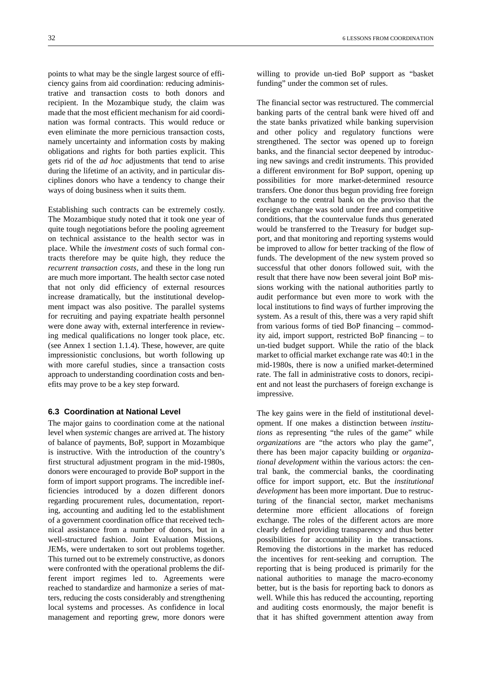points to what may be the single largest source of efficiency gains from aid coordination: reducing administrative and transaction costs to both donors and recipient. In the Mozambique study, the claim was made that the most efficient mechanism for aid coordination was formal contracts. This would reduce or even eliminate the more pernicious transaction costs, namely uncertainty and information costs by making obligations and rights for both parties explicit. This gets rid of the *ad hoc* adjustments that tend to arise during the lifetime of an activity, and in particular disciplines donors who have a tendency to change their ways of doing business when it suits them.

Establishing such contracts can be extremely costly. The Mozambique study noted that it took one year of quite tough negotiations before the pooling agreement on technical assistance to the health sector was in place. While the *investment costs* of such formal contracts therefore may be quite high, they reduce the *recurrent transaction costs*, and these in the long run are much more important. The health sector case noted that not only did efficiency of external resources increase dramatically, but the institutional development impact was also positive. The parallel systems for recruiting and paying expatriate health personnel were done away with, external interference in reviewing medical qualifications no longer took place, etc. (see Annex 1 section 1.1.4). These, however, are quite impressionistic conclusions, but worth following up with more careful studies, since a transaction costs approach to understanding coordination costs and benefits may prove to be a key step forward.

#### **6.3 Coordination at National Level**

The major gains to coordination come at the national level when *systemic* changes are arrived at. The history of balance of payments, BoP, support in Mozambique is instructive. With the introduction of the country's first structural adjustment program in the mid-1980s, donors were encouraged to provide BoP support in the form of import support programs. The incredible inefficiencies introduced by a dozen different donors regarding procurement rules, documentation, reporting, accounting and auditing led to the establishment of a government coordination office that received technical assistance from a number of donors, but in a well-structured fashion. Joint Evaluation Missions, JEMs, were undertaken to sort out problems together. This turned out to be extremely constructive, as donors were confronted with the operational problems the different import regimes led to. Agreements were reached to standardize and harmonize a series of matters, reducing the costs considerably and strengthening local systems and processes. As confidence in local management and reporting grew, more donors were

willing to provide un-tied BoP support as "basket funding" under the common set of rules.

The financial sector was restructured. The commercial banking parts of the central bank were hived off and the state banks privatized while banking supervision and other policy and regulatory functions were strengthened. The sector was opened up to foreign banks, and the financial sector deepened by introducing new savings and credit instruments. This provided a different environment for BoP support, opening up possibilities for more market-determined resource transfers. One donor thus begun providing free foreign exchange to the central bank on the proviso that the foreign exchange was sold under free and competitive conditions, that the countervalue funds thus generated would be transferred to the Treasury for budget support, and that monitoring and reporting systems would be improved to allow for better tracking of the flow of funds. The development of the new system proved so successful that other donors followed suit, with the result that there have now been several joint BoP missions working with the national authorities partly to audit performance but even more to work with the local institutions to find ways of further improving the system. As a result of this, there was a very rapid shift from various forms of tied BoP financing – commodity aid, import support, restricted BoP financing – to un-tied budget support. While the ratio of the black market to official market exchange rate was 40:1 in the mid-1980s, there is now a unified market-determined rate. The fall in administrative costs to donors, recipient and not least the purchasers of foreign exchange is impressive.

The key gains were in the field of institutional development. If one makes a distinction between *institutions* as representing "the rules of the game" while *organizations* are "the actors who play the game", there has been major capacity building or *organizational development* within the various actors: the central bank, the commercial banks, the coordinating office for import support, etc. But the *institutional development* has been more important. Due to restructuring of the financial sector, market mechanisms determine more efficient allocations of foreign exchange. The roles of the different actors are more clearly defined providing transparency and thus better possibilities for accountability in the transactions. Removing the distortions in the market has reduced the incentives for rent-seeking and corruption. The reporting that is being produced is primarily for the national authorities to manage the macro-economy better, but is the basis for reporting back to donors as well. While this has reduced the accounting, reporting and auditing costs enormously, the major benefit is that it has shifted government attention away from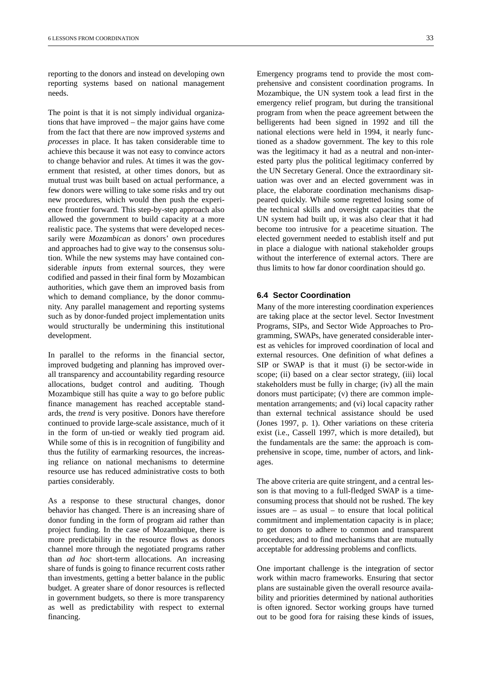reporting to the donors and instead on developing own reporting systems based on national management needs.

The point is that it is not simply individual organizations that have improved – the major gains have come from the fact that there are now improved *systems* and *processes* in place. It has taken considerable time to achieve this because it was not easy to convince actors to change behavior and rules. At times it was the government that resisted, at other times donors, but as mutual trust was built based on actual performance, a few donors were willing to take some risks and try out new procedures, which would then push the experience frontier forward. This step-by-step approach also allowed the government to build capacity at a more realistic pace. The systems that were developed necessarily were *Mozambican* as donors' own procedures and approaches had to give way to the consensus solution. While the new systems may have contained considerable *inputs* from external sources, they were codified and passed in their final form by Mozambican authorities, which gave them an improved basis from which to demand compliance, by the donor community. Any parallel management and reporting systems such as by donor-funded project implementation units would structurally be undermining this institutional development.

In parallel to the reforms in the financial sector, improved budgeting and planning has improved overall transparency and accountability regarding resource allocations, budget control and auditing. Though Mozambique still has quite a way to go before public finance management has reached acceptable standards, the *trend* is very positive. Donors have therefore continued to provide large-scale assistance, much of it in the form of un-tied or weakly tied program aid. While some of this is in recognition of fungibility and thus the futility of earmarking resources, the increasing reliance on national mechanisms to determine resource use has reduced administrative costs to both parties considerably.

As a response to these structural changes, donor behavior has changed. There is an increasing share of donor funding in the form of program aid rather than project funding. In the case of Mozambique, there is more predictability in the resource flows as donors channel more through the negotiated programs rather than *ad hoc* short-term allocations. An increasing share of funds is going to finance recurrent costs rather than investments, getting a better balance in the public budget. A greater share of donor resources is reflected in government budgets, so there is more transparency as well as predictability with respect to external financing.

Emergency programs tend to provide the most comprehensive and consistent coordination programs. In Mozambique, the UN system took a lead first in the emergency relief program, but during the transitional program from when the peace agreement between the belligerents had been signed in 1992 and till the national elections were held in 1994, it nearly functioned as a shadow government. The key to this role was the legitimacy it had as a neutral and non-interested party plus the political legitimacy conferred by the UN Secretary General. Once the extraordinary situation was over and an elected government was in place, the elaborate coordination mechanisms disappeared quickly. While some regretted losing some of the technical skills and oversight capacities that the UN system had built up, it was also clear that it had become too intrusive for a peacetime situation. The elected government needed to establish itself and put in place a dialogue with national stakeholder groups without the interference of external actors. There are thus limits to how far donor coordination should go.

#### **6.4 Sector Coordination**

Many of the more interesting coordination experiences are taking place at the sector level. Sector Investment Programs, SIPs, and Sector Wide Approaches to Programming, SWAPs, have generated considerable interest as vehicles for improved coordination of local and external resources. One definition of what defines a SIP or SWAP is that it must (i) be sector-wide in scope; (ii) based on a clear sector strategy, (iii) local stakeholders must be fully in charge; (iv) all the main donors must participate; (v) there are common implementation arrangements; and (vi) local capacity rather than external technical assistance should be used (Jones 1997, p. 1). Other variations on these criteria exist (i.e., Cassell 1997, which is more detailed), but the fundamentals are the same: the approach is comprehensive in scope, time, number of actors, and linkages.

The above criteria are quite stringent, and a central lesson is that moving to a full-fledged SWAP is a timeconsuming process that should not be rushed. The key issues are – as usual – to ensure that local political commitment and implementation capacity is in place; to get donors to adhere to common and transparent procedures; and to find mechanisms that are mutually acceptable for addressing problems and conflicts.

One important challenge is the integration of sector work within macro frameworks. Ensuring that sector plans are sustainable given the overall resource availability and priorities determined by national authorities is often ignored. Sector working groups have turned out to be good fora for raising these kinds of issues,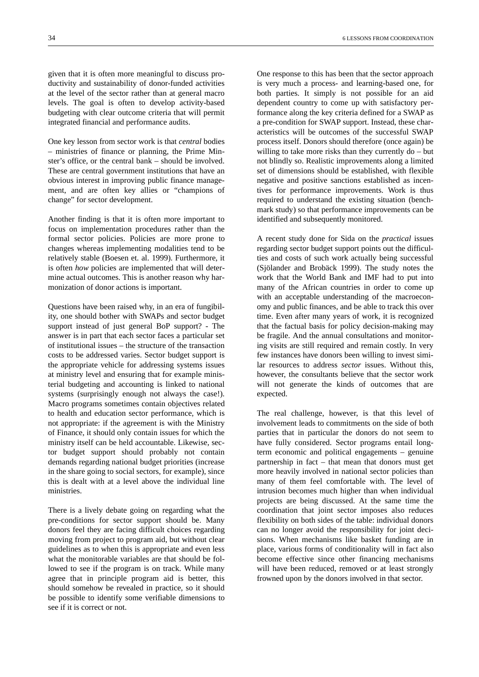given that it is often more meaningful to discuss productivity and sustainability of donor-funded activities at the level of the sector rather than at general macro levels. The goal is often to develop activity-based budgeting with clear outcome criteria that will permit integrated financial and performance audits.

One key lesson from sector work is that *central* bodies – ministries of finance or planning, the Prime Minster's office, or the central bank – should be involved. These are central government institutions that have an obvious interest in improving public finance management, and are often key allies or "champions of change" for sector development.

Another finding is that it is often more important to focus on implementation procedures rather than the formal sector policies. Policies are more prone to changes whereas implementing modalities tend to be relatively stable (Boesen et. al. 1999). Furthermore, it is often *how* policies are implemented that will determine actual outcomes. This is another reason why harmonization of donor actions is important.

Questions have been raised why, in an era of fungibility, one should bother with SWAPs and sector budget support instead of just general BoP support? - The answer is in part that each sector faces a particular set of institutional issues – the structure of the transaction costs to be addressed varies. Sector budget support is the appropriate vehicle for addressing systems issues at ministry level and ensuring that for example ministerial budgeting and accounting is linked to national systems (surprisingly enough not always the case!). Macro programs sometimes contain objectives related to health and education sector performance, which is not appropriate: if the agreement is with the Ministry of Finance, it should only contain issues for which the ministry itself can be held accountable. Likewise, sector budget support should probably not contain demands regarding national budget priorities (increase in the share going to social sectors, for example), since this is dealt with at a level above the individual line ministries.

There is a lively debate going on regarding what the pre-conditions for sector support should be. Many donors feel they are facing difficult choices regarding moving from project to program aid, but without clear guidelines as to when this is appropriate and even less what the monitorable variables are that should be followed to see if the program is on track. While many agree that in principle program aid is better, this should somehow be revealed in practice, so it should be possible to identify some verifiable dimensions to see if it is correct or not.

One response to this has been that the sector approach is very much a process- and learning-based one, for both parties. It simply is not possible for an aid dependent country to come up with satisfactory performance along the key criteria defined for a SWAP as a pre-condition for SWAP support. Instead, these characteristics will be outcomes of the successful SWAP process itself. Donors should therefore (once again) be willing to take more risks than they currently do – but not blindly so. Realistic improvements along a limited set of dimensions should be established, with flexible negative and positive sanctions established as incentives for performance improvements. Work is thus required to understand the existing situation (benchmark study) so that performance improvements can be identified and subsequently monitored.

A recent study done for Sida on the *practical* issues regarding sector budget support points out the difficulties and costs of such work actually being successful (Sjölander and Brobäck 1999). The study notes the work that the World Bank and IMF had to put into many of the African countries in order to come up with an acceptable understanding of the macroeconomy and public finances, and be able to track this over time. Even after many years of work, it is recognized that the factual basis for policy decision-making may be fragile. And the annual consultations and monitoring visits are still required and remain costly. In very few instances have donors been willing to invest similar resources to address *sector* issues. Without this, however, the consultants believe that the sector work will not generate the kinds of outcomes that are expected.

The real challenge, however, is that this level of involvement leads to commitments on the side of both parties that in particular the donors do not seem to have fully considered. Sector programs entail longterm economic and political engagements – genuine partnership in fact – that mean that donors must get more heavily involved in national sector policies than many of them feel comfortable with. The level of intrusion becomes much higher than when individual projects are being discussed. At the same time the coordination that joint sector imposes also reduces flexibility on both sides of the table: individual donors can no longer avoid the responsibility for joint decisions. When mechanisms like basket funding are in place, various forms of conditionality will in fact also become effective since other financing mechanisms will have been reduced, removed or at least strongly frowned upon by the donors involved in that sector.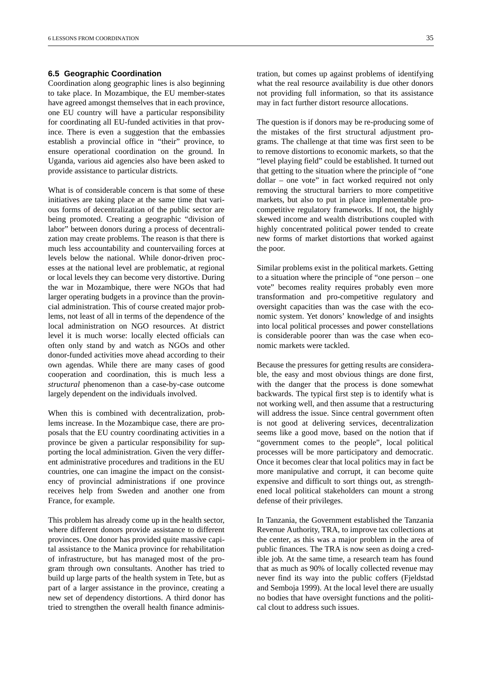#### **6.5 Geographic Coordination**

Coordination along geographic lines is also beginning to take place. In Mozambique, the EU member-states have agreed amongst themselves that in each province, one EU country will have a particular responsibility for coordinating all EU-funded activities in that province. There is even a suggestion that the embassies establish a provincial office in "their" province, to ensure operational coordination on the ground. In Uganda, various aid agencies also have been asked to provide assistance to particular districts.

What is of considerable concern is that some of these initiatives are taking place at the same time that various forms of decentralization of the public sector are being promoted. Creating a geographic "division of labor" between donors during a process of decentralization may create problems. The reason is that there is much less accountability and countervailing forces at levels below the national. While donor-driven processes at the national level are problematic, at regional or local levels they can become very distortive. During the war in Mozambique, there were NGOs that had larger operating budgets in a province than the provincial administration. This of course created major problems, not least of all in terms of the dependence of the local administration on NGO resources. At district level it is much worse: locally elected officials can often only stand by and watch as NGOs and other donor-funded activities move ahead according to their own agendas. While there are many cases of good cooperation and coordination, this is much less a *structural* phenomenon than a case-by-case outcome largely dependent on the individuals involved.

When this is combined with decentralization, problems increase. In the Mozambique case, there are proposals that the EU country coordinating activities in a province be given a particular responsibility for supporting the local administration. Given the very different administrative procedures and traditions in the EU countries, one can imagine the impact on the consistency of provincial administrations if one province receives help from Sweden and another one from France, for example.

This problem has already come up in the health sector, where different donors provide assistance to different provinces. One donor has provided quite massive capital assistance to the Manica province for rehabilitation of infrastructure, but has managed most of the program through own consultants. Another has tried to build up large parts of the health system in Tete, but as part of a larger assistance in the province, creating a new set of dependency distortions. A third donor has tried to strengthen the overall health finance administration, but comes up against problems of identifying what the real resource availability is due other donors not providing full information, so that its assistance may in fact further distort resource allocations.

The question is if donors may be re-producing some of the mistakes of the first structural adjustment programs. The challenge at that time was first seen to be to remove distortions to economic markets, so that the "level playing field" could be established. It turned out that getting to the situation where the principle of "one dollar – one vote" in fact worked required not only removing the structural barriers to more competitive markets, but also to put in place implementable procompetitive regulatory frameworks. If not, the highly skewed income and wealth distributions coupled with highly concentrated political power tended to create new forms of market distortions that worked against the poor.

Similar problems exist in the political markets. Getting to a situation where the principle of "one person – one vote" becomes reality requires probably even more transformation and pro-competitive regulatory and oversight capacities than was the case with the economic system. Yet donors' knowledge of and insights into local political processes and power constellations is considerable poorer than was the case when economic markets were tackled.

Because the pressures for getting results are considerable, the easy and most obvious things are done first, with the danger that the process is done somewhat backwards. The typical first step is to identify what is not working well, and then assume that a restructuring will address the issue. Since central government often is not good at delivering services, decentralization seems like a good move, based on the notion that if "government comes to the people", local political processes will be more participatory and democratic. Once it becomes clear that local politics may in fact be more manipulative and corrupt, it can become quite expensive and difficult to sort things out, as strengthened local political stakeholders can mount a strong defense of their privileges.

In Tanzania, the Government established the Tanzania Revenue Authority, TRA, to improve tax collections at the center, as this was a major problem in the area of public finances. The TRA is now seen as doing a credible job. At the same time, a research team has found that as much as 90% of locally collected revenue may never find its way into the public coffers (Fjeldstad and Semboja 1999). At the local level there are usually no bodies that have oversight functions and the political clout to address such issues.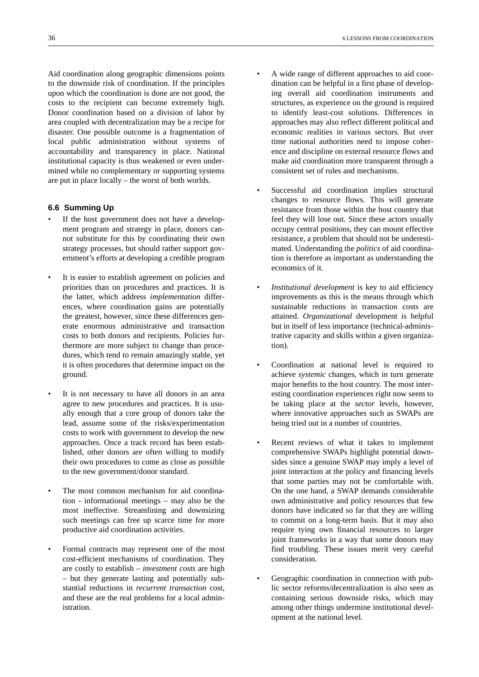Aid coordination along geographic dimensions points to the downside risk of coordination. If the principles upon which the coordination is done are not good, the costs to the recipient can become extremely high. Donor coordination based on a division of labor by area coupled with decentralization may be a recipe for disaster. One possible outcome is a fragmentation of local public administration without systems of accountability and transparency in place. National institutional capacity is thus weakened or even undermined while no complementary or supporting systems are put in place locally – the worst of both worlds.

#### **6.6 Summing Up**

- If the host government does not have a development program and strategy in place, donors cannot substitute for this by coordinating their own strategy processes, but should rather support government's efforts at developing a credible program
- It is easier to establish agreement on policies and priorities than on procedures and practices. It is the latter, which address *implementation* differences, where coordination gains are potentially the greatest, however, since these differences generate enormous administrative and transaction costs to both donors and recipients. Policies furthermore are more subject to change than procedures, which tend to remain amazingly stable, yet it is often procedures that determine impact on the ground.
- It is not necessary to have all donors in an area agree to new procedures and practices. It is usually enough that a core group of donors take the lead, assume some of the risks/experimentation costs to work with government to develop the new approaches. Once a track record has been established, other donors are often willing to modify their own procedures to come as close as possible to the new government/donor standard.
- The most common mechanism for aid coordination - informational meetings – may also be the most ineffective. Streamlining and downsizing such meetings can free up scarce time for more productive aid coordination activities.
- Formal contracts may represent one of the most cost-efficient mechanisms of coordination. They are costly to establish – *investment costs* are high – but they generate lasting and potentially substantial reductions in *recurrent transaction* cost, and these are the real problems for a local administration.
- A wide range of different approaches to aid coordination can be helpful in a first phase of developing overall aid coordination instruments and structures, as experience on the ground is required to identify least-cost solutions. Differences in approaches may also reflect different political and economic realities in various sectors. But over time national authorities need to impose coherence and discipline on external resource flows and make aid coordination more transparent through a consistent set of rules and mechanisms.
- Successful aid coordination implies structural changes to resource flows. This will generate resistance from those within the host country that feel they will lose out. Since these actors usually occupy central positions, they can mount effective resistance, a problem that should not be underestimated. Understanding the *politics* of aid coordination is therefore as important as understanding the economics of it.
- *Institutional development* is key to aid efficiency improvements as this is the means through which sustainable reductions in transaction costs are attained. *Organizational* development is helpful but in itself of less importance (technical-administrative capacity and skills within a given organization).
- Coordination at national level is required to achieve *systemic* changes, which in turn generate major benefits to the host country. The most interesting coordination experiences right now seem to be taking place at the *sector* levels, however, where innovative approaches such as SWAPs are being tried out in a number of countries.
- Recent reviews of what it takes to implement comprehensive SWAPs highlight potential downsides since a genuine SWAP may imply a level of joint interaction at the policy and financing levels that some parties may not be comfortable with. On the one hand, a SWAP demands considerable own administrative and policy resources that few donors have indicated so far that they are willing to commit on a long-term basis. But it may also require tying own financial resources to larger joint frameworks in a way that some donors may find troubling. These issues merit very careful consideration.
- Geographic coordination in connection with public sector reforms/decentralization is also seen as containing serious downside risks, which may among other things undermine institutional development at the national level.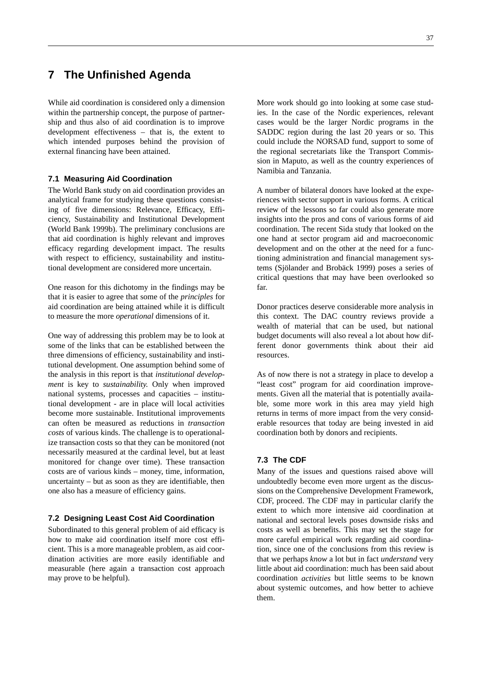## **7 The Unfinished Agenda**

While aid coordination is considered only a dimension within the partnership concept, the purpose of partnership and thus also of aid coordination is to improve development effectiveness – that is, the extent to which intended purposes behind the provision of external financing have been attained.

#### **7.1 Measuring Aid Coordination**

The World Bank study on aid coordination provides an analytical frame for studying these questions consisting of five dimensions: Relevance, Efficacy, Efficiency, Sustainability and Institutional Development (World Bank 1999b). The preliminary conclusions are that aid coordination is highly relevant and improves efficacy regarding development impact. The results with respect to efficiency, sustainability and institutional development are considered more uncertain.

One reason for this dichotomy in the findings may be that it is easier to agree that some of the *principles* for aid coordination are being attained while it is difficult to measure the more *operational* dimensions of it.

One way of addressing this problem may be to look at some of the links that can be established between the three dimensions of efficiency, sustainability and institutional development. One assumption behind some of the analysis in this report is that *institutional development* is key to *sustainability.* Only when improved national systems, processes and capacities – institutional development - are in place will local activities become more sustainable. Institutional improvements can often be measured as reductions in *transaction costs* of various kinds. The challenge is to operationalize transaction costs so that they can be monitored (not necessarily measured at the cardinal level, but at least monitored for change over time). These transaction costs are of various kinds – money, time, information, uncertainty – but as soon as they are identifiable, then one also has a measure of efficiency gains.

#### **7.2 Designing Least Cost Aid Coordination**

Subordinated to this general problem of aid efficacy is how to make aid coordination itself more cost efficient. This is a more manageable problem, as aid coordination activities are more easily identifiable and measurable (here again a transaction cost approach may prove to be helpful).

More work should go into looking at some case studies. In the case of the Nordic experiences, relevant cases would be the larger Nordic programs in the SADDC region during the last 20 years or so. This could include the NORSAD fund, support to some of the regional secretariats like the Transport Commission in Maputo, as well as the country experiences of Namibia and Tanzania.

A number of bilateral donors have looked at the experiences with sector support in various forms. A critical review of the lessons so far could also generate more insights into the pros and cons of various forms of aid coordination. The recent Sida study that looked on the one hand at sector program aid and macroeconomic development and on the other at the need for a functioning administration and financial management systems (Sjölander and Brobäck 1999) poses a series of critical questions that may have been overlooked so far.

Donor practices deserve considerable more analysis in this context. The DAC country reviews provide a wealth of material that can be used, but national budget documents will also reveal a lot about how different donor governments think about their aid resources.

As of now there is not a strategy in place to develop a "least cost" program for aid coordination improvements. Given all the material that is potentially available, some more work in this area may yield high returns in terms of more impact from the very considerable resources that today are being invested in aid coordination both by donors and recipients.

#### **7.3 The CDF**

Many of the issues and questions raised above will undoubtedly become even more urgent as the discussions on the Comprehensive Development Framework, CDF, proceed. The CDF may in particular clarify the extent to which more intensive aid coordination at national and sectoral levels poses downside risks and costs as well as benefits. This may set the stage for more careful empirical work regarding aid coordination, since one of the conclusions from this review is that we perhaps *know* a lot but in fact *understand* very little about aid coordination: much has been said about coordination *activities* but little seems to be known about systemic outcomes, and how better to achieve them.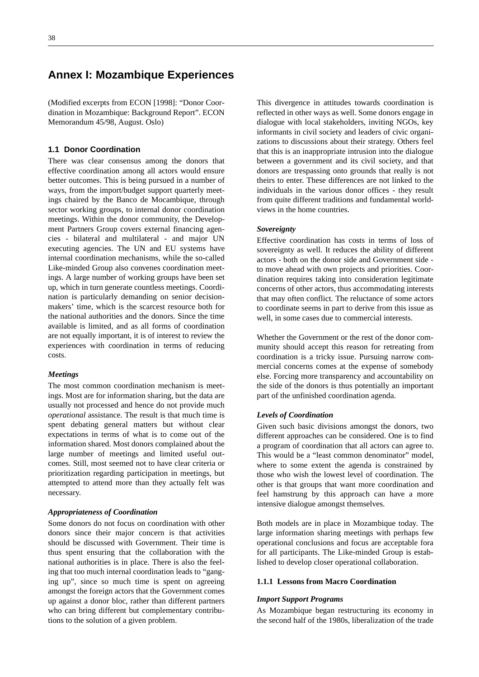### **Annex I: Mozambique Experiences**

(Modified excerpts from ECON [1998]: "Donor Coordination in Mozambique: Background Report". ECON Memorandum 45/98, August. Oslo)

#### **1.1 Donor Coordination**

There was clear consensus among the donors that effective coordination among all actors would ensure better outcomes. This is being pursued in a number of ways, from the import/budget support quarterly meetings chaired by the Banco de Mocambique, through sector working groups, to internal donor coordination meetings. Within the donor community, the Development Partners Group covers external financing agencies - bilateral and multilateral - and major UN executing agencies. The UN and EU systems have internal coordination mechanisms, while the so-called Like-minded Group also convenes coordination meetings. A large number of working groups have been set up, which in turn generate countless meetings. Coordination is particularly demanding on senior decisionmakers' time, which is the scarcest resource both for the national authorities and the donors. Since the time available is limited, and as all forms of coordination are not equally important, it is of interest to review the experiences with coordination in terms of reducing costs.

#### *Meetings*

The most common coordination mechanism is meetings. Most are for information sharing, but the data are usually not processed and hence do not provide much *operational* assistance. The result is that much time is spent debating general matters but without clear expectations in terms of what is to come out of the information shared. Most donors complained about the large number of meetings and limited useful outcomes. Still, most seemed not to have clear criteria or prioritization regarding participation in meetings, but attempted to attend more than they actually felt was necessary.

#### *Appropriateness of Coordination*

Some donors do not focus on coordination with other donors since their major concern is that activities should be discussed with Government. Their time is thus spent ensuring that the collaboration with the national authorities is in place. There is also the feeling that too much internal coordination leads to "ganging up", since so much time is spent on agreeing amongst the foreign actors that the Government comes up against a donor bloc, rather than different partners who can bring different but complementary contributions to the solution of a given problem.

This divergence in attitudes towards coordination is reflected in other ways as well. Some donors engage in dialogue with local stakeholders, inviting NGOs, key informants in civil society and leaders of civic organizations to discussions about their strategy. Others feel that this is an inappropriate intrusion into the dialogue between a government and its civil society, and that donors are trespassing onto grounds that really is not theirs to enter. These differences are not linked to the individuals in the various donor offices - they result from quite different traditions and fundamental worldviews in the home countries.

#### *Sovereignty*

Effective coordination has costs in terms of loss of sovereignty as well. It reduces the ability of different actors - both on the donor side and Government side to move ahead with own projects and priorities. Coordination requires taking into consideration legitimate concerns of other actors, thus accommodating interests that may often conflict. The reluctance of some actors to coordinate seems in part to derive from this issue as well, in some cases due to commercial interests.

Whether the Government or the rest of the donor community should accept this reason for retreating from coordination is a tricky issue. Pursuing narrow commercial concerns comes at the expense of somebody else. Forcing more transparency and accountability on the side of the donors is thus potentially an important part of the unfinished coordination agenda.

#### *Levels of Coordination*

Given such basic divisions amongst the donors, two different approaches can be considered. One is to find a program of coordination that all actors can agree to. This would be a "least common denominator" model, where to some extent the agenda is constrained by those who wish the lowest level of coordination. The other is that groups that want more coordination and feel hamstrung by this approach can have a more intensive dialogue amongst themselves.

Both models are in place in Mozambique today. The large information sharing meetings with perhaps few operational conclusions and focus are acceptable fora for all participants. The Like-minded Group is established to develop closer operational collaboration.

#### **1.1.1 Lessons from Macro Coordination**

#### *Import Support Programs*

As Mozambique began restructuring its economy in the second half of the 1980s, liberalization of the trade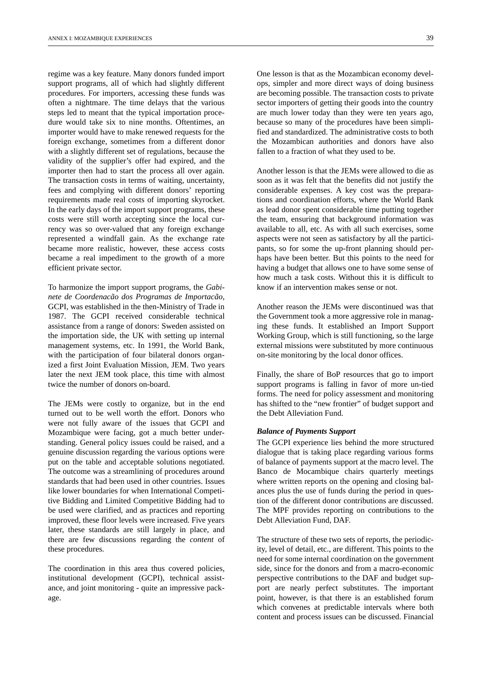regime was a key feature. Many donors funded import support programs, all of which had slightly different procedures. For importers, accessing these funds was often a nightmare. The time delays that the various steps led to meant that the typical importation procedure would take six to nine months. Oftentimes, an importer would have to make renewed requests for the foreign exchange, sometimes from a different donor with a slightly different set of regulations, because the validity of the supplier's offer had expired, and the importer then had to start the process all over again. The transaction costs in terms of waiting, uncertainty, fees and complying with different donors' reporting requirements made real costs of importing skyrocket. In the early days of the import support programs, these costs were still worth accepting since the local currency was so over-valued that any foreign exchange represented a windfall gain. As the exchange rate became more realistic, however, these access costs became a real impediment to the growth of a more efficient private sector.

To harmonize the import support programs, the *Gabinete de Coordenacão dos Programas de Importacão*, GCPI, was established in the then-Ministry of Trade in 1987. The GCPI received considerable technical assistance from a range of donors: Sweden assisted on the importation side, the UK with setting up internal management systems, etc. In 1991, the World Bank, with the participation of four bilateral donors organized a first Joint Evaluation Mission, JEM. Two years later the next JEM took place, this time with almost twice the number of donors on-board.

The JEMs were costly to organize, but in the end turned out to be well worth the effort. Donors who were not fully aware of the issues that GCPI and Mozambique were facing, got a much better understanding. General policy issues could be raised, and a genuine discussion regarding the various options were put on the table and acceptable solutions negotiated. The outcome was a streamlining of procedures around standards that had been used in other countries. Issues like lower boundaries for when International Competitive Bidding and Limited Competitive Bidding had to be used were clarified, and as practices and reporting improved, these floor levels were increased. Five years later, these standards are still largely in place, and there are few discussions regarding the *content* of these procedures.

The coordination in this area thus covered policies, institutional development (GCPI), technical assistance, and joint monitoring - quite an impressive package.

One lesson is that as the Mozambican economy develops, simpler and more direct ways of doing business are becoming possible. The transaction costs to private sector importers of getting their goods into the country are much lower today than they were ten years ago, because so many of the procedures have been simplified and standardized. The administrative costs to both the Mozambican authorities and donors have also fallen to a fraction of what they used to be.

Another lesson is that the JEMs were allowed to die as soon as it was felt that the benefits did not justify the considerable expenses. A key cost was the preparations and coordination efforts, where the World Bank as lead donor spent considerable time putting together the team, ensuring that background information was available to all, etc. As with all such exercises, some aspects were not seen as satisfactory by all the participants, so for some the up-front planning should perhaps have been better. But this points to the need for having a budget that allows one to have some sense of how much a task costs. Without this it is difficult to know if an intervention makes sense or not.

Another reason the JEMs were discontinued was that the Government took a more aggressive role in managing these funds. It established an Import Support Working Group, which is still functioning, so the large external missions were substituted by more continuous on-site monitoring by the local donor offices.

Finally, the share of BoP resources that go to import support programs is falling in favor of more un-tied forms. The need for policy assessment and monitoring has shifted to the "new frontier" of budget support and the Debt Alleviation Fund.

#### *Balance of Payments Support*

The GCPI experience lies behind the more structured dialogue that is taking place regarding various forms of balance of payments support at the macro level. The Banco de Mocambique chairs quarterly meetings where written reports on the opening and closing balances plus the use of funds during the period in question of the different donor contributions are discussed. The MPF provides reporting on contributions to the Debt Alleviation Fund, DAF.

The structure of these two sets of reports, the periodicity, level of detail, etc., are different. This points to the need for some internal coordination on the government side, since for the donors and from a macro-economic perspective contributions to the DAF and budget support are nearly perfect substitutes. The important point, however, is that there is an established forum which convenes at predictable intervals where both content and process issues can be discussed. Financial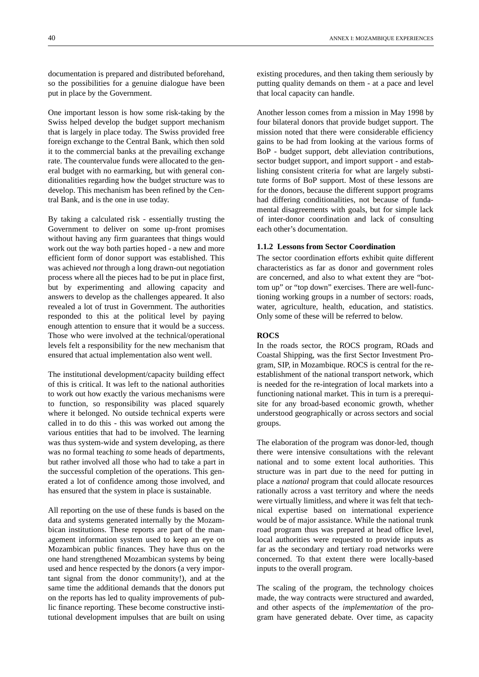documentation is prepared and distributed beforehand, so the possibilities for a genuine dialogue have been put in place by the Government.

One important lesson is how some risk-taking by the Swiss helped develop the budget support mechanism that is largely in place today. The Swiss provided free foreign exchange to the Central Bank, which then sold it to the commercial banks at the prevailing exchange rate. The countervalue funds were allocated to the general budget with no earmarking, but with general conditionalities regarding how the budget structure was to develop. This mechanism has been refined by the Central Bank, and is the one in use today.

By taking a calculated risk - essentially trusting the Government to deliver on some up-front promises without having any firm guarantees that things would work out the way both parties hoped - a new and more efficient form of donor support was established. This was achieved *not* through a long drawn-out negotiation process where all the pieces had to be put in place first, but by experimenting and allowing capacity and answers to develop as the challenges appeared. It also revealed a lot of trust in Government. The authorities responded to this at the political level by paying enough attention to ensure that it would be a success. Those who were involved at the technical/operational levels felt a responsibility for the new mechanism that ensured that actual implementation also went well.

The institutional development/capacity building effect of this is critical. It was left to the national authorities to work out how exactly the various mechanisms were to function, so responsibility was placed squarely where it belonged. No outside technical experts were called in to do this - this was worked out among the various entities that had to be involved. The learning was thus system-wide and system developing, as there was no formal teaching *to* some heads of departments, but rather involved all those who had to take a part in the successful completion of the operations. This generated a lot of confidence among those involved, and has ensured that the system in place is sustainable.

All reporting on the use of these funds is based on the data and systems generated internally by the Mozambican institutions. These reports are part of the management information system used to keep an eye on Mozambican public finances. They have thus on the one hand strengthened Mozambican systems by being used and hence respected by the donors (a very important signal from the donor community!), and at the same time the additional demands that the donors put on the reports has led to quality improvements of public finance reporting. These become constructive institutional development impulses that are built on using

existing procedures, and then taking them seriously by putting quality demands on them - at a pace and level that local capacity can handle.

Another lesson comes from a mission in May 1998 by four bilateral donors that provide budget support. The mission noted that there were considerable efficiency gains to be had from looking at the various forms of BoP - budget support, debt alleviation contributions, sector budget support, and import support - and establishing consistent criteria for what are largely substitute forms of BoP support. Most of these lessons are for the donors, because the different support programs had differing conditionalities, not because of fundamental disagreements with goals, but for simple lack of inter-donor coordination and lack of consulting each other's documentation.

#### **1.1.2 Lessons from Sector Coordination**

The sector coordination efforts exhibit quite different characteristics as far as donor and government roles are concerned, and also to what extent they are "bottom up" or "top down" exercises. There are well-functioning working groups in a number of sectors: roads, water, agriculture, health, education, and statistics. Only some of these will be referred to below.

#### **ROCS**

In the roads sector, the ROCS program, ROads and Coastal Shipping, was the first Sector Investment Program, SIP, in Mozambique. ROCS is central for the reestablishment of the national transport network, which is needed for the re-integration of local markets into a functioning national market. This in turn is a prerequisite for any broad-based economic growth, whether understood geographically or across sectors and social groups.

The elaboration of the program was donor-led, though there were intensive consultations with the relevant national and to some extent local authorities. This structure was in part due to the need for putting in place a *national* program that could allocate resources rationally across a vast territory and where the needs were virtually limitless, and where it was felt that technical expertise based on international experience would be of major assistance. While the national trunk road program thus was prepared at head office level, local authorities were requested to provide inputs as far as the secondary and tertiary road networks were concerned. To that extent there were locally-based inputs to the overall program.

The scaling of the program, the technology choices made, the way contracts were structured and awarded, and other aspects of the *implementation* of the program have generated debate. Over time, as capacity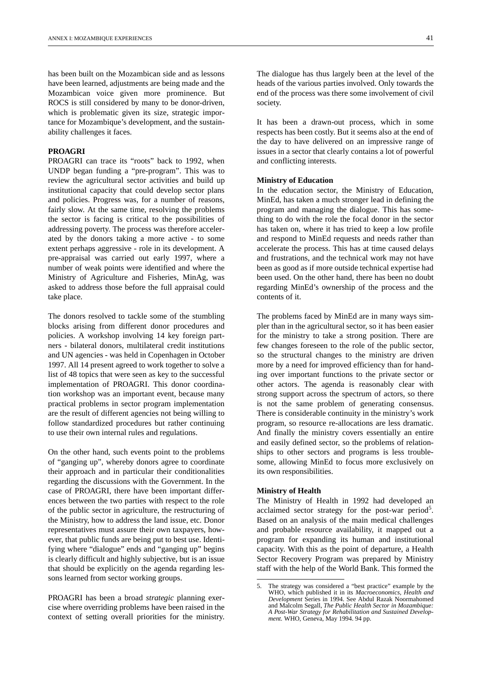has been built on the Mozambican side and as lessons have been learned, adjustments are being made and the Mozambican voice given more prominence. But ROCS is still considered by many to be donor-driven, which is problematic given its size, strategic importance for Mozambique's development, and the sustainability challenges it faces.

#### **PROAGRI**

PROAGRI can trace its "roots" back to 1992, when UNDP began funding a "pre-program". This was to review the agricultural sector activities and build up institutional capacity that could develop sector plans and policies. Progress was, for a number of reasons, fairly slow. At the same time, resolving the problems the sector is facing is critical to the possibilities of addressing poverty. The process was therefore accelerated by the donors taking a more active - to some extent perhaps aggressive - role in its development. A pre-appraisal was carried out early 1997, where a number of weak points were identified and where the Ministry of Agriculture and Fisheries, MinAg, was asked to address those before the full appraisal could take place.

The donors resolved to tackle some of the stumbling blocks arising from different donor procedures and policies. A workshop involving 14 key foreign partners - bilateral donors, multilateral credit institutions and UN agencies - was held in Copenhagen in October 1997. All 14 present agreed to work together to solve a list of 48 topics that were seen as key to the successful implementation of PROAGRI. This donor coordination workshop was an important event, because many practical problems in sector program implementation are the result of different agencies not being willing to follow standardized procedures but rather continuing to use their own internal rules and regulations.

On the other hand, such events point to the problems of "ganging up", whereby donors agree to coordinate their approach and in particular their conditionalities regarding the discussions with the Government. In the case of PROAGRI, there have been important differences between the two parties with respect to the role of the public sector in agriculture, the restructuring of the Ministry, how to address the land issue, etc. Donor representatives must assure their own taxpayers, however, that public funds are being put to best use. Identifying where "dialogue" ends and "ganging up" begins is clearly difficult and highly subjective, but is an issue that should be explicitly on the agenda regarding lessons learned from sector working groups.

PROAGRI has been a broad *strategic* planning exercise where overriding problems have been raised in the context of setting overall priorities for the ministry. The dialogue has thus largely been at the level of the heads of the various parties involved. Only towards the end of the process was there some involvement of civil society.

It has been a drawn-out process, which in some respects has been costly. But it seems also at the end of the day to have delivered on an impressive range of issues in a sector that clearly contains a lot of powerful and conflicting interests.

#### **Ministry of Education**

In the education sector, the Ministry of Education, MinEd, has taken a much stronger lead in defining the program and managing the dialogue. This has something to do with the role the focal donor in the sector has taken on, where it has tried to keep a low profile and respond to MinEd requests and needs rather than accelerate the process. This has at time caused delays and frustrations, and the technical work may not have been as good as if more outside technical expertise had been used. On the other hand, there has been no doubt regarding MinEd's ownership of the process and the contents of it.

The problems faced by MinEd are in many ways simpler than in the agricultural sector, so it has been easier for the ministry to take a strong position. There are few changes foreseen to the role of the public sector, so the structural changes to the ministry are driven more by a need for improved efficiency than for handing over important functions to the private sector or other actors. The agenda is reasonably clear with strong support across the spectrum of actors, so there is not the same problem of generating consensus. There is considerable continuity in the ministry's work program, so resource re-allocations are less dramatic. And finally the ministry covers essentially an entire and easily defined sector, so the problems of relationships to other sectors and programs is less troublesome, allowing MinEd to focus more exclusively on its own responsibilities.

#### **Ministry of Health**

The Ministry of Health in 1992 had developed an acclaimed sector strategy for the post-war period<sup>5</sup>. Based on an analysis of the main medical challenges and probable resource availability, it mapped out a program for expanding its human and institutional capacity. With this as the point of departure, a Health Sector Recovery Program was prepared by Ministry staff with the help of the World Bank. This formed the

<sup>5.</sup> The strategy was considered a "best practice" example by the WHO, which published it in its *Macroeconomics, Health and Development* Series in 1994. See Abdul Razak Noormahomed and Malcolm Segall, *The Public Health Sector in Mozambiaue*: *A Post-War Strategy for Rehabilitation and Sustained Development.* WHO, Geneva, May 1994. 94 pp.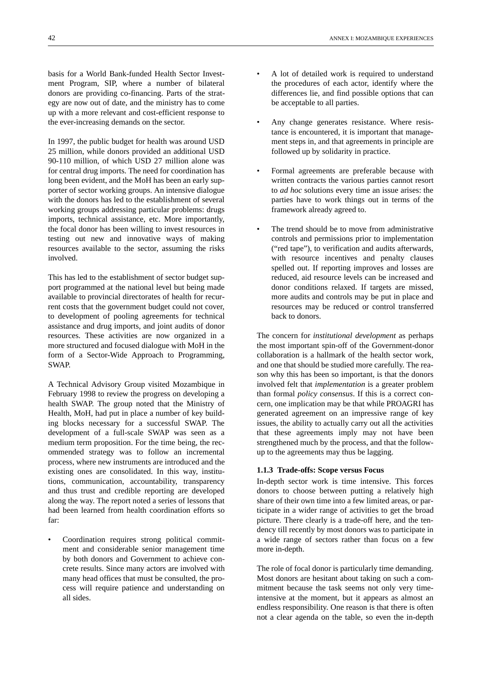basis for a World Bank-funded Health Sector Investment Program, SIP, where a number of bilateral donors are providing co-financing. Parts of the strategy are now out of date, and the ministry has to come up with a more relevant and cost-efficient response to the ever-increasing demands on the sector.

In 1997, the public budget for health was around USD 25 million, while donors provided an additional USD 90-110 million, of which USD 27 million alone was for central drug imports. The need for coordination has long been evident, and the MoH has been an early supporter of sector working groups. An intensive dialogue with the donors has led to the establishment of several working groups addressing particular problems: drugs imports, technical assistance, etc. More importantly, the focal donor has been willing to invest resources in testing out new and innovative ways of making resources available to the sector, assuming the risks involved.

This has led to the establishment of sector budget support programmed at the national level but being made available to provincial directorates of health for recurrent costs that the government budget could not cover, to development of pooling agreements for technical assistance and drug imports, and joint audits of donor resources. These activities are now organized in a more structured and focused dialogue with MoH in the form of a Sector-Wide Approach to Programming, SWAP.

A Technical Advisory Group visited Mozambique in February 1998 to review the progress on developing a health SWAP. The group noted that the Ministry of Health, MoH, had put in place a number of key building blocks necessary for a successful SWAP. The development of a full-scale SWAP was seen as a medium term proposition. For the time being, the recommended strategy was to follow an incremental process, where new instruments are introduced and the existing ones are consolidated. In this way, institutions, communication, accountability, transparency and thus trust and credible reporting are developed along the way. The report noted a series of lessons that had been learned from health coordination efforts so far:

• Coordination requires strong political commitment and considerable senior management time by both donors and Government to achieve concrete results. Since many actors are involved with many head offices that must be consulted, the process will require patience and understanding on all sides.

- A lot of detailed work is required to understand the procedures of each actor, identify where the differences lie, and find possible options that can be acceptable to all parties.
- Any change generates resistance. Where resistance is encountered, it is important that management steps in, and that agreements in principle are followed up by solidarity in practice.
- Formal agreements are preferable because with written contracts the various parties cannot resort to *ad hoc* solutions every time an issue arises: the parties have to work things out in terms of the framework already agreed to.
- The trend should be to move from administrative controls and permissions prior to implementation ("red tape"), to verification and audits afterwards, with resource incentives and penalty clauses spelled out. If reporting improves and losses are reduced, aid resource levels can be increased and donor conditions relaxed. If targets are missed, more audits and controls may be put in place and resources may be reduced or control transferred back to donors.

The concern for *institutional development* as perhaps the most important spin-off of the Government-donor collaboration is a hallmark of the health sector work, and one that should be studied more carefully. The reason why this has been so important, is that the donors involved felt that *implementation* is a greater problem than formal *policy consensus*. If this is a correct concern, one implication may be that while PROAGRI has generated agreement on an impressive range of key issues, the ability to actually carry out all the activities that these agreements imply may not have been strengthened much by the process, and that the followup to the agreements may thus be lagging.

#### **1.1.3 Trade-offs: Scope versus Focus**

In-depth sector work is time intensive. This forces donors to choose between putting a relatively high share of their own time into a few limited areas, or participate in a wider range of activities to get the broad picture. There clearly is a trade-off here, and the tendency till recently by most donors was to participate in a wide range of sectors rather than focus on a few more in-depth.

The role of focal donor is particularly time demanding. Most donors are hesitant about taking on such a commitment because the task seems not only very timeintensive at the moment, but it appears as almost an endless responsibility. One reason is that there is often not a clear agenda on the table, so even the in-depth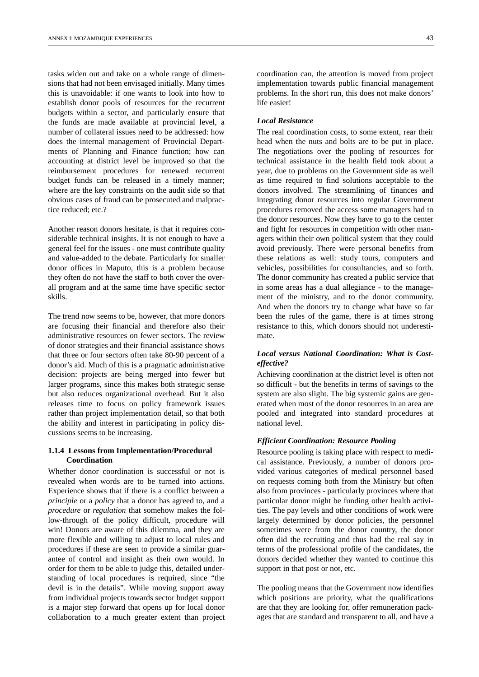tasks widen out and take on a whole range of dimensions that had not been envisaged initially. Many times this is unavoidable: if one wants to look into how to establish donor pools of resources for the recurrent budgets within a sector, and particularly ensure that the funds are made available at provincial level, a number of collateral issues need to be addressed: how does the internal management of Provincial Departments of Planning and Finance function; how can accounting at district level be improved so that the reimbursement procedures for renewed recurrent budget funds can be released in a timely manner; where are the key constraints on the audit side so that obvious cases of fraud can be prosecuted and malpractice reduced; etc.?

Another reason donors hesitate, is that it requires considerable technical insights. It is not enough to have a general feel for the issues - one must contribute quality and value-added to the debate. Particularly for smaller donor offices in Maputo, this is a problem because they often do not have the staff to both cover the overall program and at the same time have specific sector skills.

The trend now seems to be, however, that more donors are focusing their financial and therefore also their administrative resources on fewer sectors. The review of donor strategies and their financial assistance shows that three or four sectors often take 80-90 percent of a donor's aid. Much of this is a pragmatic administrative decision: projects are being merged into fewer but larger programs, since this makes both strategic sense but also reduces organizational overhead. But it also releases time to focus on policy framework issues rather than project implementation detail, so that both the ability and interest in participating in policy discussions seems to be increasing.

#### **1.1.4 Lessons from Implementation/Procedural Coordination**

Whether donor coordination is successful or not is revealed when words are to be turned into actions. Experience shows that if there is a conflict between a *principle* or a *policy* that a donor has agreed to, and a *procedure* or *regulation* that somehow makes the follow-through of the policy difficult, procedure will win! Donors are aware of this dilemma, and they are more flexible and willing to adjust to local rules and procedures if these are seen to provide a similar guarantee of control and insight as their own would. In order for them to be able to judge this, detailed understanding of local procedures is required, since "the devil is in the details". While moving support away from individual projects towards sector budget support is a major step forward that opens up for local donor collaboration to a much greater extent than project

coordination can, the attention is moved from project implementation towards public financial management problems. In the short run, this does not make donors' life easier!

#### *Local Resistance*

The real coordination costs, to some extent, rear their head when the nuts and bolts are to be put in place. The negotiations over the pooling of resources for technical assistance in the health field took about a year, due to problems on the Government side as well as time required to find solutions acceptable to the donors involved. The streamlining of finances and integrating donor resources into regular Government procedures removed the access some managers had to the donor resources. Now they have to go to the center and fight for resources in competition with other managers within their own political system that they could avoid previously. There were personal benefits from these relations as well: study tours, computers and vehicles, possibilities for consultancies, and so forth. The donor community has created a public service that in some areas has a dual allegiance - to the management of the ministry, and to the donor community. And when the donors try to change what have so far been the rules of the game, there is at times strong resistance to this, which donors should not underestimate.

#### *Local versus National Coordination: What is Costeffective?*

Achieving coordination at the district level is often not so difficult - but the benefits in terms of savings to the system are also slight. The big systemic gains are generated when most of the donor resources in an area are pooled and integrated into standard procedures at national level.

#### *Efficient Coordination: Resource Pooling*

Resource pooling is taking place with respect to medical assistance. Previously, a number of donors provided various categories of medical personnel based on requests coming both from the Ministry but often also from provinces - particularly provinces where that particular donor might be funding other health activities. The pay levels and other conditions of work were largely determined by donor policies, the personnel sometimes were from the donor country, the donor often did the recruiting and thus had the real say in terms of the professional profile of the candidates, the donors decided whether they wanted to continue this support in that post or not, etc.

The pooling means that the Government now identifies which positions are priority, what the qualifications are that they are looking for, offer remuneration packages that are standard and transparent to all, and have a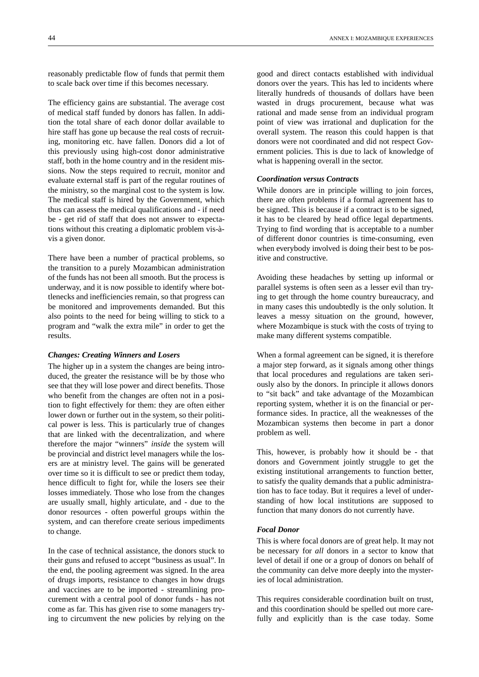reasonably predictable flow of funds that permit them to scale back over time if this becomes necessary.

The efficiency gains are substantial. The average cost of medical staff funded by donors has fallen. In addition the total share of each donor dollar available to hire staff has gone up because the real costs of recruiting, monitoring etc. have fallen. Donors did a lot of this previously using high-cost donor administrative staff, both in the home country and in the resident missions. Now the steps required to recruit, monitor and evaluate external staff is part of the regular routines of the ministry, so the marginal cost to the system is low. The medical staff is hired by the Government, which thus can assess the medical qualifications and - if need be - get rid of staff that does not answer to expectations without this creating a diplomatic problem vis-àvis a given donor.

There have been a number of practical problems, so the transition to a purely Mozambican administration of the funds has not been all smooth. But the process is underway, and it is now possible to identify where bottlenecks and inefficiencies remain, so that progress can be monitored and improvements demanded. But this also points to the need for being willing to stick to a program and "walk the extra mile" in order to get the results.

#### *Changes: Creating Winners and Losers*

The higher up in a system the changes are being introduced, the greater the resistance will be by those who see that they will lose power and direct benefits. Those who benefit from the changes are often not in a position to fight effectively for them: they are often either lower down or further out in the system, so their political power is less. This is particularly true of changes that are linked with the decentralization, and where therefore the major "winners" *inside* the system will be provincial and district level managers while the losers are at ministry level. The gains will be generated over time so it is difficult to see or predict them today, hence difficult to fight for, while the losers see their losses immediately. Those who lose from the changes are usually small, highly articulate, and - due to the donor resources - often powerful groups within the system, and can therefore create serious impediments to change.

In the case of technical assistance, the donors stuck to their guns and refused to accept "business as usual". In the end, the pooling agreement was signed. In the area of drugs imports, resistance to changes in how drugs and vaccines are to be imported - streamlining procurement with a central pool of donor funds - has not come as far. This has given rise to some managers trying to circumvent the new policies by relying on the

good and direct contacts established with individual donors over the years. This has led to incidents where literally hundreds of thousands of dollars have been wasted in drugs procurement, because what was rational and made sense from an individual program point of view was irrational and duplication for the overall system. The reason this could happen is that donors were not coordinated and did not respect Government policies. This is due to lack of knowledge of what is happening overall in the sector.

#### *Coordination versus Contracts*

While donors are in principle willing to join forces, there are often problems if a formal agreement has to be signed. This is because if a contract is to be signed, it has to be cleared by head office legal departments. Trying to find wording that is acceptable to a number of different donor countries is time-consuming, even when everybody involved is doing their best to be positive and constructive.

Avoiding these headaches by setting up informal or parallel systems is often seen as a lesser evil than trying to get through the home country bureaucracy, and in many cases this undoubtedly is the only solution. It leaves a messy situation on the ground, however, where Mozambique is stuck with the costs of trying to make many different systems compatible.

When a formal agreement can be signed, it is therefore a major step forward, as it signals among other things that local procedures and regulations are taken seriously also by the donors. In principle it allows donors to "sit back" and take advantage of the Mozambican reporting system, whether it is on the financial or performance sides. In practice, all the weaknesses of the Mozambican systems then become in part a donor problem as well.

This, however, is probably how it should be - that donors and Government jointly struggle to get the existing institutional arrangements to function better, to satisfy the quality demands that a public administration has to face today. But it requires a level of understanding of how local institutions are supposed to function that many donors do not currently have.

#### *Focal Donor*

This is where focal donors are of great help. It may not be necessary for *all* donors in a sector to know that level of detail if one or a group of donors on behalf of the community can delve more deeply into the mysteries of local administration.

This requires considerable coordination built on trust, and this coordination should be spelled out more carefully and explicitly than is the case today. Some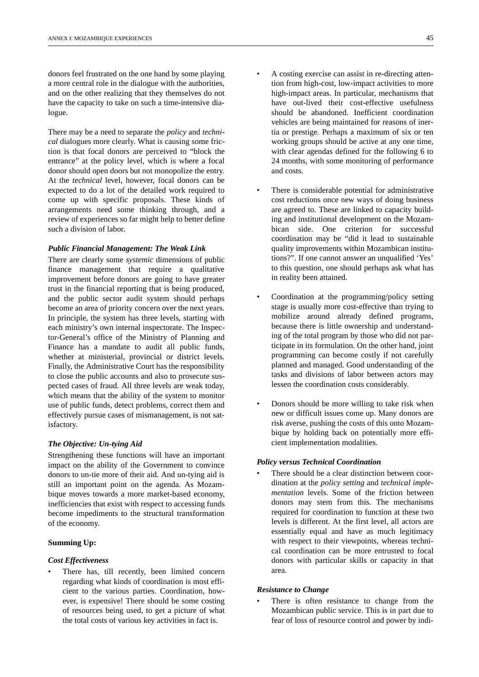donors feel frustrated on the one hand by some playing a more central role in the dialogue with the authorities, and on the other realizing that they themselves do not have the capacity to take on such a time-intensive dialogue.

There may be a need to separate the *policy* and *technical* dialogues more clearly. What is causing some friction is that focal donors are perceived to "block the entrance" at the policy level, which is where a focal donor should open doors but not monopolize the entry. At the *technical* level, however, focal donors can be expected to do a lot of the detailed work required to come up with specific proposals. These kinds of arrangements need some thinking through, and a review of experiences so far might help to better define such a division of labor.

#### *Public Financial Management: The Weak Link*

There are clearly some *systemic* dimensions of public finance management that require a qualitative improvement before donors are going to have greater trust in the financial reporting that is being produced, and the public sector audit system should perhaps become an area of priority concern over the next years. In principle, the system has three levels, starting with each ministry's own internal inspectorate. The Inspector-General's office of the Ministry of Planning and Finance has a mandate to audit all public funds, whether at ministerial, provincial or district levels. Finally, the Administrative Court has the responsibility to close the public accounts and also to prosecute suspected cases of fraud. All three levels are weak today, which means that the ability of the system to monitor use of public funds, detect problems, correct them and effectively pursue cases of mismanagement, is not satisfactory.

#### *The Objective: Un-tying Aid*

Strengthening these functions will have an important impact on the ability of the Government to convince donors to un-tie more of their aid. And un-tying aid is still an important point on the agenda. As Mozambique moves towards a more market-based economy, inefficiencies that exist with respect to accessing funds become impediments to the structural transformation of the economy.

#### **Summing Up:**

#### *Cost Effectiveness*

There has, till recently, been limited concern regarding what kinds of coordination is most efficient to the various parties. Coordination, however, is expensive! There should be some costing of resources being used, to get a picture of what the total costs of various key activities in fact is.

- A costing exercise can assist in re-directing attention from high-cost, low-impact activities to more high-impact areas. In particular, mechanisms that have out-lived their cost-effective usefulness should be abandoned. Inefficient coordination vehicles are being maintained for reasons of inertia or prestige. Perhaps a maximum of six or ten working groups should be active at any one time, with clear agendas defined for the following 6 to 24 months, with some monitoring of performance and costs.
- There is considerable potential for administrative cost reductions once new ways of doing business are agreed to. These are linked to capacity building and institutional development on the Mozambican side. One criterion for successful coordination may be "did it lead to sustainable quality improvements within Mozambican institutions?". If one cannot answer an unqualified 'Yes' to this question, one should perhaps ask what has in reality been attained.
- Coordination at the programming/policy setting stage is usually more cost-effective than trying to mobilize around already defined programs, because there is little ownership and understanding of the total program by those who did not participate in its formulation. On the other hand, joint programming can become costly if not carefully planned and managed. Good understanding of the tasks and divisions of labor between actors may lessen the coordination costs considerably.
- Donors should be more willing to take risk when new or difficult issues come up. Many donors are risk averse, pushing the costs of this onto Mozambique by holding back on potentially more efficient implementation modalities.

#### *Policy versus Technical Coordination*

There should be a clear distinction between coordination at the *policy setting* and *technical implementation* levels. Some of the friction between donors may stem from this. The mechanisms required for coordination to function at these two levels is different. At the first level, all actors are essentially equal and have as much legitimacy with respect to their viewpoints, whereas technical coordination can be more entrusted to focal donors with particular skills or capacity in that area.

#### *Resistance to Change*

There is often resistance to change from the Mozambican public service. This is in part due to fear of loss of resource control and power by indi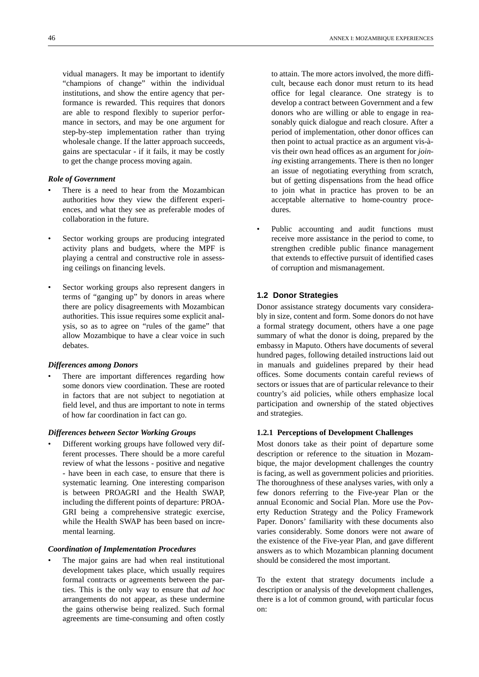vidual managers. It may be important to identify "champions of change" within the individual institutions, and show the entire agency that performance is rewarded. This requires that donors are able to respond flexibly to superior performance in sectors, and may be one argument for step-by-step implementation rather than trying wholesale change. If the latter approach succeeds, gains are spectacular - if it fails, it may be costly to get the change process moving again.

#### *Role of Government*

- There is a need to hear from the Mozambican authorities how they view the different experiences, and what they see as preferable modes of collaboration in the future.
- Sector working groups are producing integrated activity plans and budgets, where the MPF is playing a central and constructive role in assessing ceilings on financing levels.
- Sector working groups also represent dangers in terms of "ganging up" by donors in areas where there are policy disagreements with Mozambican authorities. This issue requires some explicit analysis, so as to agree on "rules of the game" that allow Mozambique to have a clear voice in such debates.

#### *Differences among Donors*

There are important differences regarding how some donors view coordination. These are rooted in factors that are not subject to negotiation at field level, and thus are important to note in terms of how far coordination in fact can go.

#### *Differences between Sector Working Groups*

Different working groups have followed very different processes. There should be a more careful review of what the lessons - positive and negative - have been in each case, to ensure that there is systematic learning. One interesting comparison is between PROAGRI and the Health SWAP, including the different points of departure: PROA-GRI being a comprehensive strategic exercise, while the Health SWAP has been based on incremental learning.

#### *Coordination of Implementation Procedures*

The major gains are had when real institutional development takes place, which usually requires formal contracts or agreements between the parties. This is the only way to ensure that *ad hoc* arrangements do not appear, as these undermine the gains otherwise being realized. Such formal agreements are time-consuming and often costly

to attain. The more actors involved, the more difficult, because each donor must return to its head office for legal clearance. One strategy is to develop a contract between Government and a few donors who are willing or able to engage in reasonably quick dialogue and reach closure. After a period of implementation, other donor offices can then point to actual practice as an argument vis-àvis their own head offices as an argument for *joining* existing arrangements. There is then no longer an issue of negotiating everything from scratch, but of getting dispensations from the head office to join what in practice has proven to be an acceptable alternative to home-country procedures.

Public accounting and audit functions must receive more assistance in the period to come, to strengthen credible public finance management that extends to effective pursuit of identified cases of corruption and mismanagement.

#### **1.2 Donor Strategies**

Donor assistance strategy documents vary considerably in size, content and form. Some donors do not have a formal strategy document, others have a one page summary of what the donor is doing, prepared by the embassy in Maputo. Others have documents of several hundred pages, following detailed instructions laid out in manuals and guidelines prepared by their head offices. Some documents contain careful reviews of sectors or issues that are of particular relevance to their country's aid policies, while others emphasize local participation and ownership of the stated objectives and strategies.

#### **1.2.1 Perceptions of Development Challenges**

Most donors take as their point of departure some description or reference to the situation in Mozambique, the major development challenges the country is facing, as well as government policies and priorities. The thoroughness of these analyses varies, with only a few donors referring to the Five-year Plan or the annual Economic and Social Plan. More use the Poverty Reduction Strategy and the Policy Framework Paper. Donors' familiarity with these documents also varies considerably. Some donors were not aware of the existence of the Five-year Plan, and gave different answers as to which Mozambican planning document should be considered the most important.

To the extent that strategy documents include a description or analysis of the development challenges, there is a lot of common ground, with particular focus on: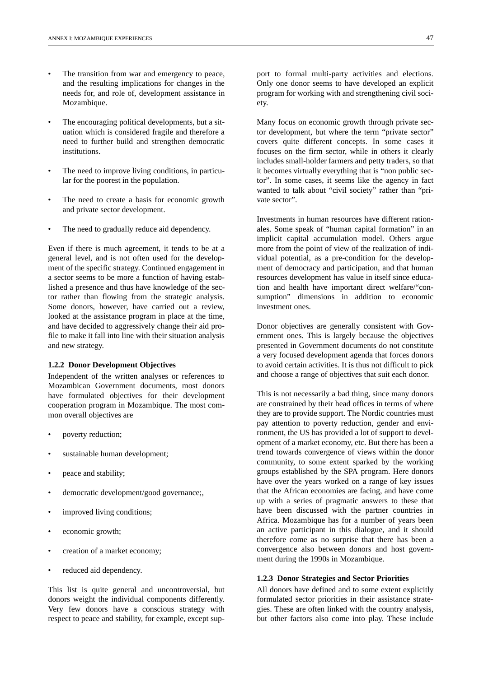- The transition from war and emergency to peace, and the resulting implications for changes in the needs for, and role of, development assistance in Mozambique.
- The encouraging political developments, but a situation which is considered fragile and therefore a need to further build and strengthen democratic institutions.
- The need to improve living conditions, in particular for the poorest in the population.
- The need to create a basis for economic growth and private sector development.
- The need to gradually reduce aid dependency.

Even if there is much agreement, it tends to be at a general level, and is not often used for the development of the specific strategy. Continued engagement in a sector seems to be more a function of having established a presence and thus have knowledge of the sector rather than flowing from the strategic analysis. Some donors, however, have carried out a review, looked at the assistance program in place at the time, and have decided to aggressively change their aid profile to make it fall into line with their situation analysis and new strategy.

#### **1.2.2 Donor Development Objectives**

Independent of the written analyses or references to Mozambican Government documents, most donors have formulated objectives for their development cooperation program in Mozambique. The most common overall objectives are

- poverty reduction;
- sustainable human development;
- peace and stability;
- democratic development/good governance;,
- improved living conditions;
- economic growth;
- creation of a market economy;
- reduced aid dependency.

This list is quite general and uncontroversial, but donors weight the individual components differently. Very few donors have a conscious strategy with respect to peace and stability, for example, except support to formal multi-party activities and elections. Only one donor seems to have developed an explicit program for working with and strengthening civil society.

Many focus on economic growth through private sector development, but where the term "private sector" covers quite different concepts. In some cases it focuses on the firm sector, while in others it clearly includes small-holder farmers and petty traders, so that it becomes virtually everything that is "non public sector". In some cases, it seems like the agency in fact wanted to talk about "civil society" rather than "private sector".

Investments in human resources have different rationales. Some speak of "human capital formation" in an implicit capital accumulation model. Others argue more from the point of view of the realization of individual potential, as a pre-condition for the development of democracy and participation, and that human resources development has value in itself since education and health have important direct welfare/"consumption" dimensions in addition to economic investment ones.

Donor objectives are generally consistent with Government ones. This is largely because the objectives presented in Government documents do not constitute a very focused development agenda that forces donors to avoid certain activities. It is thus not difficult to pick and choose a range of objectives that suit each donor.

This is not necessarily a bad thing, since many donors are constrained by their head offices in terms of where they are to provide support. The Nordic countries must pay attention to poverty reduction, gender and environment, the US has provided a lot of support to development of a market economy, etc. But there has been a trend towards convergence of views within the donor community, to some extent sparked by the working groups established by the SPA program. Here donors have over the years worked on a range of key issues that the African economies are facing, and have come up with a series of pragmatic answers to these that have been discussed with the partner countries in Africa. Mozambique has for a number of years been an active participant in this dialogue, and it should therefore come as no surprise that there has been a convergence also between donors and host government during the 1990s in Mozambique.

#### **1.2.3 Donor Strategies and Sector Priorities**

All donors have defined and to some extent explicitly formulated sector priorities in their assistance strategies. These are often linked with the country analysis, but other factors also come into play. These include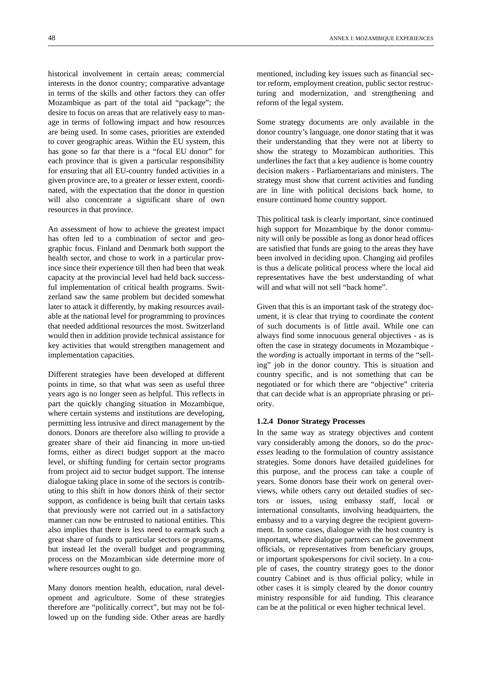historical involvement in certain areas; commercial interests in the donor country; comparative advantage in terms of the skills and other factors they can offer Mozambique as part of the total aid "package"; the desire to focus on areas that are relatively easy to manage in terms of following impact and how resources are being used. In some cases, priorities are extended to cover geographic areas. Within the EU system, this has gone so far that there is a "focal EU donor" for each province that is given a particular responsibility for ensuring that all EU-country funded activities in a given province are, to a greater or lesser extent, coordinated, with the expectation that the donor in question

An assessment of how to achieve the greatest impact has often led to a combination of sector and geographic focus. Finland and Denmark both support the health sector, and chose to work in a particular province since their experience till then had been that weak capacity at the provincial level had held back successful implementation of critical health programs. Switzerland saw the same problem but decided somewhat later to attack it differently, by making resources available at the national level for programming to provinces that needed additional resources the most. Switzerland would then in addition provide technical assistance for key activities that would strengthen management and implementation capacities.

will also concentrate a significant share of own

resources in that province.

Different strategies have been developed at different points in time, so that what was seen as useful three years ago is no longer seen as helpful. This reflects in part the quickly changing situation in Mozambique, where certain systems and institutions are developing, permitting less intrusive and direct management by the donors. Donors are therefore also willing to provide a greater share of their aid financing in more un-tied forms, either as direct budget support at the macro level, or shifting funding for certain sector programs from project aid to sector budget support. The intense dialogue taking place in some of the sectors is contributing to this shift in how donors think of their sector support, as confidence is being built that certain tasks that previously were not carried out in a satisfactory manner can now be entrusted to national entities. This also implies that there is less need to earmark such a great share of funds to particular sectors or programs, but instead let the overall budget and programming process on the Mozambican side determine more of where resources ought to go.

Many donors mention health, education, rural development and agriculture. Some of these strategies therefore are "politically correct", but may not be followed up on the funding side. Other areas are hardly

Some strategy documents are only available in the donor country's language, one donor stating that it was their understanding that they were not at liberty to show the strategy to Mozambican authorities. This underlines the fact that a key audience is home country decision makers - Parliamentarians and ministers. The strategy must show that current activities and funding are in line with political decisions back home, to ensure continued home country support.

reform of the legal system.

This political task is clearly important, since continued high support for Mozambique by the donor community will only be possible as long as donor head offices are satisfied that funds are going to the areas they have been involved in deciding upon. Changing aid profiles is thus a delicate political process where the local aid representatives have the best understanding of what will and what will not sell "back home".

Given that this is an important task of the strategy document, it is clear that trying to coordinate the *content* of such documents is of little avail. While one can always find some innocuous general objectives - as is often the case in strategy documents in Mozambique the *wording* is actually important in terms of the "selling" job in the donor country. This is situation and country specific, and is not something that can be negotiated or for which there are "objective" criteria that can decide what is an appropriate phrasing or priority.

#### **1.2.4 Donor Strategy Processes**

In the same way as strategy objectives and content vary considerably among the donors, so do the *processes* leading to the formulation of country assistance strategies. Some donors have detailed guidelines for this purpose, and the process can take a couple of years. Some donors base their work on general overviews, while others carry out detailed studies of sectors or issues, using embassy staff, local or international consultants, involving headquarters, the embassy and to a varying degree the recipient government. In some cases, dialogue with the host country is important, where dialogue partners can be government officials, or representatives from beneficiary groups, or important spokespersons for civil society. In a couple of cases, the country strategy goes to the donor country Cabinet and is thus official policy, while in other cases it is simply cleared by the donor country ministry responsible for aid funding. This clearance can be at the political or even higher technical level.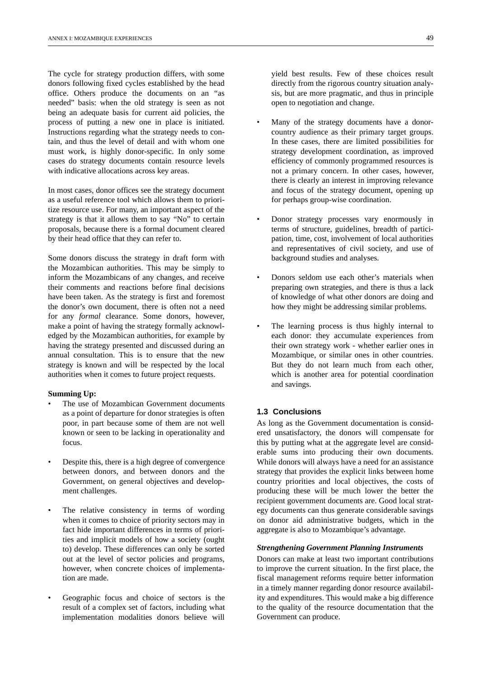The cycle for strategy production differs, with some donors following fixed cycles established by the head office. Others produce the documents on an "as needed" basis: when the old strategy is seen as not being an adequate basis for current aid policies, the process of putting a new one in place is initiated. Instructions regarding what the strategy needs to contain, and thus the level of detail and with whom one must work, is highly donor-specific. In only some cases do strategy documents contain resource levels with indicative allocations across key areas.

In most cases, donor offices see the strategy document as a useful reference tool which allows them to prioritize resource use. For many, an important aspect of the strategy is that it allows them to say "No" to certain proposals, because there is a formal document cleared by their head office that they can refer to.

Some donors discuss the strategy in draft form with the Mozambican authorities. This may be simply to inform the Mozambicans of any changes, and receive their comments and reactions before final decisions have been taken. As the strategy is first and foremost the donor's own document, there is often not a need for any *formal* clearance. Some donors, however, make a point of having the strategy formally acknowledged by the Mozambican authorities, for example by having the strategy presented and discussed during an annual consultation. This is to ensure that the new strategy is known and will be respected by the local authorities when it comes to future project requests.

#### **Summing Up:**

- The use of Mozambican Government documents as a point of departure for donor strategies is often poor, in part because some of them are not well known or seen to be lacking in operationality and focus.
- Despite this, there is a high degree of convergence between donors, and between donors and the Government, on general objectives and development challenges.
- The relative consistency in terms of wording when it comes to choice of priority sectors may in fact hide important differences in terms of priorities and implicit models of how a society (ought to) develop. These differences can only be sorted out at the level of sector policies and programs, however, when concrete choices of implementation are made.
- Geographic focus and choice of sectors is the result of a complex set of factors, including what implementation modalities donors believe will

yield best results. Few of these choices result directly from the rigorous country situation analysis, but are more pragmatic, and thus in principle open to negotiation and change.

- Many of the strategy documents have a donorcountry audience as their primary target groups. In these cases, there are limited possibilities for strategy development coordination, as improved efficiency of commonly programmed resources is not a primary concern. In other cases, however, there is clearly an interest in improving relevance and focus of the strategy document, opening up for perhaps group-wise coordination.
- Donor strategy processes vary enormously in terms of structure, guidelines, breadth of participation, time, cost, involvement of local authorities and representatives of civil society, and use of background studies and analyses.
- Donors seldom use each other's materials when preparing own strategies, and there is thus a lack of knowledge of what other donors are doing and how they might be addressing similar problems.
- The learning process is thus highly internal to each donor: they accumulate experiences from their own strategy work - whether earlier ones in Mozambique, or similar ones in other countries. But they do not learn much from each other, which is another area for potential coordination and savings.

#### **1.3 Conclusions**

As long as the Government documentation is considered unsatisfactory, the donors will compensate for this by putting what at the aggregate level are considerable sums into producing their own documents. While donors will always have a need for an assistance strategy that provides the explicit links between home country priorities and local objectives, the costs of producing these will be much lower the better the recipient government documents are. Good local strategy documents can thus generate considerable savings on donor aid administrative budgets, which in the aggregate is also to Mozambique's advantage.

#### *Strengthening Government Planning Instruments*

Donors can make at least two important contributions to improve the current situation. In the first place, the fiscal management reforms require better information in a timely manner regarding donor resource availability and expenditures. This would make a big difference to the quality of the resource documentation that the Government can produce.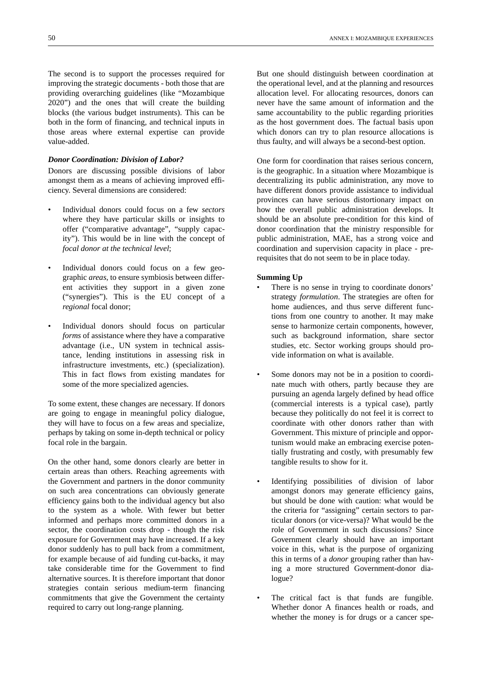The second is to support the processes required for improving the strategic documents - both those that are providing overarching guidelines (like "Mozambique 2020") and the ones that will create the building blocks (the various budget instruments). This can be both in the form of financing, and technical inputs in those areas where external expertise can provide value-added.

#### *Donor Coordination: Division of Labor?*

Donors are discussing possible divisions of labor amongst them as a means of achieving improved efficiency. Several dimensions are considered:

- Individual donors could focus on a few *sectors* where they have particular skills or insights to offer ("comparative advantage", "supply capacity"). This would be in line with the concept of *focal donor at the technical level*;
- Individual donors could focus on a few geographic *areas*, to ensure symbiosis between different activities they support in a given zone ("synergies"). This is the EU concept of a *regional* focal donor;
- Individual donors should focus on particular *forms* of assistance where they have a comparative advantage (i.e., UN system in technical assistance, lending institutions in assessing risk in infrastructure investments, etc.) (specialization). This in fact flows from existing mandates for some of the more specialized agencies.

To some extent, these changes are necessary. If donors are going to engage in meaningful policy dialogue, they will have to focus on a few areas and specialize, perhaps by taking on some in-depth technical or policy focal role in the bargain.

On the other hand, some donors clearly are better in certain areas than others. Reaching agreements with the Government and partners in the donor community on such area concentrations can obviously generate efficiency gains both to the individual agency but also to the system as a whole. With fewer but better informed and perhaps more committed donors in a sector, the coordination costs drop - though the risk exposure for Government may have increased. If a key donor suddenly has to pull back from a commitment, for example because of aid funding cut-backs, it may take considerable time for the Government to find alternative sources. It is therefore important that donor strategies contain serious medium-term financing commitments that give the Government the certainty required to carry out long-range planning.

But one should distinguish between coordination at the operational level, and at the planning and resources allocation level. For allocating resources, donors can never have the same amount of information and the same accountability to the public regarding priorities as the host government does. The factual basis upon which donors can try to plan resource allocations is thus faulty, and will always be a second-best option.

One form for coordination that raises serious concern, is the geographic. In a situation where Mozambique is decentralizing its public administration, any move to have different donors provide assistance to individual provinces can have serious distortionary impact on how the overall public administration develops. It should be an absolute pre-condition for this kind of donor coordination that the ministry responsible for public administration, MAE, has a strong voice and coordination and supervision capacity in place - prerequisites that do not seem to be in place today.

#### **Summing Up**

- There is no sense in trying to coordinate donors' strategy *formulation*. The strategies are often for home audiences, and thus serve different functions from one country to another. It may make sense to harmonize certain components, however, such as background information, share sector studies, etc. Sector working groups should provide information on what is available.
- Some donors may not be in a position to coordinate much with others, partly because they are pursuing an agenda largely defined by head office (commercial interests is a typical case), partly because they politically do not feel it is correct to coordinate with other donors rather than with Government. This mixture of principle and opportunism would make an embracing exercise potentially frustrating and costly, with presumably few tangible results to show for it.
- Identifying possibilities of division of labor amongst donors may generate efficiency gains, but should be done with caution: what would be the criteria for "assigning" certain sectors to particular donors (or vice-versa)? What would be the role of Government in such discussions? Since Government clearly should have an important voice in this, what is the purpose of organizing this in terms of a *donor* grouping rather than having a more structured Government-donor dialogue?
- The critical fact is that funds are fungible. Whether donor A finances health or roads, and whether the money is for drugs or a cancer spe-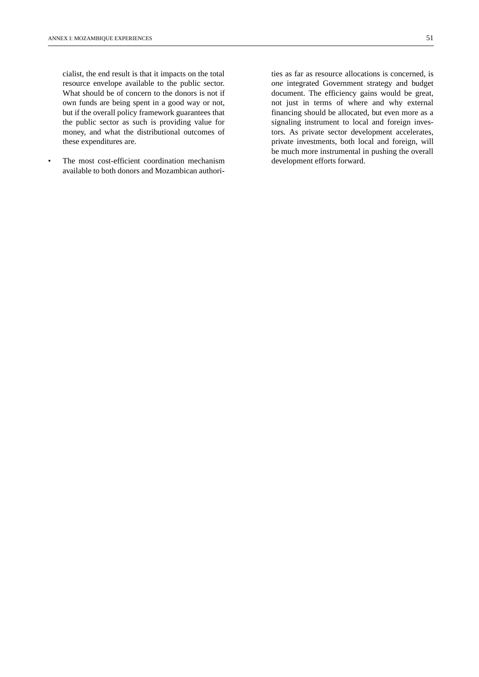cialist, the end result is that it impacts on the total resource envelope available to the public sector. What should be of concern to the donors is not if own funds are being spent in a good way or not, but if the overall policy framework guarantees that the public sector as such is providing value for money, and what the distributional outcomes of these expenditures are.

• The most cost-efficient coordination mechanism available to both donors and Mozambican authorities as far as resource allocations is concerned, is *one* integrated Government strategy and budget document. The efficiency gains would be great, not just in terms of where and why external financing should be allocated, but even more as a signaling instrument to local and foreign investors. As private sector development accelerates, private investments, both local and foreign, will be much more instrumental in pushing the overall development efforts forward.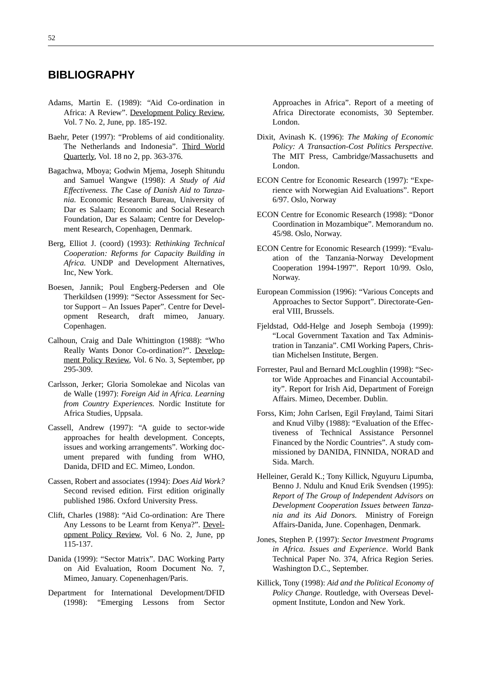## **BIBLIOGRAPHY**

- Adams, Martin E. (1989): "Aid Co-ordination in Africa: A Review". Development Policy Review, Vol. 7 No. 2, June, pp. 185-192.
- Baehr, Peter (1997): "Problems of aid conditionality. The Netherlands and Indonesia". Third World Quarterly, Vol. 18 no 2, pp. 363-376.
- Bagachwa, Mboya; Godwin Mjema, Joseph Shitundu and Samuel Wangwe (1998): *A Study of Aid Effectiveness. The* Case *of Danish Aid to Tanzania.* Economic Research Bureau, University of Dar es Salaam; Economic and Social Research Foundation, Dar es Salaam; Centre for Development Research, Copenhagen, Denmark.
- Berg, Elliot J. (coord) (1993): *Rethinking Technical Cooperation: Reforms for Capacity Building in Africa.* UNDP and Development Alternatives, Inc, New York.
- Boesen, Jannik; Poul Engberg-Pedersen and Ole Therkildsen (1999): "Sector Assessment for Sector Support – An Issues Paper". Centre for Development Research, draft mimeo, January. Copenhagen.
- Calhoun, Craig and Dale Whittington (1988): "Who Really Wants Donor Co-ordination?". Development Policy Review, Vol. 6 No. 3, September, pp 295-309.
- Carlsson, Jerker; Gloria Somolekae and Nicolas van de Walle (1997): *Foreign Aid in Africa. Learning from Country Experiences.* Nordic Institute for Africa Studies, Uppsala.
- Cassell, Andrew (1997): "A guide to sector-wide approaches for health development. Concepts, issues and working arrangements". Working document prepared with funding from WHO, Danida, DFID and EC. Mimeo, London.
- Cassen, Robert and associates (1994): *Does Aid Work?* Second revised edition. First edition originally published 1986. Oxford University Press.
- Clift, Charles (1988): "Aid Co-ordination: Are There Any Lessons to be Learnt from Kenya?". Development Policy Review, Vol. 6 No. 2, June, pp 115-137.
- Danida (1999): "Sector Matrix". DAC Working Party on Aid Evaluation, Room Document No. 7, Mimeo, January. Copenenhagen/Paris.
- Department for International Development/DFID (1998): "Emerging Lessons from Sector

Approaches in Africa". Report of a meeting of Africa Directorate economists, 30 September. London.

- Dixit, Avinash K. (1996): *The Making of Economic Policy: A Transaction-Cost Politics Perspective.* The MIT Press, Cambridge/Massachusetts and London.
- ECON Centre for Economic Research (1997): "Experience with Norwegian Aid Evaluations". Report 6/97. Oslo, Norway
- ECON Centre for Economic Research (1998): "Donor Coordination in Mozambique". Memorandum no. 45/98. Oslo, Norway.
- ECON Centre for Economic Research (1999): "Evaluation of the Tanzania-Norway Development Cooperation 1994-1997". Report 10/99. Oslo, Norway.
- European Commission (1996): "Various Concepts and Approaches to Sector Support". Directorate-General VIII, Brussels.
- Fjeldstad, Odd-Helge and Joseph Semboja (1999): "Local Government Taxation and Tax Administration in Tanzania". CMI Working Papers, Christian Michelsen Institute, Bergen.
- Forrester, Paul and Bernard McLoughlin (1998): "Sector Wide Approaches and Financial Accountability". Report for Irish Aid, Department of Foreign Affairs. Mimeo, December. Dublin.
- Forss, Kim; John Carlsen, Egil Frøyland, Taimi Sitari and Knud Vilby (1988): "Evaluation of the Effectiveness of Technical Assistance Personnel Financed by the Nordic Countries". A study commissioned by DANIDA, FINNIDA, NORAD and Sida. March.
- Helleiner, Gerald K.; Tony Killick, Nguyuru Lipumba, Benno J. Ndulu and Knud Erik Svendsen (1995): *Report of The Group of Independent Advisors on Development Cooperation Issues between Tanzania and its Aid Donors.* Ministry of Foreign Affairs-Danida, June. Copenhagen, Denmark.
- Jones, Stephen P. (1997): *Sector Investment Programs in Africa. Issues and Experience*. World Bank Technical Paper No. 374, Africa Region Series. Washington D.C., September.
- Killick, Tony (1998): *Aid and the Political Economy of Policy Change*. Routledge, with Overseas Development Institute, London and New York.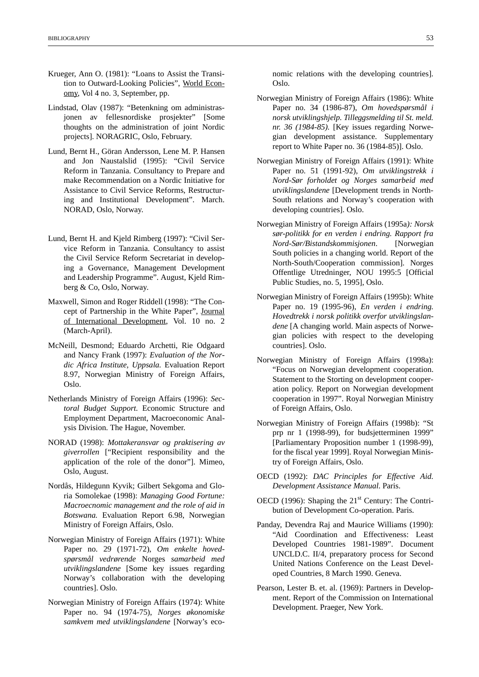- Krueger, Ann O. (1981): "Loans to Assist the Transition to Outward-Looking Policies", World Economy, Vol 4 no. 3, September, pp.
- Lindstad, Olav (1987): "Betenkning om administrasjonen av fellesnordiske prosjekter" [Some thoughts on the administration of joint Nordic projects]. NORAGRIC, Oslo, February.
- Lund, Bernt H., Göran Andersson, Lene M. P. Hansen and Jon Naustalslid (1995): "Civil Service Reform in Tanzania. Consultancy to Prepare and make Recommendation on a Nordic Initiative for Assistance to Civil Service Reforms, Restructuring and Institutional Development". March. NORAD, Oslo, Norway.
- Lund, Bernt H. and Kjeld Rimberg (1997): "Civil Service Reform in Tanzania. Consultancy to assist the Civil Service Reform Secretariat in developing a Governance, Management Development and Leadership Programme". August, Kjeld Rimberg & Co, Oslo, Norway.
- Maxwell, Simon and Roger Riddell (1998): "The Concept of Partnership in the White Paper", Journal of International Development, Vol. 10 no. 2 (March-April).
- McNeill, Desmond; Eduardo Archetti, Rie Odgaard and Nancy Frank (1997): *Evaluation of the Nordic Africa Institute, Uppsala.* Evaluation Report 8.97, Norwegian Ministry of Foreign Affairs, Oslo.
- Netherlands Ministry of Foreign Affairs (1996): *Sectoral Budget Support.* Economic Structure and Employment Department, Macroeconomic Analysis Division. The Hague, November.
- NORAD (1998): *Mottakeransvar og praktisering av giverrollen* ["Recipient responsibility and the application of the role of the donor"]. Mimeo, Oslo, August.
- Nordås, Hildegunn Kyvik; Gilbert Sekgoma and Gloria Somolekae (1998): *Managing Good Fortune: Macroecnomic management and the role of aid in Botswana.* Evaluation Report 6.98, Norwegian Ministry of Foreign Affairs, Oslo.
- Norwegian Ministry of Foreign Affairs (1971): White Paper no. 29 (1971-72), *Om enkelte hovedspørsmål vedrørende* Norges *samarbeid med utviklingslandene* [Some key issues regarding Norway's collaboration with the developing countries]. Oslo.
- Norwegian Ministry of Foreign Affairs (1974): White Paper no. 94 (1974-75), *Norges økonomiske samkvem med utviklingslandene* [Norway's eco-

nomic relations with the developing countries]. Oslo.

- Norwegian Ministry of Foreign Affairs (1986): White Paper no. 34 (1986-87), *Om hovedspørsmål i norsk utviklingshjelp. Tilleggsmelding til St. meld. nr. 36 (1984-85).* [Key issues regarding Norwegian development assistance. Supplementary report to White Paper no. 36 (1984-85)]. Oslo.
- Norwegian Ministry of Foreign Affairs (1991): White Paper no. 51 (1991-92), *Om utviklingstrekk i Nord-Sør forholdet og Norges samarbeid med utviklingslandene* [Development trends in North-South relations and Norway's cooperation with developing countries]. Oslo.
- Norwegian Ministry of Foreign Affairs (1995a*): Norsk sør-politikk for en verden i endring. Rapport fra Nord-Sør/Bistandskommisjonen*. [Norwegian South policies in a changing world. Report of the North-South/Cooperation commission]. Norges Offentlige Utredninger, NOU 1995:5 [Official Public Studies, no. 5, 1995], Oslo.
- Norwegian Ministry of Foreign Affairs (1995b): White Paper no. 19 (1995-96), *En verden i endring. Hovedtrekk i norsk politikk overfor utviklingslandene* [A changing world. Main aspects of Norwegian policies with respect to the developing countries]. Oslo.
- Norwegian Ministry of Foreign Affairs (1998a): "Focus on Norwegian development cooperation. Statement to the Storting on development cooperation policy. Report on Norwegian development cooperation in 1997". Royal Norwegian Ministry of Foreign Affairs, Oslo.
- Norwegian Ministry of Foreign Affairs (1998b): "St prp nr 1 (1998-99), for budsjetterminen 1999" [Parliamentary Proposition number 1 (1998-99), for the fiscal year 1999]. Royal Norwegian Ministry of Foreign Affairs, Oslo.
- OECD (1992): *DAC Principles for Effective Aid. Development Assistance Manual*. Paris.
- OECD (1996): Shaping the  $21<sup>st</sup>$  Century: The Contribution of Development Co-operation. Paris.
- Panday, Devendra Raj and Maurice Williams (1990): "Aid Coordination and Effectiveness: Least Developed Countries 1981-1989". Document UNCLD.C. II/4, preparatory process for Second United Nations Conference on the Least Developed Countries, 8 March 1990. Geneva.
- Pearson, Lester B. et. al. (1969): Partners in Development. Report of the Commission on International Development. Praeger, New York.